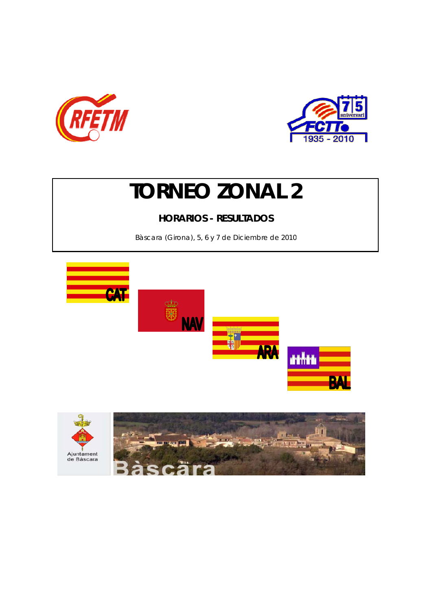



# **TORNEO ZONAL 2**

## **HORARIOS - RESULTADOS**

Bàscara (Girona), 5, 6 y 7 de Diciembre de 2010



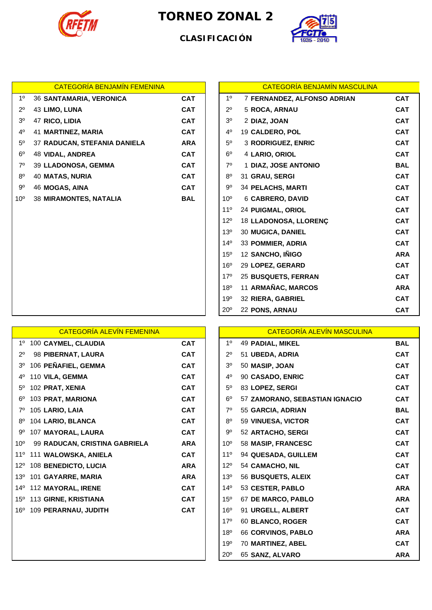

## **TORNEO ZONAL 2**



### **CLASIFICACIÓN**

|                | <b>CATEGORÍA BENJAMÍN FEMENINA</b> |            |                 | <b>CATEGORÍA BENJAMÍN MASCULINA</b> |            |
|----------------|------------------------------------|------------|-----------------|-------------------------------------|------------|
| $1^{\circ}$    | <b>36 SANTAMARIA, VERONICA</b>     | <b>CAT</b> | 1 <sup>0</sup>  | 7 FERNANDEZ, ALFONSO ADRIAN         | <b>CAT</b> |
| $2^{\circ}$    | 43 LIMO, LUNA                      | <b>CAT</b> | $2^{\circ}$     | 5 ROCA, ARNAU                       | <b>CAT</b> |
| 3 <sup>o</sup> | 47 RICO, LIDIA                     | <b>CAT</b> | 3 <sup>o</sup>  | 2 DIAZ, JOAN                        | <b>CAT</b> |
| $4^{\circ}$    | 41 MARTINEZ, MARIA                 | <b>CAT</b> | $4^{\circ}$     | 19 CALDERO, POL                     | <b>CAT</b> |
| $5^{\circ}$    | 37 RADUCAN, STEFANIA DANIELA       | <b>ARA</b> | $5^{\circ}$     | 3 RODRIGUEZ, ENRIC                  | <b>CAT</b> |
| $6^{\circ}$    | 48 VIDAL, ANDREA                   | <b>CAT</b> | $6^{\circ}$     | 4 LARIO, ORIOL                      | <b>CAT</b> |
| $7^\circ$      | 39 LLADONOSA, GEMMA                | <b>CAT</b> | $7^\circ$       | 1 DIAZ, JOSE ANTONIO                | <b>BAL</b> |
| $8^{\circ}$    | <b>40 MATAS, NURIA</b>             | <b>CAT</b> | $8^{\circ}$     | 31 GRAU, SERGI                      | <b>CAT</b> |
| $9^{\circ}$    | 46 MOGAS, AINA                     | <b>CAT</b> | 9º              | <b>34 PELACHS, MARTI</b>            | <b>CAT</b> |
| $10^{\circ}$   | <b>38 MIRAMONTES, NATALIA</b>      | <b>BAL</b> | $10^{\circ}$    | 6 CABRERO, DAVID                    | <b>CAT</b> |
|                |                                    |            | 11 <sup>°</sup> | 24 PUIGMAL, ORIOL                   | <b>CAT</b> |
|                |                                    |            | $12^{\circ}$    | 18 LLADONOSA, LLORENÇ               | <b>CAT</b> |
|                |                                    |            | 13 <sup>o</sup> | 30 MUGICA, DANIEL                   | <b>CAT</b> |
|                |                                    |            | $14^{\circ}$    | 33 POMMIER, ADRIA                   | <b>CAT</b> |
|                |                                    |            | $15^{\circ}$    | 12 SANCHO, IÑIGO                    | <b>ARA</b> |
|                |                                    |            | $16^{\circ}$    | 29 LOPEZ, GERARD                    | <b>CAT</b> |
|                |                                    |            | 17 <sup>0</sup> | 25 BUSQUETS, FERRAN                 | CAT        |

|             | <b>CATEGORÍA BENJAMÍN FEMENINA</b> |            |                 | <b>CATEGORÍA BENJAMÍN MASCULINA</b> |            |
|-------------|------------------------------------|------------|-----------------|-------------------------------------|------------|
| $1^{\circ}$ | <b>36 SANTAMARIA, VERONICA</b>     | <b>CAT</b> | 1 <sup>0</sup>  | 7 FERNANDEZ, ALFONSO ADRIAN         | <b>CAT</b> |
| 2º          | 43 LIMO, LUNA                      | <b>CAT</b> | $2^{\circ}$     | 5 ROCA, ARNAU                       | <b>CAT</b> |
| 30          | 47 RICO, LIDIA                     | <b>CAT</b> | 3 <sup>0</sup>  | 2 DIAZ, JOAN                        | <b>CAT</b> |
| 4º          | 41 MARTINEZ, MARIA                 | <b>CAT</b> | 40              | 19 CALDERO, POL                     | <b>CAT</b> |
| 50          | 37 RADUCAN, STEFANIA DANIELA       | <b>ARA</b> | $5^{\circ}$     | 3 RODRIGUEZ, ENRIC                  | <b>CAT</b> |
| 60          | <b>48 VIDAL, ANDREA</b>            | <b>CAT</b> | $6^{\circ}$     | 4 LARIO, ORIOL                      | <b>CAT</b> |
| $7^\circ$   | 39 LLADONOSA, GEMMA                | <b>CAT</b> | $7^\circ$       | 1 DIAZ, JOSE ANTONIO                | <b>BAL</b> |
| 80          | <b>40 MATAS, NURIA</b>             | <b>CAT</b> | 8 <sup>0</sup>  | 31 GRAU, SERGI                      | <b>CAT</b> |
| 90          | 46 MOGAS, AINA                     | <b>CAT</b> | $9^{\circ}$     | <b>34 PELACHS, MARTI</b>            | <b>CAT</b> |
| 0٥          | <b>38 MIRAMONTES, NATALIA</b>      | <b>BAL</b> | 10 <sup>o</sup> | 6 CABRERO, DAVID                    | <b>CAT</b> |
|             |                                    |            | $11^{\circ}$    | <b>24 PUIGMAL, ORIOL</b>            | <b>CAT</b> |
|             |                                    |            | $12^{\circ}$    | 18 LLADONOSA, LLORENÇ               | <b>CAT</b> |
|             |                                    |            | 13 <sup>0</sup> | 30 MUGICA, DANIEL                   | <b>CAT</b> |
|             |                                    |            | $14^{\circ}$    | 33 POMMIER, ADRIA                   | <b>CAT</b> |
|             |                                    |            | 15 <sup>o</sup> | 12 SANCHO, IÑIGO                    | <b>ARA</b> |
|             |                                    |            | $16^{\circ}$    | 29 LOPEZ, GERARD                    | <b>CAT</b> |
|             |                                    |            | $17^{\circ}$    | 25 BUSQUETS, FERRAN                 | <b>CAT</b> |
|             |                                    |            | 18 <sup>0</sup> | 11 ARMAÑAC, MARCOS                  | <b>ARA</b> |
|             |                                    |            | 19 <sup>o</sup> | 32 RIERA, GABRIEL                   | <b>CAT</b> |
|             |                                    |            | 20 <sup>o</sup> | 22 PONS, ARNAU                      | <b>CAT</b> |

|                | <b>CATEGORÍA ALEVÍN FEMENINA</b>     |            |                 | <b>CATEGORÍA ALEVÍN MASCULINA</b> |            |
|----------------|--------------------------------------|------------|-----------------|-----------------------------------|------------|
|                | 1º 100 CAYMEL, CLAUDIA               | <b>CAT</b> | 1 <sup>0</sup>  | 49 PADIAL, MIKEL                  | <b>BAL</b> |
| $2^{\circ}$    | 98 PIBERNAT, LAURA                   | <b>CAT</b> | $2^{\circ}$     | 51 UBEDA, ADRIA                   | <b>CAT</b> |
| 3 <sup>o</sup> | 106 PEÑAFIEL, GEMMA                  | <b>CAT</b> | 3 <sup>o</sup>  | 50 MASIP, JOAN                    | <b>CAT</b> |
| $4^{\circ}$    | 110 VILA, GEMMA                      | <b>CAT</b> | $4^{\circ}$     | 90 CASADO, ENRIC                  | <b>CAT</b> |
| $5^{\circ}$    | 102 PRAT, XENIA                      | <b>CAT</b> | $5^{\circ}$     | 83 LOPEZ, SERGI                   | <b>CAT</b> |
| 6°             | 103 PRAT, MARIONA                    | <b>CAT</b> | $6^{\circ}$     | 57 ZAMORANO, SEBASTIAN IGNACIO    | <b>CAT</b> |
| 7°             | 105 LARIO, LAIA                      | <b>CAT</b> | $7^\circ$       | 55 GARCIA, ADRIAN                 | <b>BAL</b> |
| $8^{\circ}$    | 104 LARIO, BLANCA                    | <b>CAT</b> | $8^{\circ}$     | 59 VINUESA, VICTOR                | <b>CAT</b> |
| 9º             | 107 MAYORAL, LAURA                   | <b>CAT</b> | $9^{\circ}$     | 52 ARTACHO, SERGI                 | <b>CAT</b> |
| $10^{\circ}$   | 99 RADUCAN, CRISTINA GABRIELA        | <b>ARA</b> | $10^{\circ}$    | 58 MASIP, FRANCESC                | <b>CAT</b> |
| $11^{\circ}$   | 111 WALOWSKA, ANIELA                 | <b>CAT</b> | $11^{\circ}$    | 94 QUESADA, GUILLEM               | <b>CAT</b> |
| $12^{\circ}$   | 108 BENEDICTO, LUCIA                 | <b>ARA</b> | $12^{\circ}$    | 54 CAMACHO, NIL                   | <b>CAT</b> |
| 13°            | 101 GAYARRE, MARIA                   | <b>ARA</b> | 13 <sup>°</sup> | 56 BUSQUETS, ALEIX                | <b>CAT</b> |
| 14°            | 112 MAYORAL, IRENE                   | <b>CAT</b> | $14^{\circ}$    | 53 CESTER, PABLO                  | <b>ARA</b> |
|                | 15 <sup>°</sup> 113 GIRNE, KRISTIANA | <b>CAT</b> | $15^{\circ}$    | 67 DE MARCO, PABLO                | <b>ARA</b> |
| $16^{\circ}$   | 109 PERARNAU, JUDITH                 | <b>CAT</b> | $16^{\circ}$    | 91 URGELL, ALBERT                 | <b>CAT</b> |
|                |                                      |            | $17^{\circ}$    | 60 BLANCO, ROGER                  | <b>CAT</b> |
|                |                                      |            | 18 <sup>o</sup> | 66 CORVINOS, PABLO                | <b>ARA</b> |
|                |                                      |            | 19°             | 70 MARTINEZ, ABEL                 | <b>CAT</b> |
|                |                                      |            | $20^{\circ}$    | 65 SANZ, ALVARO                   | <b>ARA</b> |

|    | <b>CATEGORÍA ALEVÍN FEMENINA</b> |            |                 | <b>CATEGORÍA ALEVÍN MASCULINA</b> |            |
|----|----------------------------------|------------|-----------------|-----------------------------------|------------|
|    | 1º 100 CAYMEL, CLAUDIA           | <b>CAT</b> | 1 <sup>0</sup>  | 49 PADIAL, MIKEL                  | <b>BAL</b> |
| 2° | 98 PIBERNAT, LAURA               | <b>CAT</b> | $2^{\circ}$     | 51 UBEDA, ADRIA                   | <b>CAT</b> |
|    | 3º 106 PEÑAFIEL, GEMMA           | <b>CAT</b> | 3 <sup>o</sup>  | 50 MASIP, JOAN                    | <b>CAT</b> |
|    | 4º 110 VILA, GEMMA               | <b>CAT</b> | $4^{\circ}$     | 90 CASADO, ENRIC                  | <b>CAT</b> |
|    | 5º 102 PRAT, XENIA               | <b>CAT</b> | $5^{\circ}$     | 83 LOPEZ, SERGI                   | <b>CAT</b> |
|    | 6º 103 PRAT, MARIONA             | <b>CAT</b> | $6^{\circ}$     | 57 ZAMORANO, SEBASTIAN IGNACIO    | <b>CAT</b> |
|    | 7º 105 LARIO, LAIA               | <b>CAT</b> | $7^\circ$       | 55 GARCIA, ADRIAN                 | <b>BAL</b> |
|    | 8º 104 LARIO, BLANCA             | <b>CAT</b> | $8^{\circ}$     | 59 VINUESA, VICTOR                | <b>CAT</b> |
|    | 9º 107 MAYORAL, LAURA            | <b>CAT</b> | $9^{\circ}$     | 52 ARTACHO, SERGI                 | <b>CAT</b> |
|    | 0º 99 RADUCAN, CRISTINA GABRIELA | <b>ARA</b> | 10 <sup>o</sup> | 58 MASIP, FRANCESC                | <b>CAT</b> |
|    | 1º 111 WALOWSKA, ANIELA          | <b>CAT</b> | 11 <sup>°</sup> | 94 QUESADA, GUILLEM               | <b>CAT</b> |
|    | 2º 108 BENEDICTO, LUCIA          | <b>ARA</b> | 12°             | 54 CAMACHO, NIL                   | <b>CAT</b> |
|    | 3º 101 GAYARRE, MARIA            | <b>ARA</b> | 13 <sup>°</sup> | 56 BUSQUETS, ALEIX                | <b>CAT</b> |
|    | 4º 112 MAYORAL, IRENE            | <b>CAT</b> | $14^{\circ}$    | 53 CESTER, PABLO                  | <b>ARA</b> |
|    | 5º 113 GIRNE, KRISTIANA          | <b>CAT</b> | $15^{\circ}$    | 67 DE MARCO, PABLO                | <b>ARA</b> |
|    | 6º 109 PERARNAU, JUDITH          | <b>CAT</b> | 16 <sup>o</sup> | 91 URGELL, ALBERT                 | <b>CAT</b> |
|    |                                  |            | $17^{\circ}$    | 60 BLANCO, ROGER                  | <b>CAT</b> |
|    |                                  |            | 18°             | 66 CORVINOS, PABLO                | <b>ARA</b> |
|    |                                  |            | 19 <sup>o</sup> | 70 MARTINEZ, ABEL                 | <b>CAT</b> |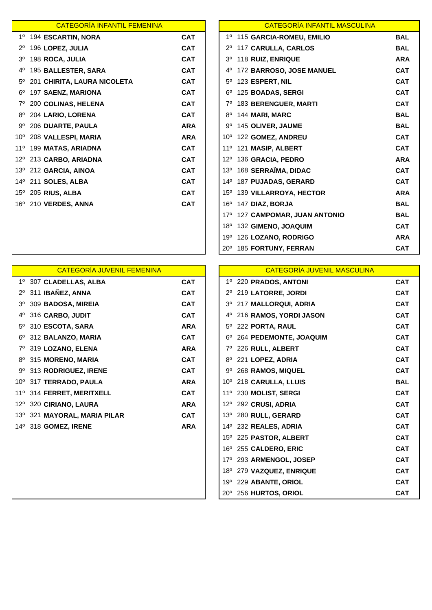| <b>CATEGORÍA INFANTIL FEMENINA</b> |                                                                     |
|------------------------------------|---------------------------------------------------------------------|
| 194 ESCARTIN, NORA                 | <b>CAT</b>                                                          |
| 196 LOPEZ, JULIA                   | <b>CAT</b>                                                          |
| 198 ROCA, JULIA                    | <b>CAT</b>                                                          |
| 195 BALLESTER, SARA                | <b>CAT</b>                                                          |
| 201 CHIRITA, LAURA NICOLETA        | <b>CAT</b>                                                          |
| 197 SAENZ, MARIONA                 | <b>CAT</b>                                                          |
| 200 COLINAS, HELENA                | <b>CAT</b>                                                          |
| 204 LARIO, LORENA                  | <b>CAT</b>                                                          |
| 206 DUARTE, PAULA                  | <b>ARA</b>                                                          |
| 208 VALLESPI, MARIA                | <b>ARA</b>                                                          |
| 199 MATAS, ARIADNA                 | <b>CAT</b>                                                          |
| 213 CARBO, ARIADNA                 | <b>CAT</b>                                                          |
|                                    | <b>CAT</b>                                                          |
| 211 SOLES, ALBA                    | <b>CAT</b>                                                          |
| 205 RIUS, ALBA                     | <b>CAT</b>                                                          |
| 210 VERDES, ANNA                   | <b>CAT</b>                                                          |
|                                    |                                                                     |
|                                    | $12^{\circ}$<br>13º 212 GARCIA, AINOA<br>14º<br>$15^{\circ}$<br>16º |

|                | <b>CATEGORÍA INFANTIL FEMENINA</b> |            |                | <b>CATEGORÍA INFANTIL MASCULINA</b> |            |
|----------------|------------------------------------|------------|----------------|-------------------------------------|------------|
|                | 1º 194 ESCARTIN, NORA              | <b>CAT</b> |                | 1º 115 GARCIA-ROMEU, EMILIO         | <b>BAL</b> |
| $2^{\circ}$    | 196 LOPEZ, JULIA                   | <b>CAT</b> |                | 117 CARULLA, CARLOS                 | <b>BAL</b> |
| 3 <sup>o</sup> | 198 ROCA, JULIA                    | <b>CAT</b> | 3 <sup>o</sup> | 118 RUIZ, ENRIQUE                   | <b>ARA</b> |
| 4°             | <b>195 BALLESTER, SARA</b>         | <b>CAT</b> | 4°             | 172 BARROSO, JOSE MANUEL            | <b>CAT</b> |
|                | 5º 201 CHIRITA, LAURA NICOLETA     | <b>CAT</b> | $5^{\circ}$    | 123 ESPERT, NIL                     | <b>CAT</b> |
| $6^{\circ}$    | 197 SAENZ, MARIONA                 | <b>CAT</b> | $6^{\circ}$    | 125 BOADAS, SERGI                   | <b>CAT</b> |
|                | 7º 200 COLINAS, HELENA             | <b>CAT</b> | $7^\circ$      | 183 BERENGUER, MARTI                | <b>CAT</b> |
|                | 8º 204 LARIO, LORENA               | <b>CAT</b> | $8^{\circ}$    | 144 MARI, MARC                      | <b>BAL</b> |
|                | 9º 206 DUARTE, PAULA               | <b>ARA</b> |                | 9º 145 OLIVER, JAUME                | <b>BAL</b> |
|                | 10º 208 VALLESPI, MARIA            | <b>ARA</b> | $10^{\circ}$   | 122 GOMEZ, ANDREU                   | <b>CAT</b> |
|                | 11º 199 MATAS, ARIADNA             | <b>CAT</b> | $11^{\circ}$   | 121 MASIP, ALBERT                   | <b>CAT</b> |
|                | 12º 213 CARBO, ARIADNA             | <b>CAT</b> | $12^{\circ}$   | 136 GRACIA, PEDRO                   | <b>ARA</b> |
|                | 13º 212 GARCIA, AINOA              | <b>CAT</b> | $13^{\circ}$   | 168 SERRAÏMA, DIDAC                 | <b>CAT</b> |
|                | 14º 211 SOLES, ALBA                | <b>CAT</b> |                | 14º 187 PUJADAS, GERARD             | <b>CAT</b> |
|                | 15º 205 RIUS, ALBA                 | <b>CAT</b> | $15^{\circ}$   | 139 VILLARROYA, HECTOR              | <b>ARA</b> |
|                | 16º 210 VERDES, ANNA               | <b>CAT</b> | $16^{\circ}$   | 147 DIAZ, BORJA                     | <b>BAL</b> |
|                |                                    |            | $17^{\circ}$   | 127 CAMPOMAR, JUAN ANTONIO          | <b>BAL</b> |
|                |                                    |            | $18^{\circ}$   | 132 GIMENO, JOAQUIM                 | <b>CAT</b> |
|                |                                    |            | $19^{\circ}$   | 126 LOZANO, RODRIGO                 | <b>ARA</b> |
|                |                                    |            | $20^{\circ}$   | 185 FORTUNY, FERRAN                 | <b>CAT</b> |

|                | <b>CATEGORÍA JUVENIL FEMENINA</b> |            |              | <b>CATEGORÍA JUVENIL MASCULINA</b> |            |
|----------------|-----------------------------------|------------|--------------|------------------------------------|------------|
|                | 1º 307 CLADELLAS, ALBA            | <b>CAT</b> |              | 1º 220 PRADOS, ANTONI              | <b>CAT</b> |
| $2^{\circ}$    | 311 IBAÑEZ, ANNA                  | <b>CAT</b> | $2^{\circ}$  | 219 LATORRE, JORDI                 | <b>CAT</b> |
| 3 <sup>o</sup> | 309 BADOSA, MIREIA                | <b>CAT</b> | $3^{\circ}$  | 217 MALLORQUI, ADRIA               | <b>CAT</b> |
| 4°             | 316 CARBO, JUDIT                  | <b>CAT</b> | 40           | 216 RAMOS, YORDI JASON             | <b>CAT</b> |
| $5^\circ$      | 310 ESCOTA, SARA                  | <b>ARA</b> | $5^{\circ}$  | 222 PORTA, RAUL                    | <b>CAT</b> |
|                | 6º 312 BALANZO, MARIA             | <b>CAT</b> | 6°           | 264 PEDEMONTE, JOAQUIM             | <b>CAT</b> |
|                | 7º 319 LOZANO, ELENA              | <b>ARA</b> | 7º           | 226 RULL, ALBERT                   | <b>CAT</b> |
| 8°             | 315 MORENO, MARIA                 | <b>CAT</b> | $8^{\circ}$  | 221 LOPEZ, ADRIA                   | <b>CAT</b> |
|                | 9º 313 RODRIGUEZ, IRENE           | <b>CAT</b> | 9º           | 268 RAMOS, MIQUEL                  | <b>CAT</b> |
| $10^{\circ}$   | 317 TERRADO, PAULA                | <b>ARA</b> | $10^{\circ}$ | 218 CARULLA, LLUIS                 | <b>BAL</b> |
| $11^{\circ}$   | 314 FERRET, MERITXELL             | <b>CAT</b> | $11^{\circ}$ | 230 MOLIST, SERGI                  | <b>CAT</b> |
| $12^{\circ}$   | 320 CIRIANO, LAURA                | <b>ARA</b> | $12^{\circ}$ | 292 CRUSI, ADRIA                   | <b>CAT</b> |
|                | 13º 321 MAYORAL, MARIA PILAR      | <b>CAT</b> | $13^\circ$   | 280 RULL, GERARD                   | <b>CAT</b> |
|                | 14º 318 GOMEZ, IRENE              | <b>ARA</b> |              | 14º 232 REALES, ADRIA              | <b>CAT</b> |
|                |                                   |            | $15^{\circ}$ | 225 PASTOR, ALBERT                 | <b>CAT</b> |
|                |                                   |            | 16°          | 255 CALDERO, ERIC                  | <b>CAT</b> |
|                |                                   |            | 17°          | 293 ARMENGOL, JOSEP                | <b>CAT</b> |
|                |                                   |            | 18°          | 279 VAZQUEZ, ENRIQUE               | <b>CAT</b> |
|                |                                   |            |              | 199 229 ARANTE ORIOL               | CAT        |

### **CATEGORÍA JUVENIL MASCULINA**

| 1º 307 CLADELLAS, ALBA      | <b>CAT</b> |                 | 1º 220 PRADOS, ANTONI  | <b>CAT</b> |
|-----------------------------|------------|-----------------|------------------------|------------|
| 2º 311 IBAÑEZ, ANNA         | <b>CAT</b> | $2^{\circ}$     | 219 LATORRE, JORDI     | <b>CAT</b> |
| 3º 309 BADOSA, MIREIA       | <b>CAT</b> | $3^{\circ}$     | 217 MALLORQUI, ADRIA   | <b>CAT</b> |
| 4º 316 CARBO, JUDIT         | <b>CAT</b> | 4°              | 216 RAMOS, YORDI JASON | <b>CAT</b> |
| 5º 310 ESCOTA, SARA         | <b>ARA</b> | $5^{\circ}$     | 222 PORTA, RAUL        | <b>CAT</b> |
| 6º 312 BALANZO, MARIA       | <b>CAT</b> | $6^{\circ}$     | 264 PEDEMONTE, JOAQUIM | <b>CAT</b> |
| 7º 319 LOZANO, ELENA        | <b>ARA</b> |                 | 226 RULL, ALBERT       | <b>CAT</b> |
| 8º 315 MORENO, MARIA        | <b>CAT</b> | $8^{\circ}$     | 221 LOPEZ, ADRIA       | <b>CAT</b> |
| 9º 313 RODRIGUEZ, IRENE     | <b>CAT</b> | 9°              | 268 RAMOS, MIQUEL      | <b>CAT</b> |
| 0º 317 TERRADO, PAULA       | <b>ARA</b> |                 | 10º 218 CARULLA, LLUIS | <b>BAL</b> |
| 1º 314 FERRET, MERITXELL    | <b>CAT</b> | $11^{\circ}$    | 230 MOLIST, SERGI      | <b>CAT</b> |
| 2º 320 CIRIANO, LAURA       | <b>ARA</b> | $12^{\circ}$    | 292 CRUSI, ADRIA       | <b>CAT</b> |
| 3º 321 MAYORAL, MARIA PILAR | CAT        | 13°             | 280 RULL, GERARD       | <b>CAT</b> |
| 4º 318 GOMEZ, IRENE         | <b>ARA</b> | $14^{\circ}$    | 232 REALES, ADRIA      | <b>CAT</b> |
|                             |            | $15^{o}$        | 225 PASTOR, ALBERT     | <b>CAT</b> |
|                             |            | 16°             | 255 CALDERO, ERIC      | <b>CAT</b> |
|                             |            | 17°             | 293 ARMENGOL, JOSEP    | <b>CAT</b> |
|                             |            | $18^{\circ}$    | 279 VAZQUEZ, ENRIQUE   | <b>CAT</b> |
|                             |            | 19°             | 229 ABANTE, ORIOL      | <b>CAT</b> |
|                             |            | 20 <sup>o</sup> | 256 HURTOS, ORIOL      | <b>CAT</b> |
|                             |            |                 |                        |            |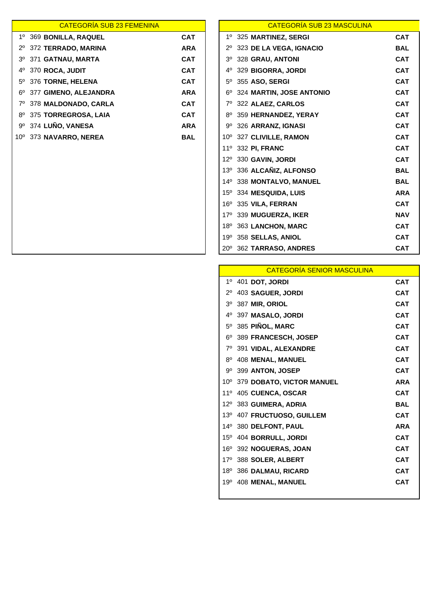|              | <b>CATEGORIA SUB 23 FEMENINA</b> |            |              | <b>CATEGORÍA SUB 23 MASCULINA</b> |            |
|--------------|----------------------------------|------------|--------------|-----------------------------------|------------|
|              | 1º 369 BONILLA, RAQUEL           | <b>CAT</b> | 1º           | 325 MARTINEZ, SERGI               | <b>CAT</b> |
| $2^{\circ}$  | 372 TERRADO, MARINA              | <b>ARA</b> |              | 323 DE LA VEGA, IGNACIO           | <b>BAL</b> |
| $3^{\circ}$  | 371 GATNAU, MARTA                | <b>CAT</b> | $3^{\circ}$  | 328 GRAU, ANTONI                  | <b>CAT</b> |
| 40           | 370 ROCA, JUDIT                  | <b>CAT</b> | 40           | 329 BIGORRA, JORDI                | <b>CAT</b> |
| $5^\circ$    | 376 TORNE, HELENA                | <b>CAT</b> | $5^{\circ}$  | 355 ASO, SERGI                    | <b>CAT</b> |
| 6°           | 377 GIMENO, ALEJANDRA            | <b>ARA</b> | 6°           | 324 MARTIN, JOSE ANTONIO          | <b>CAT</b> |
| 70           | 378 MALDONADO, CARLA             | <b>CAT</b> |              | 322 ALAEZ, CARLOS                 | <b>CAT</b> |
| 8°           | 375 TORREGROSA, LAIA             | <b>CAT</b> | 8°           | 359 HERNANDEZ, YERAY              | <b>CAT</b> |
|              | 9º 374 LUÑO, VANESA              | <b>ARA</b> | 9º           | 326 ARRANZ, IGNASI                | <b>CAT</b> |
| $10^{\circ}$ | 373 NAVARRO, NEREA               | <b>BAL</b> |              | 10° 327 CLIVILLE, RAMON           | <b>CAT</b> |
|              |                                  |            | $11^{\circ}$ | 332 PI, FRANC                     | <b>CAT</b> |
|              |                                  |            | $12^{\circ}$ | 330 GAVIN, JORDI                  | <b>CAT</b> |
|              |                                  |            | $13^{\circ}$ | 336 ALCAÑIZ, ALFONSO              | <b>BAL</b> |
|              |                                  |            | $14^{\circ}$ | 338 MONTALVO, MANUEL              | <b>BAL</b> |
|              |                                  |            | $15^{\circ}$ | 334 MESQUIDA, LUIS                | <b>ARA</b> |
|              |                                  |            | 16°          | 335 VILA, FERRAN                  | <b>CAT</b> |
|              |                                  |            |              |                                   |            |

| <mark>CATEGORÍA SUB 23 FEMENINA</mark> |            |                 | <b>CATEGORÍA SUB 23 MASCULINA</b> |            |
|----------------------------------------|------------|-----------------|-----------------------------------|------------|
| LLA, RAQUEL                            | <b>CAT</b> |                 | 1º 325 MARTINEZ, SERGI            | <b>CAT</b> |
| RADO, MARINA                           | <b>ARA</b> | $2^{\circ}$     | 323 DE LA VEGA, IGNACIO           | <b>BAL</b> |
| <b>JAU, MARTA</b>                      | <b>CAT</b> | $3^{\circ}$     | 328 GRAU, ANTONI                  | <b>CAT</b> |
| A, JUDIT                               | <b>CAT</b> | $4^{\circ}$     | 329 BIGORRA, JORDI                | <b>CAT</b> |
| <b>VE, HELENA</b>                      | <b>CAT</b> | $5^{\circ}$     | 355 ASO, SERGI                    | <b>CAT</b> |
| NO, ALEJANDRA                          | <b>ARA</b> | $6^{\circ}$     | 324 MARTIN, JOSE ANTONIO          | <b>CAT</b> |
| <b>DONADO, CARLA</b>                   | <b>CAT</b> | 70              | 322 ALAEZ, CARLOS                 | <b>CAT</b> |
| <b>REGROSA, LAIA</b>                   | <b>CAT</b> | 8°              | 359 HERNANDEZ, YERAY              | <b>CAT</b> |
| ), VANESA                              | <b>ARA</b> | 9°              | 326 ARRANZ, IGNASI                | <b>CAT</b> |
| <b>ARRO, NEREA</b>                     | <b>BAL</b> | $10^{\circ}$    | 327 CLIVILLE, RAMON               | <b>CAT</b> |
|                                        |            | 11 <sup>°</sup> | 332 PI, FRANC                     | <b>CAT</b> |
|                                        |            | $12^{\circ}$    | 330 GAVIN, JORDI                  | <b>CAT</b> |
|                                        |            | $13^\circ$      | 336 ALCAÑIZ, ALFONSO              | <b>BAL</b> |
|                                        |            |                 | 14º 338 MONTALVO, MANUEL          | <b>BAL</b> |
|                                        |            |                 | 15º 334 MESQUIDA, LUIS            | <b>ARA</b> |
|                                        |            | $16^{\circ}$    | 335 VILA, FERRAN                  | <b>CAT</b> |
|                                        |            | $17^{\circ}$    | 339 MUGUERZA, IKER                | <b>NAV</b> |
|                                        |            | $18^{\circ}$    | 363 LANCHON, MARC                 | <b>CAT</b> |
|                                        |            | 19°             | 358 SELLAS, ANIOL                 | <b>CAT</b> |
|                                        |            | $20^{\circ}$    | 362 TARRASO, ANDRES               | <b>CAT</b> |
|                                        |            |                 |                                   |            |

|                | <b>CATEGORÍA SENIOR MASCULINA</b> |            |
|----------------|-----------------------------------|------------|
| 1 <sup>0</sup> | 401 DOT, JORDI                    | <b>CAT</b> |
| $2^{\circ}$    | 403 SAGUER, JORDI                 | <b>CAT</b> |
| 3 <sup>o</sup> | 387 MIR. ORIOL                    | <b>CAT</b> |
| 40             | 397 MASALO, JORDI                 | <b>CAT</b> |
| $5^{\circ}$    | 385 PIÑOL, MARC                   | <b>CAT</b> |
| $6^{\circ}$    | 389 FRANCESCH, JOSEP              | <b>CAT</b> |
| $7^\circ$      | 391 VIDAL, ALEXANDRE              | <b>CAT</b> |
| $8^{\circ}$    | <b>408 MENAL, MANUEL</b>          | <b>CAT</b> |
| 90             | 399 ANTON, JOSEP                  | <b>CAT</b> |
|                | 10º 379 DOBATO, VICTOR MANUEL     | <b>ARA</b> |
| $11^{\circ}$   | 405 CUENCA, OSCAR                 | <b>CAT</b> |
| $12^{\circ}$   | 383 GUIMERA, ADRIA                | <b>BAL</b> |
| $13^{\circ}$   | 407 FRUCTUOSO, GUILLEM            | <b>CAT</b> |
| $14^{\circ}$   | 380 DELFONT, PAUL                 | <b>ARA</b> |
| $15^{\circ}$   | 404 BORRULL, JORDI                | <b>CAT</b> |
| $16^{\circ}$   | 392 NOGUERAS, JOAN                | <b>CAT</b> |
| $17^{\circ}$   | 388 SOLER, ALBERT                 | <b>CAT</b> |
| $18^{\circ}$   | 386 DALMAU, RICARD                | <b>CAT</b> |
| 19°            | 408 MENAL, MANUEL                 | CAT        |
|                |                                   |            |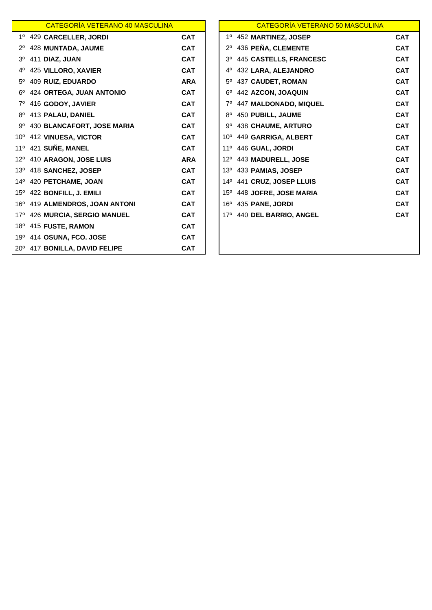|                | CATEGORÍA VETERANO 40 MASCULINA              |            | CATEGORÍA VETERANO 50 MASCULINA          |
|----------------|----------------------------------------------|------------|------------------------------------------|
|                | 1º 429 CARCELLER, JORDI                      | <b>CAT</b> | 1º 452 MARTINEZ, JOSEP                   |
| $2^{\circ}$    | 428 MUNTADA, JAUME                           | <b>CAT</b> | 436 PEÑA, CLEMENTE<br>$2^{\circ}$        |
| 3 <sup>o</sup> | 411 DIAZ, JUAN                               | <b>CAT</b> | 445 CASTELLS, FRANCESC<br>3 <sup>o</sup> |
| $4^{\circ}$    | 425 VILLORO, XAVIER                          | <b>CAT</b> | 432 LARA, ALEJANDRO<br>$4^{\circ}$       |
|                | 5º 409 RUIZ, EDUARDO                         | <b>ARA</b> | 5º 437 CAUDET, ROMAN                     |
|                | 6º 424 ORTEGA, JUAN ANTONIO                  | <b>CAT</b> | 442 AZCON, JOAQUIN<br>$6^{\circ}$        |
|                | 7º 416 GODOY, JAVIER                         | <b>CAT</b> | 447 MALDONADO, MIQUEL<br>$7^\circ$       |
|                | 8º 413 PALAU, DANIEL                         | <b>CAT</b> | 450 PUBILL, JAUME<br>$8^{\circ}$         |
|                | 9º 430 BLANCAFORT, JOSE MARIA                | <b>CAT</b> | 9º 438 CHAUME, ARTURO                    |
|                | 10º 412 VINUESA, VICTOR                      | <b>CAT</b> | 10º 449 GARRIGA, ALBERT                  |
|                | 11º 421 SUÑE, MANEL                          | <b>CAT</b> | 11º 446 GUAL, JORDI                      |
|                | 12º 410 ARAGON, JOSE LUIS                    | <b>ARA</b> | 12º 443 MADURELL, JOSE                   |
|                | 13º 418 SANCHEZ, JOSEP                       | <b>CAT</b> | 13º 433 PAMIAS, JOSEP                    |
|                | 14º 420 PETCHAME, JOAN                       | <b>CAT</b> | 14º 441 CRUZ, JOSEP LLUIS                |
|                | 15 <sup>°</sup> 422 <b>BONFILL, J. EMILI</b> | <b>CAT</b> | 15º 448 JOFRE, JOSE MARIA                |
|                | 16º 419 ALMENDROS, JOAN ANTONI               | <b>CAT</b> | 16º 435 PANE, JORDI                      |
|                | 17º 426 MURCIA, SERGIO MANUEL                | <b>CAT</b> | 17º 440 DEL BARRIO, ANGEL                |
|                | 18º 415 FUSTE, RAMON                         | <b>CAT</b> |                                          |
|                | 19º 414 OSUNA, FCO. JOSE                     | <b>CAT</b> |                                          |
|                | 20° 417 BONILLA, DAVID FELIPE                | <b>CAT</b> |                                          |

|                | CATEGORIA VETERANO 40 MASCULINA  |            |              | <u>CATEGORIA VETERANO 50 MASCULINA</u> |            |
|----------------|----------------------------------|------------|--------------|----------------------------------------|------------|
|                | 1º 429 CARCELLER, JORDI          | <b>CAT</b> |              | 1º 452 MARTINEZ, JOSEP                 | <b>CAT</b> |
|                | 2º 428 MUNTADA, JAUME            | <b>CAT</b> | $2^{\circ}$  | 436 PEÑA, CLEMENTE                     | <b>CAT</b> |
| 3 <sup>o</sup> | 411 DIAZ, JUAN                   | <b>CAT</b> | $3^{\circ}$  | <b>445 CASTELLS, FRANCESC</b>          | <b>CAT</b> |
| 4°             | 425 VILLORO, XAVIER              | <b>CAT</b> | 4º           | 432 LARA, ALEJANDRO                    | <b>CAT</b> |
| $5^{\circ}$    | 409 RUIZ, EDUARDO                | <b>ARA</b> | $5^\circ$    | 437 CAUDET, ROMAN                      | <b>CAT</b> |
|                | 6º 424 ORTEGA, JUAN ANTONIO      | <b>CAT</b> | 6°           | 442 AZCON, JOAQUIN                     | <b>CAT</b> |
|                | 7º 416 GODOY, JAVIER             | <b>CAT</b> |              | 7º 447 MALDONADO, MIQUEL               | <b>CAT</b> |
|                | 8 <sup>0</sup> 413 PALAU, DANIEL | <b>CAT</b> |              | 8º 450 PUBILL, JAUME                   | <b>CAT</b> |
|                | 9º 430 BLANCAFORT, JOSE MARIA    | <b>CAT</b> |              | 9º 438 CHAUME, ARTURO                  | <b>CAT</b> |
|                | 10º 412 VINUESA, VICTOR          | <b>CAT</b> |              | 10º 449 GARRIGA, ALBERT                | <b>CAT</b> |
|                | 11º 421 SUÑE, MANEL              | <b>CAT</b> | $11^{\circ}$ | 446 GUAL, JORDI                        | <b>CAT</b> |
|                | 12º 410 ARAGON, JOSE LUIS        | <b>ARA</b> | $12^{\circ}$ | 443 MADURELL, JOSE                     | <b>CAT</b> |
|                | 13º 418 SANCHEZ, JOSEP           | <b>CAT</b> | $13^\circ$   | 433 PAMIAS, JOSEP                      | <b>CAT</b> |
|                | 14º 420 PETCHAME, JOAN           | <b>CAT</b> |              | 14º 441 CRUZ, JOSEP LLUIS              | <b>CAT</b> |
|                | 15º 422 BONFILL, J. EMILI        | <b>CAT</b> |              | 15º 448 JOFRE, JOSE MARIA              | <b>CAT</b> |
|                | 16º 419 ALMENDROS, JOAN ANTONI   | <b>CAT</b> | $16^{\circ}$ | 435 PANE, JORDI                        | <b>CAT</b> |
|                | 17º 426 MURCIA, SERGIO MANUEL    | <b>CAT</b> |              | 17º 440 DEL BARRIO, ANGEL              | <b>CAT</b> |
|                | 18º 415 FUSTE, RAMON             | <b>CAT</b> |              |                                        |            |
|                | 19º 414 OSUNA, FCO. JOSE         | <b>CAT</b> |              |                                        |            |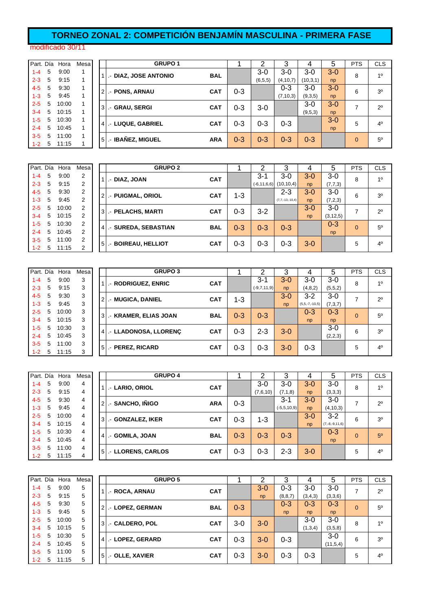## **TORNEO ZONAL 2: COMPETICIÓN BENJAMÍN MASCULINA - PRIMERA FASE**

#### modificado 30/11

| Part. Día |   | Hora  | Mesa |
|-----------|---|-------|------|
| $1 - 4$   | 5 | 9:00  | 1    |
| $2 - 3$   | 5 | 9:15  | 1    |
| $4 - 5$   | 5 | 9:30  | 1    |
| $1 - 3$   | 5 | 9:45  | 1    |
| $2 - 5$   | 5 | 10:00 | 1    |
| $3 - 4$   | 5 | 10:15 | 1    |
| $1 - 5$   | 5 | 10:30 | 1    |
| $2 - 4$   | 5 | 10:45 | 1    |
| $3 - 5$   | 5 | 11:00 | 1    |
| 1-2       | 5 | 11:15 | 1    |
|           |   |       |      |

|             |   | Part. Día Hora | Mesa |                | <b>GRUPO1</b>            |            |         | າ         |            | 4        | 5     | <b>PTS</b>  | <b>CLS</b>     |
|-------------|---|----------------|------|----------------|--------------------------|------------|---------|-----------|------------|----------|-------|-------------|----------------|
| $1 - 4$     | 5 | 9:00           |      |                | .- DIAZ, JOSE ANTONIO    | <b>BAL</b> |         | $3-0$     | $3-0$      | $3-0$    | $3-0$ | 8           | 10             |
| $2 - 3$     | 5 | 9:15           |      |                |                          |            |         | (6, 5, 5) | (4, 10, 7) | (10,3,1) | np    |             |                |
| $4 - 5$     | 5 | 9:30           |      |                | .- PONS, ARNAU           | <b>CAT</b> | $0 - 3$ |           | $0 - 3$    | $3-0$    | $3-0$ | 6           | 3 <sup>0</sup> |
| $1 - 3$     | 5 | 9:45           |      |                |                          |            |         |           | (7, 10, 3) | (9,3,5)  | np    |             |                |
| $2 - 5$     | 5 | 10:00          |      | 3I             | - GRAU, SERGI            | <b>CAT</b> | $0 - 3$ | $3-0$     |            | $3-0$    | $3-0$ | ⇁           | $2^{\circ}$    |
| $3 - 4$     | 5 | 10:15          |      |                |                          |            |         |           |            | (9,5,3)  | np    |             |                |
| $1-5$       | 5 | 10:30          |      |                |                          | <b>CAT</b> |         |           | $0 - 3$    |          | $3-0$ | 5           | $4^{\circ}$    |
| $2 - 4$     | 5 | 10:45          |      | 41             | <b>LE LUQUE, GABRIEL</b> |            | $0 - 3$ | $0 - 3$   |            |          | np    |             |                |
| $3 - 5$     | 5 | 11:00          |      |                | <b>IBAÑEZ, MIGUEL</b>    | <b>ARA</b> | $0 - 3$ | $0 - 3$   | $0 - 3$    | $0 - 3$  |       |             | $5^{\circ}$    |
| $1 - 2 = 5$ |   | 11:15          |      | 5 <sub>l</sub> | $\sim$                   |            |         |           |            |          |       | $\mathbf 0$ |                |
|             |   |                |      |                |                          |            |         |           |            |          |       |             |                |

|         |   | Part. Día Hora | Mesa |                | <b>GRUPO 2</b>                        |            |         |                  | ◠                 | 4     | 5          | <b>PTS</b> | <b>CLS</b>     |
|---------|---|----------------|------|----------------|---------------------------------------|------------|---------|------------------|-------------------|-------|------------|------------|----------------|
| $1 - 4$ | 5 | 9:00           | 2    |                | - DIAZ, JOAN                          | <b>CAT</b> |         | $3-1$            | $3-0$             | $3-0$ | $3-0$      | 8          | 10             |
| $2 - 3$ | 5 | 9:15           | 2    |                |                                       |            |         | $(-6, 11, 6, 6)$ | (10, 10, 4)       | np    | (7,7,3)    |            |                |
| $4 - 5$ | 5 | 9:30           | 2    |                |                                       | <b>CAT</b> |         |                  | $2 - 3$           | $3-0$ | $3-0$      | 6          | 3 <sup>o</sup> |
| $1 - 3$ | 5 | 9:45           | 2    | $\overline{2}$ | .- PUIGMAL, ORIOL                     |            | $1 - 3$ |                  | $(7,7,-13,-10,4)$ | np    | (7,2,3)    |            |                |
| $2 - 5$ | 5 | 10:00          | 2    |                | .- PELACHS, MARTI<br>3 <sup>l</sup>   | <b>CAT</b> | $0 - 3$ | $3 - 2$          |                   | $3-0$ | $3-0$      | ⇁          | $2^{\circ}$    |
| $3 - 4$ | 5 | 10:15          | 2    |                |                                       |            |         |                  |                   | np    | (3, 12, 5) |            |                |
| $1 - 5$ | 5 | 10:30          | 2    |                |                                       | <b>BAL</b> | $0 - 3$ | $0 - 3$          | $0 - 3$           |       | $0 - 3$    | $\Omega$   | $5^{\circ}$    |
| $2 - 4$ | 5 | 10:45          | 2    |                | - SUREDA, SEBASTIAN<br>41             |            |         |                  |                   |       | np         |            |                |
| $3-5$   | 5 | 11:00          | 2    |                |                                       |            |         |                  |                   |       |            |            | 4 <sup>0</sup> |
| $1 - 2$ | 5 | 11:15          | 2    |                | .- BOIREAU, HELLIOT<br>5 <sub>l</sub> | <b>CAT</b> | $0 - 3$ | $0 - 3$          | $0 - 3$           | $3-0$ |            | 5          |                |

| Part. Día |   | Hora  | Mesa |                | <b>GRUPO 3</b>          |            |         |               | 3       | 4                | 5       | <b>PTS</b> | <b>CLS</b>     |
|-----------|---|-------|------|----------------|-------------------------|------------|---------|---------------|---------|------------------|---------|------------|----------------|
| 1-4       | 5 | 9:00  | 3    |                | <b>RODRIGUEZ, ENRIC</b> | <b>CAT</b> |         | $3-1$         | $3-0$   | 3-0              | $3-0$   | 8          | 10             |
| $2 - 3$   | 5 | 9:15  | 3    |                |                         |            |         | $(-9,7,11,9)$ | np      | (4, 8, 2)        | (5,5,2) |            |                |
| $4 - 5$   | 5 | 9:30  | 3    | 2١             | - MUGICA, DANIEL        | <b>CAT</b> | 1-3     |               | $3-0$   | 3-2              | $3-0$   | ⇁          | $2^{\circ}$    |
| $1-3$     | 5 | 9:45  | 3    |                |                         |            |         |               | np      | $(5,5,-7,-10,5)$ | (7,3,7) |            |                |
| $2 - 5$   | 5 | 10:00 | 3    | 3 <sup>l</sup> | .- KRAMER, ELIAS JOAN   | <b>BAL</b> | $0 - 3$ | $0 - 3$       |         | 0-3              | $0 - 3$ | $\Omega$   | $5^{\circ}$    |
| $3 - 4$   | 5 | 10:15 | 3    |                |                         |            |         |               |         | np               | np      |            |                |
| $1-5$     | 5 | 10:30 | 3    | 41             | .- LLADONOSA, LLORENÇ   | <b>CAT</b> | $0 - 3$ | $2 - 3$       | $3 - 0$ |                  | $3-0$   | 6          | 3 <sup>0</sup> |
| $2 - 4$   | 5 | 10:45 | 3    |                |                         |            |         |               |         |                  | (2,2,3) |            |                |
| $3-5$     | 5 | 11:00 | 3    | 5 <sub>l</sub> | .- PEREZ, RICARD        | <b>CAT</b> | $0 - 3$ | $0 - 3$       | $3-0$   | $0 - 3$          |         | 5          | 4 <sup>0</sup> |
| $1 - 2$   | 5 | 11:15 | 3    |                |                         |            |         |               |         |                  |         |            |                |

| Part. Día |   | Hora  | Mesa |                | <b>GRUPO 4</b>    |            |         | ⌒        |                  | 4       | 5                    | <b>PTS</b> | <b>CLS</b>     |
|-----------|---|-------|------|----------------|-------------------|------------|---------|----------|------------------|---------|----------------------|------------|----------------|
| $1 - 4$   | 5 | 9:00  | 4    |                | .- LARIO, ORIOL   | <b>CAT</b> |         | 3-0      | $3-0$            | 3-0     | $3-0$                | 8          | 10             |
| $2 - 3$   | 5 | 9:15  | 4    |                |                   |            |         | (7,6,10) | (7, 1, 8)        | np      | (3,3,3)              |            |                |
| $4 - 5$   | 5 | 9:30  | 4    | $\overline{2}$ | - SANCHO, INIGO   | <b>ARA</b> | $0 - 3$ |          | $3 - 1$          | $3-0$   | $3-0$                | ⇁          | $2^{\circ}$    |
| $1 - 3$   | 5 | 9:45  | 4    |                |                   |            |         |          | $(-5, 5, 10, 9)$ | np      | (4, 10, 3)           |            |                |
| $2 - 5$   | 5 | 10:00 | 4    | $\mathbf{3}$   | - GONZALEZ, IKER  | <b>CAT</b> | $0 - 3$ | 1-3      |                  | $3 - 0$ | $3 - 2$              | 6          | 3 <sup>o</sup> |
| $3 - 4$   | 5 | 10:15 | 4    |                |                   |            |         |          |                  | np      | $(7, -8, -9, 11, 6)$ |            |                |
| $1 - 5$   | 5 | 10:30 | 4    | $\overline{4}$ | .- GOMILA, JOAN   | <b>BAL</b> | $0 - 3$ | $0 - 3$  | $0 - 3$          |         | $0 - 3$              | $\Omega$   | 5 <sup>o</sup> |
| $2 - 4$   | 5 | 10:45 | 4    |                |                   |            |         |          |                  |         | np                   |            |                |
| $3 - 5$   | 5 | 11:00 | 4    | <sup>5</sup>   | - LLORENS, CARLOS | <b>CAT</b> | $0 - 3$ | $0 - 3$  | $2 - 3$          | $3-0$   |                      | 5          | 4 <sup>0</sup> |
| $1 - 2$   | 5 | 11:15 | 4    |                |                   |            |         |          |                  |         |                      |            |                |

| Part. Día |   | Hora  | Mesa |                | <b>GRUPO 5</b>  |            |         | 2       | 3         |         | 5        | <b>PTS</b> | <b>CLS</b>     |
|-----------|---|-------|------|----------------|-----------------|------------|---------|---------|-----------|---------|----------|------------|----------------|
| $1 - 4$   | 5 | 9:00  | 5    |                | .- ROCA, ARNAU  | <b>CAT</b> |         | $3-0$   | $0 - 3$   | $3-0$   | $3-0$    | ⇁          | $2^{\circ}$    |
| $2 - 3$   | 5 | 9:15  | 5    |                |                 |            |         | np      | (8, 8, 7) | (3,4,3) | (3,3,6)  |            |                |
| $4 - 5$   | 5 | 9:30  | 5    |                | - LOPEZ, GERMAN | <b>BAL</b> | $0 - 3$ |         | $0 - 3$   | $0 - 3$ | $0 - 3$  | $\Omega$   | $5^{\circ}$    |
| $1 - 3$   | 5 | 9:45  | 5    |                |                 |            |         |         | np        | np      | np       |            |                |
| $2 - 5$   | 5 | 10:00 | 5    | 3              | - CALDERO, POL  | <b>CAT</b> | $3-0$   | $3 - 0$ |           | $3-0$   | $3-0$    | 8          | 1 <sup>0</sup> |
| $3 - 4$   | 5 | 10:15 | 5    |                |                 |            |         |         |           | (1,3,4) | (3,5,8)  |            |                |
| $1 - 5$   | 5 | 10:30 | 5    | 4              | - LOPEZ, GERARD | <b>CAT</b> | $0 - 3$ | $3 - 0$ | $0 - 3$   |         | $3-0$    | 6          | 3 <sup>0</sup> |
| $2 - 4$   | 5 | 10:45 | 5    |                |                 |            |         |         |           |         | (11,5,4) |            |                |
| $3 - 5$   | 5 | 11:00 | 5    | 5 <sub>l</sub> | .- OLLE, XAVIER | <b>CAT</b> | $0 - 3$ | $3 - 0$ | $0 - 3$   | $0 - 3$ |          | 5          | 4 <sup>0</sup> |
| $1 - 2$   | 5 | 11:15 | 5    |                |                 |            |         |         |           |         |          |            |                |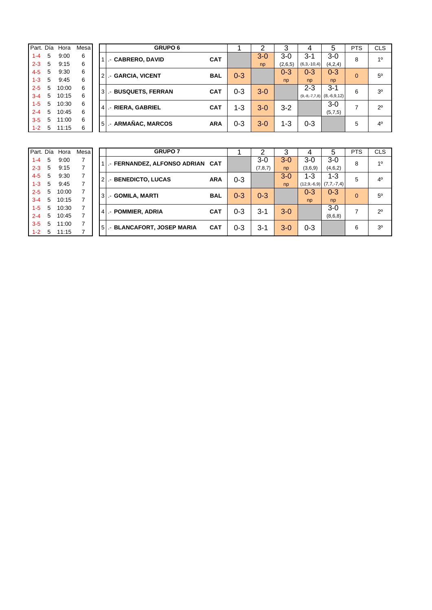| Part. Día |   | Hora  | Mesa |
|-----------|---|-------|------|
| 1-4       | 5 | 9:00  | 6    |
| $2 - 3$   | 5 | 9:15  | 6    |
| 4-5       | 5 | 9:30  | 6    |
| $1 - 3$   | 5 | 9:45  | 6    |
| $2 - 5$   | 5 | 10:00 | 6    |
| $3 - 4$   | 5 | 10:15 | 6    |
| $1 - 5$   | 5 | 10:30 | 6    |
| $2 - 4$   | 5 | 10:45 | 6    |
| 3-5       | 5 | 11:00 | 6    |
| 1-2       | 5 | 11:15 | 6    |
|           |   |       |      |

|             |   | Part. Día Hora | Mesa |    | <b>GRUPO 6</b>                                   |         | ⌒       |         | 4             | 5                             | <b>PTS</b> | <b>CLS</b>     |
|-------------|---|----------------|------|----|--------------------------------------------------|---------|---------|---------|---------------|-------------------------------|------------|----------------|
| $1 - 4$     | 5 | 9:00           | 6    |    | <b>L- CABRERO, DAVID</b><br><b>CAT</b>           |         | $3 - 0$ | $3-0$   | $3 - 1$       | $3-0$                         | 8          | 10             |
| $2 - 3$     | 5 | 9:15           | 6    |    |                                                  |         | np      | (2,6,5) | $(6,3,-10,4)$ | (4,2,4)                       |            |                |
| $4 - 5$     | 5 | 9:30           | 6    |    | <b>GARCIA, VICENT</b><br><b>BAL</b><br>$21 -$    | $0 - 3$ |         | $0 - 3$ | 0-3           | $0 - 3$                       | $\Omega$   | $5^{\circ}$    |
| $1 - 3$     | 5 | 9:45           | 6    |    |                                                  |         |         | np      | np            | np                            |            |                |
| $2 - 5$     | 5 | 10:00          | 6    |    | <b>BUSQUETS, FERRAN</b><br><b>CAT</b><br>$3!$ .- | $0 - 3$ | $3-0$   |         | $2 - 3$       | $3 - 1$                       | 6          | 3 <sup>0</sup> |
| $3 - 4$     | 5 | 10:15          | 6    |    |                                                  |         |         |         |               | $(9,-8,-7,7,8)$ $(8,-6,9,12)$ |            |                |
| $1-5$       | 5 | 10:30          | 6    |    | <b>RIERA, GABRIEL</b><br><b>CAT</b>              | 1-3     | $3-0$   | $3-2$   |               | $3-0$                         | ⇁          | $2^{\circ}$    |
| $2 - 4$     | 5 | 10:45          | 6    | 4  | L.H                                              |         |         |         |               | (5,7,5)                       |            |                |
| $3 - 5$     | 5 | 11:00          | 6    |    | ARMAÑAC, MARCOS<br><b>ARA</b>                    |         |         |         | $0 - 3$       |                               | 5          | 4 <sup>0</sup> |
| $1 - 2 = 5$ |   | 11:15          | 6    | 51 | $\sim$                                           | $0 - 3$ | $3-0$   | $1 - 3$ |               |                               |            |                |

| Part. Día |   | Hora  | Mesa |
|-----------|---|-------|------|
| $1 - 4$   | 5 | 9:00  | 7    |
| $2 - 3$   | 5 | 9:15  | 7    |
| $4 - 5$   | 5 | 9:30  | 7    |
| $1 - 3$   | 5 | 9:45  | 7    |
| $2 - 5$   | 5 | 10:00 | 7    |
| $3 - 4$   | 5 | 10:15 | 7    |
| $1 - 5$   | 5 | 10:30 | 7    |
| $2 - 4$   | 5 | 10:45 | 7    |
| $3 - 5$   | 5 | 11:00 | 7    |
| $1 - 2$   | 5 | 11:15 | 7    |

| Part. Día          |        | Hora           | Mesa                             |                | <b>GRUPO 6</b>                   |            | 1       | 2                  | 3             | 4                | 5                | <b>PTS</b> | <b>CLS</b>     |
|--------------------|--------|----------------|----------------------------------|----------------|----------------------------------|------------|---------|--------------------|---------------|------------------|------------------|------------|----------------|
| $1 - 4$            | 5      | 9:00           | 6                                |                | .- CABRERO, DAVID                | <b>CAT</b> |         | $3-0$              | $3-0$         | $3 - 1$          | $3-0$            | 8          | 10             |
| $2 - 3$            | 5      | 9:15           | 6                                |                |                                  |            |         | np                 | (2,6,5)       | $(6,3,-10,4)$    | (4,2,4)          |            |                |
| $4 - 5$<br>$1 - 3$ | 5<br>5 | 9:30<br>9:45   | 6<br>6                           |                | 2. GARCIA, VICENT                | <b>BAL</b> | $0 - 3$ |                    | $0 - 3$<br>np | $0 - 3$<br>np    | $0 - 3$<br>np    | $\Omega$   | 5 <sup>0</sup> |
| $2 - 5$            | 5      | 10:00          | 6                                |                | 31.- BUSQUETS, FERRAN            | <b>CAT</b> | $0 - 3$ | $3-0$              |               | $2 - 3$          | $3 - 1$          | 6          | 30             |
| $3 - 4$            | 5      | 10:15          | 6                                |                |                                  |            |         |                    |               | $(9,-8,-7,7,8)$  | $(8,-6,9,12)$    |            |                |
| $1 - 5$<br>$2 - 4$ | 5<br>5 | 10:30<br>10:45 | 6<br>6                           |                | 4   RIERA, GABRIEL               | <b>CAT</b> | $1 - 3$ | $3-0$              | $3 - 2$       |                  | $3-0$<br>(5,7,5) | 7          | $2^{\circ}$    |
| $3-5$              | 5      | 11:00          | 6                                |                |                                  |            |         |                    |               |                  |                  |            |                |
| $1 - 2$            | 5      | 11:15          | 6                                |                | 5 .- ARMAÑAC, MARCOS             | <b>ARA</b> | $0 - 3$ | $3-0$              | $1 - 3$       | $0 - 3$          |                  | 5          | 4 <sup>0</sup> |
| Part. Día          |        | Hora           | Mesa                             |                | <b>GRUPO 7</b>                   |            | 1       | 2                  | 3             | 4                | 5                | <b>PTS</b> | <b>CLS</b>     |
|                    | 5      | 9:00           | $\overline{7}$                   |                |                                  |            |         |                    |               |                  |                  |            |                |
| $1 - 4$<br>$2 - 3$ | 5      | 9:15           | $\overline{7}$                   |                | .- FERNANDEZ, ALFONSO ADRIAN CAT |            |         | $3-0$<br>(7, 8, 7) | $3-0$<br>np   | $3-0$<br>(3,6,9) | $3-0$<br>(4,6,2) | 8          | 10             |
| $4 - 5$            | 5      | 9:30           | $\overline{7}$                   |                | 2. BENEDICTO, LUCAS              | <b>ARA</b> | $0 - 3$ |                    | $3-0$         | $1 - 3$          | 1-3              | 5          | 4 <sup>0</sup> |
| $1 - 3$            | 5      | 9:45           | $\overline{7}$                   |                |                                  |            |         |                    | np            | $(12, 9, -6, 9)$ | $(7,7,-7,4)$     |            |                |
| $2 - 5$<br>$3 - 4$ | 5<br>5 | 10:00<br>10:15 | $\overline{7}$<br>$\overline{7}$ |                | 3  .- GOMILA, MARTI              | <b>BAL</b> | $0 - 3$ | $0 - 3$            |               | $0 - 3$<br>np    | $0 - 3$<br>np    | $\Omega$   | 5 <sup>0</sup> |
| $1 - 5$            | 5      | 10:30          | $\overline{7}$                   |                |                                  |            |         |                    |               |                  | $3-0$            |            |                |
| $2 - 4$            | 5      | 10:45          | $\overline{7}$                   |                | 4. POMMIER, ADRIA                | <b>CAT</b> | $0 - 3$ | $3 - 1$            | $3-0$         |                  | (8,6,8)          | 7          | $2^{\circ}$    |
| $3-5$<br>$1 - 2$   | 5<br>5 | 11:00<br>11:15 | 7                                | 5 <sub>l</sub> | - BLANCAFORT, JOSEP MARIA        | <b>CAT</b> | $0 - 3$ | $3 - 1$            | $3-0$         | $0 - 3$          |                  | 6          | 3 <sup>0</sup> |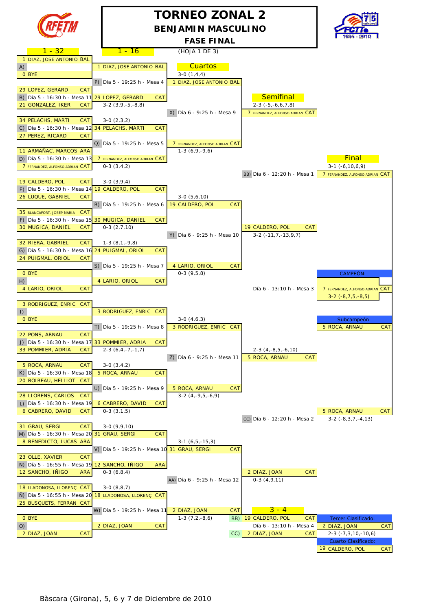

## **TORNEO ZONAL 2 BENJAMIN MASCULINO**



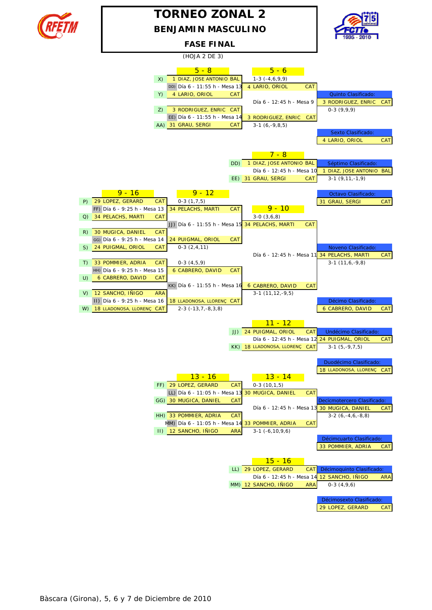

## **BENJAMIN MASCULINO TORNEO ZONAL 2**



#### **FASE FINAL**

 $(HO)$  $(AO)$   $(F 3)$ 

|    |                                                                | (1103A Z D <sub>L</sub> 3)                      |            |                                                 |            |                                              |            |
|----|----------------------------------------------------------------|-------------------------------------------------|------------|-------------------------------------------------|------------|----------------------------------------------|------------|
|    |                                                                | $5 - 8$                                         |            | $5 - 6$                                         |            |                                              |            |
|    | X)                                                             | 1 DIAZ, JOSE ANTONIO BAL                        |            | $1-3(-4,6,9,9)$                                 |            |                                              |            |
|    |                                                                | DD) Día 6 - 11:55 h - Mesa 13                   |            | 4 LARIO, ORIOL                                  | <b>CAT</b> |                                              |            |
|    | Y)                                                             | 4 LARIO, ORIOL                                  | <b>CAT</b> |                                                 |            | Quinto Clasificado:                          |            |
|    |                                                                |                                                 |            | Día 6 - 12:45 h - Mesa 9                        |            | 3 RODRIGUEZ, ENRIC                           | <b>CAT</b> |
|    | Z)                                                             | 3 RODRIGUEZ, ENRIC CAT                          |            |                                                 |            | $0-3(9,9,9)$                                 |            |
|    |                                                                | EE) Día 6 - 11:55 h - Mesa 14                   |            | 3 RODRIGUEZ, ENRIC                              | <b>CAT</b> |                                              |            |
|    |                                                                | AA) 31 GRAU, SERGI                              | <b>CAT</b> | $3-1(6,-9,8,5)$                                 |            |                                              |            |
|    |                                                                |                                                 |            |                                                 |            | Sexto Clasificado:                           |            |
|    |                                                                |                                                 |            |                                                 |            | 4 LARIO, ORIOL                               | <b>CAT</b> |
|    |                                                                |                                                 |            | <u>7 - 8</u>                                    |            |                                              |            |
|    |                                                                |                                                 |            |                                                 |            |                                              |            |
|    |                                                                |                                                 | DD)        | 1 DIAZ, JOSE ANTONIO BAL                        |            | Séptimo Clasificado:                         |            |
|    |                                                                |                                                 |            | Día 6 - 12:45 h - Mesa 10<br>EE) 31 GRAU, SERGI | CAT        | 1 DIAZ, JOSE ANTONIO BAL<br>$3-1(9,11,-1,9)$ |            |
|    |                                                                |                                                 |            |                                                 |            |                                              |            |
|    | $9 - 16$                                                       | $9 - 12$                                        |            |                                                 |            | Octavo Clasificado:                          |            |
| P) | 29 LOPEZ, GERARD<br><b>CAT</b>                                 | $0-3(1,7,5)$                                    |            |                                                 |            | 31 GRAU, SERGI                               | <b>CAT</b> |
|    | FF) Día 6 - 9:25 h - Mesa 13                                   | <b>34 PELACHS, MARTI</b>                        | <b>CAT</b> | <u>9 - 10</u>                                   |            |                                              |            |
| Q) | 34 PELACHS, MARTI<br><b>CAT</b>                                |                                                 |            | $3-0(3,6,8)$                                    |            |                                              |            |
|    |                                                                | JJ) Día 6 - 11:55 h - Mesa 15 34 PELACHS, MARTI |            |                                                 | <b>CAT</b> |                                              |            |
| R) | 30 MUGICA, DANIEL<br><b>CAT</b>                                |                                                 |            |                                                 |            |                                              |            |
|    | GG) Día 6 - 9:25 h - Mesa 14                                   | 24 PUIGMAL, ORIOL                               | <b>CAT</b> |                                                 |            |                                              |            |
| S) | 24 PUIGMAL, ORIOL<br><b>CAT</b>                                | $0-3(2,4,11)$                                   |            |                                                 |            | Noveno Clasificado:                          |            |
|    |                                                                |                                                 |            | Día 6 - 12:45 h - Mesa 11                       |            | 34 PELACHS, MARTI                            | <b>CAT</b> |
| T) | 33 POMMIER, ADRIA<br><b>CAT</b>                                | $0-3(4,5,9)$                                    |            |                                                 |            | $3-1(11,6,-9,8)$                             |            |
|    | HH) Día 6 - 9:25 h - Mesa 15                                   | <b>6 CABRERO, DAVID</b>                         | <b>CAT</b> |                                                 |            |                                              |            |
| U) | 6 CABRERO, DAVID<br><b>CAT</b>                                 |                                                 |            |                                                 |            |                                              |            |
|    |                                                                | KK) Día 6 - 11:55 h - Mesa 16                   |            | 6 CABRERO, DAVID                                | <b>CAT</b> |                                              |            |
| V) | 12 SANCHO, IÑIGO<br><b>ARA</b><br>II) Día 6 - 9:25 h - Mesa 16 | 18 LLADONOSA, LLORENÇ CAT                       |            | $3-1(11, 12, -9, 5)$                            |            | Décimo Clasificado:                          |            |
| W) | 18 LLADONOSA, LLORENÇ CAT                                      | $2-3$ ( $-13,7,-8,3,8$ )                        |            |                                                 |            | <b>6 CABRERO, DAVID</b>                      | CAT        |
|    |                                                                |                                                 |            |                                                 |            |                                              |            |
|    |                                                                |                                                 |            | <u> 11 - 12</u>                                 |            |                                              |            |
|    |                                                                |                                                 | JJ)        | 24 PUIGMAL, ORIOL                               | <b>CAT</b> | Undécimo Clasificado:                        |            |
|    |                                                                |                                                 |            | Día 6 - 12:45 h - Mesa 12                       |            | 24 PUIGMAL, ORIOL                            | <b>CAT</b> |
|    |                                                                |                                                 |            | KK) 18 LLADONOSA, LLORENÇ                       | CAT        | $3-1(5,-9,7,5)$                              |            |
|    |                                                                |                                                 |            |                                                 |            |                                              |            |
|    |                                                                |                                                 |            |                                                 |            | Duodécimo Clasificado:                       |            |
|    |                                                                |                                                 |            |                                                 |            | 18 LLADONOSA, LLORENÇ                        | <b>CAT</b> |
|    |                                                                | <u> 13 - 16</u>                                 |            | $13 - 14$                                       |            |                                              |            |
|    |                                                                | FF) 29 LOPEZ, GERARD                            | <b>CAT</b> | $0-3(10,1,5)$                                   |            |                                              |            |
|    |                                                                | LL) Día 6 - 11:05 h - Mesa 13                   |            | 30 MUGICA, DANIEL                               | <b>CAT</b> |                                              |            |
|    |                                                                | GG) 30 MUGICA, DANIEL                           | CAT        | Día 6 - 12:45 h - Mesa 13                       |            | Decicmotercero Clasificado:                  |            |
|    |                                                                | HH) 33 POMMIER, ADRIA                           | <b>CAT</b> |                                                 |            | 30 MUGICA, DANIEL<br>$3-2(6,-4,6,-8,8)$      | CAT        |
|    |                                                                | MM) Día 6 - 11:05 h - Mesa 14 33 POMMIER, ADRIA |            |                                                 | CAT        |                                              |            |
|    |                                                                | II) 12 SANCHO, INIGO                            | <b>ARA</b> | $3-1$ ( $-6, 10, 9, 6$ )                        |            |                                              |            |
|    |                                                                |                                                 |            |                                                 |            | Décimcuarto Clasificado:                     |            |
|    |                                                                |                                                 |            |                                                 |            | 33 POMMIER, ADRIA                            | <b>CAT</b> |
|    |                                                                |                                                 |            |                                                 |            |                                              |            |
|    |                                                                |                                                 |            | <u> 15 - 16</u>                                 |            |                                              |            |
|    |                                                                |                                                 |            | LL) 29 LOPEZ, GERARD                            | <b>CAT</b> | Décimoquinto Clasificado:                    |            |
|    |                                                                |                                                 |            | Día 6 - 12:45 h - Mesa 14                       |            | 12 SANCHO, INIGO                             | ARA        |
|    |                                                                |                                                 |            | MM) 12 SANCHO, INIGO                            | <b>ARA</b> | $0-3(4,9,6)$                                 |            |
|    |                                                                |                                                 |            |                                                 |            |                                              |            |
|    |                                                                |                                                 |            |                                                 |            | Décimosexto Clasificado:                     |            |
|    |                                                                |                                                 |            |                                                 |            | 29 LOPEZ, GERARD                             | CAT        |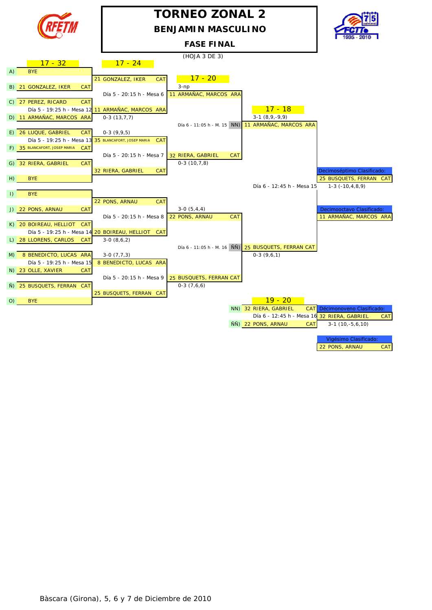

## **TORNEO ZONAL 2 BENJAMIN MASCULINO**

#### **FASE FINAL**



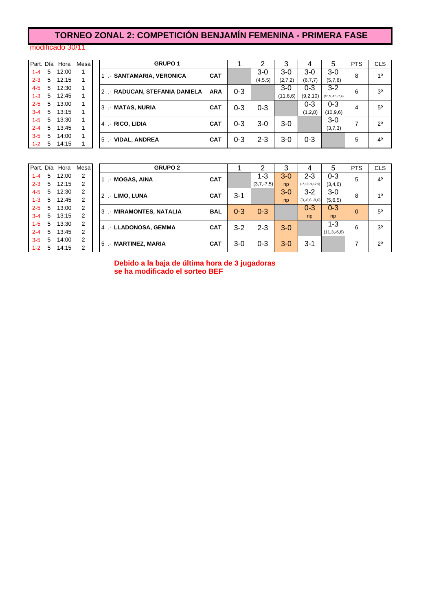## **TORNEO ZONAL 2: COMPETICIÓN BENJAMÍN FEMENINA - PRIMERA FASE**

#### modificado 30/11

 $3-5$  $1 - 2$ 

|         |             | Part. Día Hora | Mesa |   | <b>GRUPO 1</b>                  |            |         |           |          | 4        | 5                     | <b>PTS</b> | <b>CLS</b>     |
|---------|-------------|----------------|------|---|---------------------------------|------------|---------|-----------|----------|----------|-----------------------|------------|----------------|
| $1 - 4$ | 5           | 12:00          |      |   | <b>. - SANTAMARIA, VERONICA</b> | <b>CAT</b> |         | $3-0$     | $3-0$    | 3-0      | $3-0$                 | 8          | 1 <sup>0</sup> |
| $2 - 3$ | 5           | 12:15          |      |   |                                 |            |         | (4, 5, 5) | (2,7,2)  | (6,7,7)  | (5,7,8)               |            |                |
| $4 - 5$ | 5           | 12:30          |      |   | 2. RADUCAN, STEFANIA DANIELA    | <b>ARA</b> | $0 - 3$ |           | $3-0$    | 0-3      | $3 - 2$               | 6          | 3 <sup>o</sup> |
| $1 - 3$ | $5^{\circ}$ | 12:45          |      |   |                                 |            |         |           | (11,6,6) | (9,2,10) | $(10, 5, -10, -7, 4)$ |            |                |
| $2 - 5$ | 5           | 13:00          |      |   | 3 .- MATAS, NURIA               | <b>CAT</b> | $0 - 3$ | $0 - 3$   |          | $0 - 3$  | $0 - 3$               | 4          | $5^{\circ}$    |
| $3 - 4$ | 5           | 13:15          |      |   |                                 |            |         |           |          | (1,2,8)  | (10, 9, 6)            |            |                |
| $1 - 5$ | 5           | 13:30          |      |   | . RICO, LIDIA                   | <b>CAT</b> | $0 - 3$ | $3-0$     | $3-0$    |          | $3-0$                 | ⇁          | $2^{\circ}$    |
| $2 - 4$ | 5           | 13:45          |      | 4 |                                 |            |         |           |          |          | (3,7,3)               |            |                |
| $3 - 5$ | 5           | 14:00          |      |   |                                 | <b>CAT</b> | $0 - 3$ | $2 - 3$   | 3-0      | $0 - 3$  |                       | 5          | 4 <sup>0</sup> |
| $1 - 2$ | 5           | 14:15          |      |   | <b>VIDAL, ANDREA</b><br>$51 -$  |            |         |           |          |          |                       |            |                |
|         |             |                |      |   |                                 |            |         |           |          |          |                       |            |                |

|   |   | Mesa           | Hora  |   | Part. Día |  |
|---|---|----------------|-------|---|-----------|--|
| М | 1 | $\overline{2}$ | 12:00 | 5 | $1 - 4$   |  |
|   |   | $\overline{2}$ | 12:15 | 5 | $2 - 3$   |  |
| Ы | 2 | $\overline{2}$ | 12:30 | 5 | $4 - 5$   |  |
|   |   | $\overline{2}$ | 12:45 | 5 | $1 - 3$   |  |
| М | 3 | $\overline{2}$ | 13:00 | 5 | $2 - 5$   |  |
|   |   | $\overline{2}$ | 13:15 | 5 | $3 - 4$   |  |
| ш | 4 | $\overline{2}$ | 13:30 | 5 | $1 - 5$   |  |
|   |   | $\overline{2}$ | 13:45 | 5 | $2 - 4$   |  |
| м | 5 | $\overline{2}$ | 14:00 | 5 | $3 - 5$   |  |
|   |   | $\overline{2}$ | 14:15 | 5 | $1 - 2$   |  |

|         |    | Part. Día Hora | Mesa | <b>GRUPO 2</b>                       |            |         | ⌒            | 3       | 4                     | 5             | <b>PTS</b> | <b>CLS</b>     |
|---------|----|----------------|------|--------------------------------------|------------|---------|--------------|---------|-----------------------|---------------|------------|----------------|
| $1 - 4$ | 5  | 12:00          | 2    | I - MOGAS, AINA                      | <b>CAT</b> |         | 1-3          | $3-0$   | $2 - 3$               | $0 - 3$       | 5          | $4^{\circ}$    |
| $2 - 3$ | 5  | 12:15          | 2    |                                      |            |         | $(3,7,-7,5)$ | np      | $(-7, 10, -9, 12, 5)$ | (3,4,6)       |            |                |
| $4 - 5$ | 5  | 12:30          | 2    | LIMO, LUNA<br>$21 -$                 | <b>CAT</b> | $3 - 1$ |              | $3-0$   | $3 - 2$               | $3-0$         | 8          | 1 <sup>0</sup> |
| $1 - 3$ | 5  | 12:45          | 2    |                                      |            |         |              | np      | $(3,-6,6,-8,6)$       | (5,6,5)       |            |                |
| $2 - 5$ | 5  | 13:00          | 2    | <b>MIRAMONTES, NATALIA</b><br>$3L -$ | <b>BAL</b> | $0 - 3$ | $0 - 3$      |         | $0 - 3$               | $0 - 3$       | $\Omega$   | $5^{\circ}$    |
| $3 - 4$ | 5  | 13:15          | 2    |                                      |            |         |              |         | np                    | np            |            |                |
| $1 - 5$ | 5  | 13:30          | 2    | 4   .- LLADONOSA, GEMMA              | <b>CAT</b> | $3 - 2$ | $2 - 3$      | $3-0$   |                       | 1-3           | 6          | 3 <sup>o</sup> |
| $2 - 4$ | 5  | 13:45          | 2    |                                      |            |         |              |         |                       | $(11,3,-6,8)$ |            |                |
| $3-5$   | 5  | 14:00          | 2    |                                      | <b>CAT</b> | $3-0$   | $0 - 3$      | $3 - 0$ | $3 - 1$               |               |            | $2^{\circ}$    |
| $1 - 2$ | -5 | 14:15          | 2    | <b>MARTINEZ, MARIA</b><br>$51 -$     |            |         |              |         |                       |               |            |                |

**Debido a la baja de última hora de 3 jugadoras se ha modificado el sorteo BEF**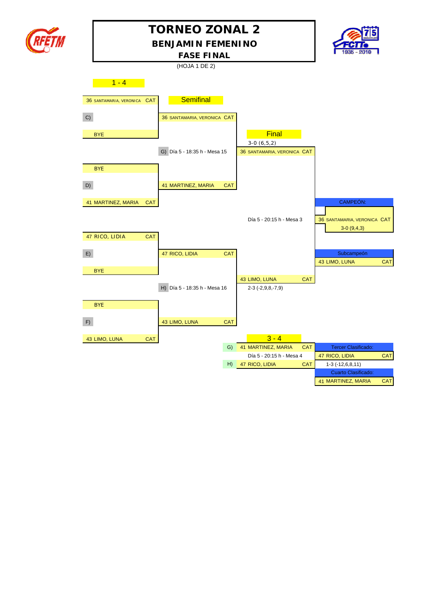

# **TORNEO ZONAL 2**

**BENJAMIN FEMENINO**



**FASE FINAL**

(HOJA 1 DE 2)

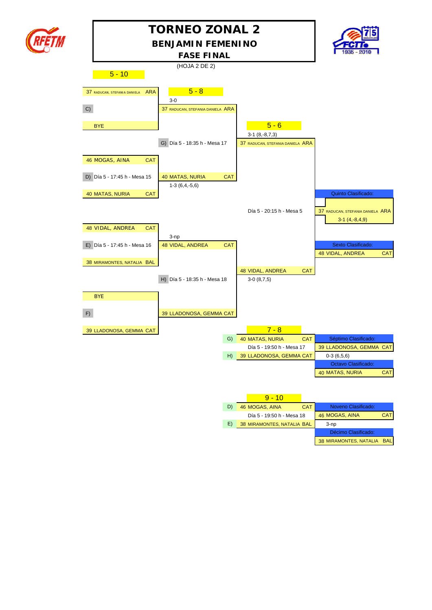

## **BENJAMIN FEMENINO TORNEO ZONAL 2**



38 MIRAMONTES, NATALIA BAL

|    |                                            | <b>FASE FINAL</b>                |            |                                  |            | 1935 - 2010 <b>1</b>                   |            |
|----|--------------------------------------------|----------------------------------|------------|----------------------------------|------------|----------------------------------------|------------|
|    |                                            | (HOJA 2 DE 2)                    |            |                                  |            |                                        |            |
|    | $5 - 10$                                   |                                  |            |                                  |            |                                        |            |
|    | <b>ARA</b><br>37 RADUCAN, STEFANIA DANIELA | $5 - 8$                          |            |                                  |            |                                        |            |
|    |                                            | $3-0$                            |            |                                  |            |                                        |            |
| C) |                                            | 37 RADUCAN, STEFANIA DANIELA ARA |            |                                  |            |                                        |            |
|    | <b>BYE</b>                                 |                                  |            | $5 - 6$                          |            |                                        |            |
|    |                                            |                                  |            | $3-1(8,-8,7,3)$                  |            |                                        |            |
|    |                                            | G) Día 5 - 18:35 h - Mesa 17     |            | 37 RADUCAN, STEFANIA DANIELA ARA |            |                                        |            |
|    | 46 MOGAS, AINA<br>CAT                      |                                  |            |                                  |            |                                        |            |
|    | D) Día 5 - 17:45 h - Mesa 15               | 40 MATAS, NURIA                  | <b>CAT</b> |                                  |            |                                        |            |
|    |                                            | $1-3(6,4,-5,6)$                  |            |                                  |            |                                        |            |
|    | 40 MATAS, NURIA<br><b>CAT</b>              |                                  |            |                                  |            | Quinto Clasificado:                    |            |
|    |                                            |                                  |            |                                  |            |                                        |            |
|    |                                            |                                  |            | Día 5 - 20:15 h - Mesa 5         |            | 37 RADUCAN, STEFANIA DANIELA ARA       |            |
|    |                                            |                                  |            |                                  |            | $3-1(4,-8,4,9)$                        |            |
|    | 48 VIDAL, ANDREA<br><b>CAT</b>             |                                  |            |                                  |            |                                        |            |
|    |                                            | $3$ -np                          |            |                                  |            |                                        |            |
|    | E) Día 5 - 17:45 h - Mesa 16               | 48 VIDAL, ANDREA                 | <b>CAT</b> |                                  |            | Sexto Clasificado:<br>48 VIDAL, ANDREA |            |
|    | 38 MIRAMONTES, NATALIA BAL                 |                                  |            |                                  |            |                                        | <b>CAT</b> |
|    |                                            |                                  |            | 48 VIDAL, ANDREA                 | <b>CAT</b> |                                        |            |
|    |                                            | H) Día 5 - 18:35 h - Mesa 18     |            | $3-0(8,7,5)$                     |            |                                        |            |
|    |                                            |                                  |            |                                  |            |                                        |            |
|    | <b>BYE</b>                                 |                                  |            |                                  |            |                                        |            |
| F) |                                            | 39 LLADONOSA, GEMMA CAT          |            |                                  |            |                                        |            |
|    |                                            |                                  |            |                                  |            |                                        |            |
|    | 39 LLADONOSA, GEMMA CAT                    |                                  |            | $7 - 8$                          |            |                                        |            |
|    |                                            |                                  | G)         | <b>40 MATAS, NURIA</b>           | <b>CAT</b> | Séptimo Clasificado:                   |            |
|    |                                            |                                  |            | Día 5 - 19:50 h - Mesa 17        |            | 39 LLADONOSA, GEMMA CAT                |            |
|    |                                            |                                  | H)         | 39 LLADONOSA, GEMMA CAT          |            | $0-3(6,5,6)$                           |            |
|    |                                            |                                  |            |                                  |            | Octavo Clasificado:                    |            |
|    |                                            |                                  |            |                                  |            | 40 MATAS, NURIA                        | <b>CAT</b> |
|    |                                            |                                  |            |                                  |            |                                        |            |
|    |                                            |                                  |            | $9 - 10$                         |            |                                        |            |
|    |                                            |                                  | D)         | 46 MOGAS, AINA                   | <b>CAT</b> | Noveno Clasificado:                    |            |
|    |                                            |                                  |            | Día 5 - 19:50 h - Mesa 18        |            | 46 MOGAS, AINA                         | <b>CAT</b> |
|    |                                            |                                  | E)         | 38 MIRAMONTES, NATALIA BAL       |            | $3$ -np                                |            |
|    |                                            |                                  |            |                                  |            | Décimo Clasificado:                    |            |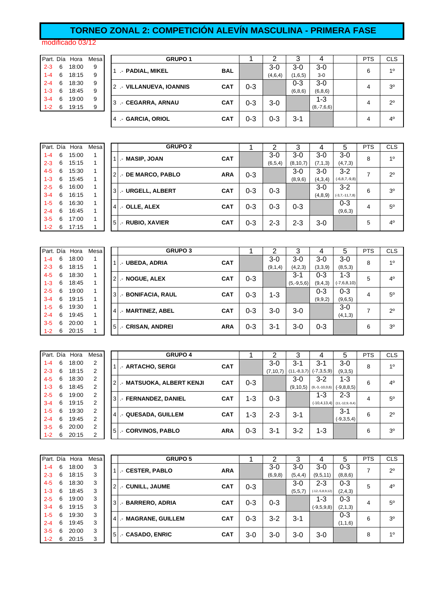## **TORNEO ZONAL 2: COMPETICIÓN ALEVÍN MASCULINA - PRIMERA FASE**

#### modificado 03/12

| Part. Día |   | Hora  | Mesa |
|-----------|---|-------|------|
| $2 - 3$   | 6 | 18:00 | 9    |
| $1 - 4$   | 6 | 18:15 | 9    |
| $2 - 4$   | 6 | 18:30 | 9    |
| 1-3       | 6 | 18:45 | 9    |
| $3 - 4$   | 6 | 19:00 | 9    |
| 1-2       | 6 | 19:15 | 9    |

|         |   | Part. Día Hora | Mesa | <b>GRUPO 1</b>           |            |         |         | 3       | 4            | <b>PTS</b> | <b>CLS</b>     |
|---------|---|----------------|------|--------------------------|------------|---------|---------|---------|--------------|------------|----------------|
| $2 - 3$ | 6 | 18:00          | 9    | .- PADIAL, MIKEL         | <b>BAL</b> |         | $3-0$   | 3-0     | $3-0$        | 6          | 10             |
| $1 - 4$ | 6 | 18:15          | 9    |                          |            |         | (4,6,4) | (1,6,5) | $3-0$        |            |                |
| $2 - 4$ | 6 | 18:30          | 9    | 2 .- VILLANUEVA, IOANNIS | <b>CAT</b> | $0 - 3$ |         | $0 - 3$ | $3-0$        | 4          | 3 <sup>o</sup> |
| $1 - 3$ | 6 | 18:45          | 9    |                          |            |         |         | (6,8,6) | (6, 8, 6)    |            |                |
| $3 - 4$ | 6 | 19:00          | 9    | 3 .- CEGARRA, ARNAU      | <b>CAT</b> | $0 - 3$ | $3-0$   |         | $1 - 3$      | 4          | $2^{\circ}$    |
| $1 - 2$ | 6 | 19:15          | 9    |                          |            |         |         |         | $(8,-7,6,6)$ |            |                |
|         |   |                |      | 4 - GARCIA, ORIOL        | <b>CAT</b> | $0 - 3$ | $0 - 3$ | 3-1     |              | 4          | 4 <sup>0</sup> |

|         |   | Part. Día Hora | Mesa | <b>GRUPO 2</b>     |            |         |         | 3          | 4         | 5                   | <b>PTS</b> | <b>CLS</b>     |
|---------|---|----------------|------|--------------------|------------|---------|---------|------------|-----------|---------------------|------------|----------------|
| $1 - 4$ | 6 | 15:00          |      | I .- MASIP, JOAN   | <b>CAT</b> |         | $3-0$   | 3-0        | $3-0$     | $3-0$               | 8          | 1 <sup>0</sup> |
| $2 - 3$ | 6 | 15:15          |      |                    |            |         | (6,5,4) | (8, 10, 7) | (7, 1, 3) | (4,7,3)             |            |                |
| $4 - 5$ | 6 | 15:30          |      | 2. DE MARCO, PABLO | <b>ARA</b> | $0 - 3$ |         | $3-0$      | $3-0$     | $3-2$               | ⇁          | $2^{\circ}$    |
| $1 - 3$ | 6 | 15:45          |      |                    |            |         |         | (8,9,6)    | (4,3,4)   | $(-6, 8, 7, -9, 8)$ |            |                |
| $2 - 5$ | 6 | 16:00          | 1    | 3. URGELL, ALBERT  | <b>CAT</b> | $0 - 3$ | $0 - 3$ |            | $3-0$     | $3-2$               | 6          | 3 <sup>o</sup> |
| $3 - 4$ | 6 | 16:15          |      |                    |            |         |         |            | (4, 8, 9) | $(-3,7,-11,7,8)$    |            |                |
| $1 - 5$ | 6 | 16:30          |      | $4$ . OLLE, ALEX   | <b>CAT</b> | $0 - 3$ | $0 - 3$ | $0 - 3$    |           | $0 - 3$             | 4          | 5 <sup>o</sup> |
| $2 - 4$ | 6 | 16:45          |      |                    |            |         |         |            |           | (9,6,3)             |            |                |
| $3-5$   | 6 | 17:00          | 1    | 5 .- RUBIO, XAVIER | <b>CAT</b> | $0 - 3$ | $2 - 3$ | $2 - 3$    | $3-0$     |                     | 5          | 4 <sup>0</sup> |
| $1 - 2$ | 6 | 17:15          |      |                    |            |         |         |            |           |                     |            |                |

| Part. Día |   | Hora  | Mesa |                | <b>GRUPO 3</b>     |            |         | ⌒       | 3            |         | 5             | <b>PTS</b> | <b>CLS</b>     |
|-----------|---|-------|------|----------------|--------------------|------------|---------|---------|--------------|---------|---------------|------------|----------------|
| $1 - 4$   | 6 | 18:00 |      |                | I.- UBEDA, ADRIA   | <b>CAT</b> |         | $3-0$   | $3-0$        | $3-0$   | $3-0$         | 8          | 1 <sup>0</sup> |
| $2 - 3$   | 6 | 18:15 |      |                |                    |            |         | (9,1,4) | (4,2,3)      | (3,3,9) | (8,5,3)       |            |                |
| $4 - 5$   | 6 | 18:30 |      | $\overline{2}$ | .- NOGUE, ALEX     | <b>CAT</b> | $0 - 3$ |         | $3 - 1$      | $0 - 3$ | 1-3           | 5          | $4^{\circ}$    |
| $1 - 3$   | 6 | 18:45 |      |                |                    |            |         |         | $(5,-9,5,6)$ | (9,4,3) | $(-7,6,8,10)$ |            |                |
| $2 - 5$   | 6 | 19:00 |      | 3              | .- BONIFACIA, RAUL | <b>CAT</b> | $0 - 3$ | $1 - 3$ |              | 0-3     | $0 - 3$       | 4          | $5^{\circ}$    |
| $3 - 4$   | 6 | 19:15 |      |                |                    |            |         |         |              | (9,9,2) | (9,6,5)       |            |                |
| $1 - 5$   | 6 | 19:30 |      | 4              | .- MARTINEZ, ABEL  | <b>CAT</b> | $0 - 3$ | $3-0$   | $3-0$        |         | $3-0$         | 7          | $2^{\circ}$    |
| $2 - 4$   | 6 | 19:45 |      |                |                    |            |         |         |              |         | (4,1,3)       |            |                |
| $3 - 5$   | 6 | 20:00 |      | 5              |                    | <b>ARA</b> | $0 - 3$ |         |              |         |               | 6          | 3 <sup>0</sup> |
| $1 - 2$   | 6 | 20:15 |      |                | .- CRISAN, ANDREI  |            |         | 3-1     | $3-0$        | $0 - 3$ |               |            |                |

| Part. Día |   | Hora  | Mesa |                | <b>GRUPO 4</b>            |            |         | າ          | 3             | 4                | 5                                | <b>PTS</b> | <b>CLS</b>     |
|-----------|---|-------|------|----------------|---------------------------|------------|---------|------------|---------------|------------------|----------------------------------|------------|----------------|
| $1 - 4$   | 6 | 18:00 | 2    |                | .- ARTACHO, SERGI         | <b>CAT</b> |         | 3-0        | $3 - 1$       | $3 - 1$          | $3-0$                            | 8          | 10             |
| $2 - 3$   | 6 | 18:15 | 2    |                |                           |            |         | (7, 10, 7) | $(11,-8,3,7)$ | $(-7,3,5,9)$     | (9,3,5)                          |            |                |
| $4 - 5$   | 6 | 18:30 | 2    | $\overline{2}$ | .- MATSUOKA, ALBERT KENJI | <b>CAT</b> | $0 - 3$ |            | $3-0$         | $3 - 2$          | 1-3                              | 6          | $4^{\circ}$    |
| $1 - 3$   | 6 | 18:45 | 2    |                |                           |            |         |            | (9, 10, 5)    | $(9,-3,-10,0,6)$ | $(-9,8,8,5)$                     |            |                |
| $2 - 5$   | 6 | 19:00 | 2    | 3I             | .- FERNANDEZ, DANIEL      | <b>CAT</b> | 1-3     | $0 - 3$    |               | $1 - 3$          | $2 - 3$                          | 4          | $5^{\circ}$    |
| $3 - 4$   | 6 | 19:15 | 2    |                |                           |            |         |            |               |                  | $(-10,4,13,4)$ $(11,-12,9,-9,4)$ |            |                |
| $1 - 5$   | 6 | 19:30 | 2    | 41             | .- QUESADA, GUILLEM       | <b>CAT</b> | $1 - 3$ | $2 - 3$    | $3 - 1$       |                  | $3 - 1$                          | 6          | $2^{\circ}$    |
| $2 - 4$   | 6 | 19:45 | 2    |                |                           |            |         |            |               |                  | $(-9,3,5,4)$                     |            |                |
| $3 - 5$   | 6 | 20:00 | 2    | 5 <sub>l</sub> | <b>CORVINOS, PABLO</b>    | <b>ARA</b> | $0 - 3$ | $3 - 1$    | $3 - 2$       | $1 - 3$          |                                  | 6          | 3 <sup>0</sup> |
| $1 - 2$   | 6 | 20:15 | 2    |                |                           |            |         |            |               |                  |                                  |            |                |

| Part. Día |   | Hora  | Mesa |                | <b>GRUPO 5</b>      |            |         | 2       | 3       |                   | 5         | <b>PTS</b> | <b>CLS</b>     |
|-----------|---|-------|------|----------------|---------------------|------------|---------|---------|---------|-------------------|-----------|------------|----------------|
| $1 - 4$   | 6 | 18:00 | 3    |                | .- CESTER, PABLO    | <b>ARA</b> |         | $3-0$   | $3-0$   | $3-0$             | 0-3       | ⇁          | $2^{\circ}$    |
| $2 - 3$   | 6 | 18:15 | 3    |                |                     |            |         | (6,9,8) | (5,4,4) | (9,5,11)          | (8, 8, 6) |            |                |
| $4 - 5$   | 6 | 18:30 | 3    | $\overline{2}$ | .- CUNILL, JAUME    | <b>CAT</b> | $0 - 3$ |         | $3-0$   | $2 - 3$           | $0 - 3$   | 5          | 4 <sup>0</sup> |
| $1 - 3$   | 6 | 18:45 | 3    |                |                     |            |         |         | (5,5,7) | $(-12,-5,8,9,12)$ | (2,4,3)   |            |                |
| $2 - 5$   | 6 | 19:00 | 3    | 3 <sup>l</sup> | - BARRERO, ADRIA    | <b>CAT</b> | $0 - 3$ | $0 - 3$ |         | $1 - 3$           | $0 - 3$   | 4          | 5 <sup>0</sup> |
| $3 - 4$   | 6 | 19:15 | 3    |                |                     |            |         |         |         | $(-9,5,9,8)$      | (2,1,3)   |            |                |
| $1 - 5$   | 6 | 19:30 | 3    | $\overline{4}$ | .- MAGRANE, GUILLEM | <b>CAT</b> | $0 - 3$ | $3 - 2$ | $3 - 1$ |                   | $0 - 3$   | 6          | 3 <sup>o</sup> |
| $2 - 4$   | 6 | 19:45 | 3    |                |                     |            |         |         |         |                   | (1,1,6)   |            |                |
| $3 - 5$   | 6 | 20:00 | 3    | 5 <sub>l</sub> |                     | <b>CAT</b> | $3-0$   | $3-0$   | 3-0     | $3-0$             |           | 8          | 1 <sup>0</sup> |
| $1 - 2$   | 6 | 20:15 | 3    |                | .- CASADO, ENRIC    |            |         |         |         |                   |           |            |                |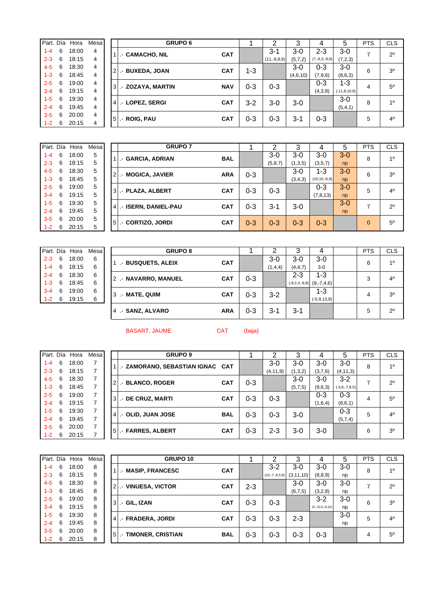|         | Part. Día | Hora  | Mesa |                 | <b>GRUPO 6</b>    |            |         | ົ             | 3        | 4               | 5                 | <b>PTS</b> | <b>CLS</b>     |
|---------|-----------|-------|------|-----------------|-------------------|------------|---------|---------------|----------|-----------------|-------------------|------------|----------------|
| $1 - 4$ | 6         | 18:00 | 4    |                 | .- CAMACHO, NIL   | <b>CAT</b> |         | $3 - 1$       | $3-0$    | 2-3             | $3-0$             | ⇁          | $2^{\circ}$    |
| $2 - 3$ | 6         | 18:15 | 4    |                 |                   |            |         | $(11,-8,8,6)$ | (5,7,2)  | $(7,-8,3,-8,8)$ | (7,2,3)           |            |                |
| $4 - 5$ | 6         | 18:30 | 4    | $^{\circ}2$     | .- BUXEDA, JOAN   | <b>CAT</b> | 1-3     |               | $3-0$    | $0 - 3$         | $3-0$             | 6          | 3 <sup>0</sup> |
| $1 - 3$ | 6         | 18:45 | 4    |                 |                   |            |         |               | (4,6,10) | (7,9,6)         | (8,6,3)           |            |                |
| $2 - 5$ | 6         | 19:00 | 4    | <sup>3</sup>    | .- ZOZAYA, MARTIN | <b>NAV</b> | $0 - 3$ | $0 - 3$       |          | $0 - 3$         | $1 - 3$           | 4          | $5^{\circ}$    |
| $3 - 4$ | 6         | 19:15 | 4    |                 |                   |            |         |               |          | (4,3,8)         | $(-11, 8, 10, 8)$ |            |                |
| $1 - 5$ | 6         | 19:30 | 4    |                 | .- LOPEZ, SERGI   | <b>CAT</b> | $3-2$   |               | $3-0$    |                 | $3-0$             | 8          | 1 <sup>0</sup> |
| $2 - 4$ | 6         | 19:45 | 4    | 4               |                   |            |         | 3-0           |          |                 | (5,4,1)           |            |                |
| $3 - 5$ | 6         | 20:00 | 4    | $5\overline{5}$ |                   | <b>CAT</b> |         | $0 - 3$       |          | $0 - 3$         |                   | 5          | 4 <sup>0</sup> |
| $1 - 2$ | 6         | 20:15 | 4    |                 | .- ROIG, PAU      |            | $0 - 3$ |               | $3 - 1$  |                 |                   |            |                |

| Part. Día |    | Hora  | Mesa |    | <b>GRUPO 7</b>                         |         |         | 3       | 4                 | 5       | <b>PTS</b> | <b>CLS</b>     |
|-----------|----|-------|------|----|----------------------------------------|---------|---------|---------|-------------------|---------|------------|----------------|
| $1 - 4$   | 6  | 18:00 | 5    |    | .- GARCIA, ADRIAN<br><b>BAL</b>        |         | $3-0$   | $3-0$   | $3-0$             | $3 - 0$ | 8          | 10             |
| $2 - 3$   | 6  | 18:15 | 5    |    |                                        |         | (5,8,7) | (1,3,5) | (3,5,7)           | np      |            |                |
| $4 - 5$   | 6  | 18:30 | 5    |    | .- MOGICA, JAVIER<br><b>ARA</b>        | $0 - 3$ |         | $3-0$   | $1 - 3$           | $3-0$   | 6          | 3 <sup>o</sup> |
| $1 - 3$   | 6  | 18:45 | 5    |    |                                        |         |         | (3,4,3) | $(10, 10, -6, 8)$ | np      |            |                |
| $2 - 5$   | 6  | 19:00 | 5    |    | 3 .- PLAZA, ALBERT<br><b>CAT</b>       | $0 - 3$ | $0 - 3$ |         | $0 - 3$           | $3-0$   | 5          | 4 <sup>0</sup> |
| $3 - 4$   | 6  | 19:15 | 5    |    |                                        |         |         |         | (7, 8, 13)        | np      |            |                |
| $1 - 5$   | 6  | 19:30 | 5    |    | <b>ISERN. DANIEL-PAU</b><br><b>CAT</b> |         |         |         |                   | $3 - 0$ | 7          | $2^{\circ}$    |
| $2 - 4$   | 6  | 19:45 | 5    |    | I . –                                  | $0 - 3$ | $3 - 1$ | $3-0$   |                   | np      |            |                |
| $3 - 5$   | 6  | 20:00 | 5    | 51 | <b>CAT</b>                             | $0 - 3$ |         | $0 - 3$ | $0 - 3$           |         | $\Omega$   | $5^{\circ}$    |
| $1 - 2$   | -6 | 20:15 | 5    |    | .- CORTIZO, JORDI                      |         | $0 - 3$ |         |                   |         |            |                |

|         |   | Part. Día Hora | Mesa |
|---------|---|----------------|------|
| $2 - 3$ | 6 | 18:00          | 6    |
| $1 - 4$ | 6 | 18:15          | 6    |
| $2 - 4$ | 6 | 18:30          | 6    |
| $1 - 3$ | 6 | 18:45          | 6    |
| $3 - 4$ | 6 | 19:00          | 6    |
| $1 - 2$ | 6 | 19:15          | 6    |

|         |    | Part. Día Hora | Mesa | <b>GRUPO 8</b>                     |         |         | З         |                                     | <b>PTS</b> | <b>CLS</b>     |
|---------|----|----------------|------|------------------------------------|---------|---------|-----------|-------------------------------------|------------|----------------|
| $2 - 3$ | 6  | 18:00          | 6    | .- BUSQUETS, ALEIX<br><b>CAT</b>   |         | $3-0$   | $3-0$     | $3-0$                               | 6          | 10             |
| $1 - 4$ | 6  | 18:15          | 6    |                                    |         | (1,4,4) | (4, 4, 7) | $3-0$                               |            |                |
| $2 - 4$ | -6 | 18:30          | 6    | 2 .- NAVARRO, MANUEL<br><b>CAT</b> | $0 - 3$ |         | $2 - 3$   | $1 - 3$                             | 3          | $4^{\circ}$    |
| $1 - 3$ | -6 | 18:45          | 6    |                                    |         |         |           | $(-8, 2, 4, -8, 8)$ $(9, -7, 4, 6)$ |            |                |
| $3 - 4$ | 6  | 19:00          | 6    | 3 .- MATE, QUIM<br><b>CAT</b>      | $0 - 3$ | $3 - 2$ |           | $1 - 3$                             | 4          | 3 <sup>o</sup> |
| $1 - 2$ | -6 | 19:15          | 6    |                                    |         |         |           | $(-5, 9, 13, 8)$                    |            |                |
|         |    |                |      | 4 - SANZ, ALVARO<br><b>ARA</b>     | $0 - 3$ | $3 - 1$ | $3-1$     |                                     | 5          | $2^{\circ}$    |

BASART, JAUME CAT (baja)

| Part. Día |    | Hora  | Mesa |     | <b>GRUPO 9</b>                       |         | ົ          | 3       | 4       | 5               | <b>PTS</b> | <b>CLS</b>     |
|-----------|----|-------|------|-----|--------------------------------------|---------|------------|---------|---------|-----------------|------------|----------------|
| $1 - 4$   | 6  | 18:00 |      |     | I .- ZAMORANO, SEBASTIAN IGNAC   CAT |         | $3-0$      | $3-0$   | 3-0     | $3-0$           | 8          | 10             |
| $2 - 3$   | 6  | 18:15 |      |     |                                      |         | (4, 11, 9) | (1,3,2) | (3,7,6) | (4, 11, 3)      |            |                |
| $4 - 5$   | 6  | 18:30 | 7    |     | 2. BLANCO, ROGER<br><b>CAT</b>       | $0 - 3$ |            | $3-0$   | 3-0     | $3-2$           |            | $2^{\circ}$    |
| $1 - 3$   | 6  | 18:45 |      |     |                                      |         |            | (5,7,5) | (9,6,3) | $(-3,6,-7,9,5)$ |            |                |
| $2 - 5$   | 6  | 19:00 |      | 3 L | .- DE CRUZ, MARTI<br><b>CAT</b>      | $0 - 3$ | $0 - 3$    |         | 0-3     | $0 - 3$         | 4          | $5^{\circ}$    |
| $3 - 4$   | 6  | 19:15 |      |     |                                      |         |            |         | (1,6,4) | (8,6,1)         |            |                |
| $1 - 5$   | -6 | 19:30 |      |     | 4   .- OLID, JUAN JOSE<br><b>BAL</b> | $0 - 3$ | $0 - 3$    | $3-0$   |         | $0 - 3$         | 5          | $4^{\circ}$    |
| $2 - 4$   | 6  | 19:45 |      |     |                                      |         |            |         |         | (5,7,4)         |            |                |
| $3 - 5$   | 6  | 20:00 |      |     | 5 - FARRES, ALBERT<br><b>CAT</b>     | $0 - 3$ | $2 - 3$    | 3-0     | 3-0     |                 | 6          | 3 <sup>o</sup> |
| $1 - 2$   | 6  | 20:15 |      |     |                                      |         |            |         |         |                 |            |                |

| Part. Día |   | Hora  | Mesa |                | GRUPO 10             |            |         | ົ                | 3           | 4                 | 5     | <b>PTS</b> | <b>CLS</b>     |
|-----------|---|-------|------|----------------|----------------------|------------|---------|------------------|-------------|-------------------|-------|------------|----------------|
| $1 - 4$   | 6 | 18:00 | 8    |                | .- MASIP, FRANCESC   | <b>CAT</b> |         | $3 - 2$          | $3-0$       | $3-0$             | $3-0$ | 8          | 1 <sup>0</sup> |
| $2 - 3$   | 6 | 18:15 | 8    |                |                      |            |         | $(10,-7,-8,5,8)$ | (3, 11, 10) | (8, 8, 9)         | np    |            |                |
| $4 - 5$   | 6 | 18:30 | 8    | $\overline{2}$ | .- VINUESA, VICTOR   | <b>CAT</b> | $2 - 3$ |                  | $3-0$       | 3-0               | 3-0   | ⇁          | $2^{\circ}$    |
| $1 - 3$   | 6 | 18:45 | 8    |                |                      |            |         |                  | (6,7,5)     | (3,2,8)           | np    |            |                |
| $2 - 5$   | 6 | 19:00 | 8    | 3              | .- GIL, IZAN         | <b>CAT</b> | $0 - 3$ | $0 - 3$          |             | $3 - 2$           | $3-0$ | 6          | 3 <sup>o</sup> |
| $3 - 4$   | 6 | 19:15 | 8    |                |                      |            |         |                  |             | $(5,-10,6,-8,10)$ | np    |            |                |
| $1 - 5$   | 6 | 19:30 | 8    | 4              | .- FRADERA, JORDI    | <b>CAT</b> | $0 - 3$ | $0 - 3$          | $2 - 3$     |                   | $3-0$ | 5          | $4^{\circ}$    |
| $2 - 4$   | 6 | 19:45 | 8    |                |                      |            |         |                  |             |                   | np    |            |                |
| $3-5$     | 6 | 20:00 | 8    | 5 <sub>l</sub> | .- TIMONER, CRISTIAN | <b>BAL</b> | $0 - 3$ | $0 - 3$          | $0 - 3$     | $0 - 3$           |       | 4          | $5^{\circ}$    |
| $1 - 2$   | 6 | 20:15 | 8    |                |                      |            |         |                  |             |                   |       |            |                |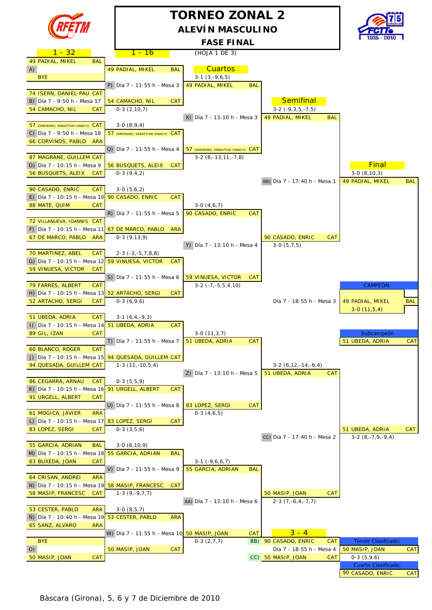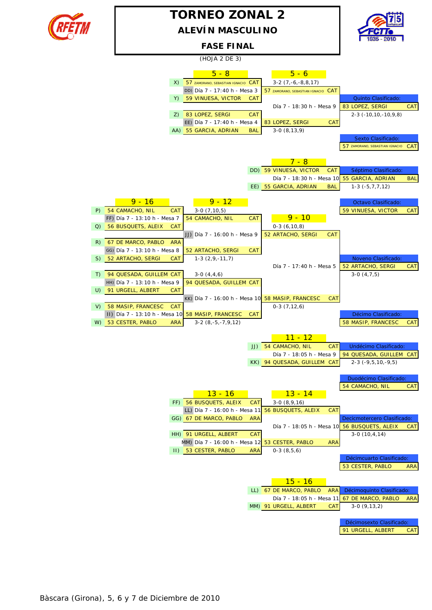

## **ALEVÍN MASCULINO TORNEO ZONAL 2**



**FASE FINAL**

|    |                                                   |            | (HOJA 2 DE 3)                                    |            |                                                         |                                                      |            |
|----|---------------------------------------------------|------------|--------------------------------------------------|------------|---------------------------------------------------------|------------------------------------------------------|------------|
|    |                                                   |            | $5 - 8$                                          |            | $5 - 6$                                                 |                                                      |            |
|    |                                                   | X)         | 57 ZAMORANO, SEBASTIAN IGNACIO CAT               |            | $3-2$ $(7,-6,-8,8,17)$                                  |                                                      |            |
|    |                                                   |            | DD) Día 7 - 17:40 h - Mesa 3                     |            | 57 ZAMORANO, SEBASTIAN IGNACIO CAT                      |                                                      |            |
|    |                                                   | Y)         | 59 VINUESA, VICTOR                               | <b>CAT</b> |                                                         | Quinto Clasificado:                                  |            |
|    |                                                   |            |                                                  |            | Día 7 - 18:30 h - Mesa 9                                | 83 LOPEZ, SERGI                                      | <b>CAT</b> |
|    |                                                   | Z)         | 83 LOPEZ, SERGI                                  | <b>CAT</b> |                                                         | $2-3$ ( $-10, 10, -10, 9, 8$ )                       |            |
|    |                                                   |            | EE) Día 7 - 17:40 h - Mesa 4                     |            | 83 LOPEZ, SERGI<br><b>CAT</b>                           |                                                      |            |
|    |                                                   |            | AA) 55 GARCIA, ADRIAN                            | <b>BAL</b> | $3-0(8,13,9)$                                           |                                                      |            |
|    |                                                   |            |                                                  |            |                                                         | Sexto Clasificado:<br>57 ZAMORANO, SEBASTIAN IGNACIO | <b>CAT</b> |
|    |                                                   |            |                                                  |            |                                                         |                                                      |            |
|    |                                                   |            |                                                  |            | $7 - 8$                                                 |                                                      |            |
|    |                                                   |            |                                                  |            | DD) 59 VINUESA, VICTOR<br><b>CAT</b>                    | Séptimo Clasificado:                                 |            |
|    |                                                   |            |                                                  |            | Día 7 - 18:30 h - Mesa 10 55 GARCIA, ADRIAN             |                                                      | <b>BAL</b> |
|    |                                                   |            |                                                  |            | EE) 55 GARCIA, ADRIAN<br><b>BAL</b>                     | $1-3$ ( $-5, 7, 7, 12$ )                             |            |
|    |                                                   |            |                                                  |            |                                                         |                                                      |            |
|    | $9 - 16$                                          |            | $9 - 12$                                         |            |                                                         | Octavo Clasificado:                                  |            |
| P) | 54 CAMACHO, NIL<br>FF) Día 7 - 13:10 h - Mesa 7   | <b>CAT</b> | $3-0(7,10,5)$<br>54 CAMACHO, NIL                 | CAT        | $9 - 10$                                                | 59 VINUESA, VICTOR                                   | <b>CAT</b> |
| Q) | 56 BUSQUETS, ALEIX                                | <b>CAT</b> |                                                  |            | $0-3(6,10,8)$                                           |                                                      |            |
|    |                                                   |            | JJ) Día 7 - 16:00 h - Mesa 9                     |            | 52 ARTACHO, SERGI<br>CAT                                |                                                      |            |
| R) | 67 DE MARCO, PABLO                                | <b>ARA</b> |                                                  |            |                                                         |                                                      |            |
|    | GG) Día 7 - 13:10 h - Mesa 8                      |            | 52 ARTACHO, SERGI                                | CAT        |                                                         |                                                      |            |
| S) | 52 ARTACHO, SERGI                                 | <b>CAT</b> | $1-3(2,9,-11,7)$                                 |            |                                                         | Noveno Clasificado:                                  |            |
|    |                                                   |            |                                                  |            | Día 7 - 17:40 h - Mesa 5                                | 52 ARTACHO, SERGI                                    | <b>CAT</b> |
| T) | 94 QUESADA, GUILLEM CAT                           |            | $3-0(4,4,6)$                                     |            |                                                         | $3-0(4,7,5)$                                         |            |
| U) | HH) Día 7 - 13:10 h - Mesa 9<br>91 URGELL, ALBERT | <b>CAT</b> | 94 QUESADA, GUILLEM CAT                          |            |                                                         |                                                      |            |
|    |                                                   |            | KK) Día 7 - 16:00 h - Mesa 10 58 MASIP, FRANCESC |            | <b>CAT</b>                                              |                                                      |            |
| V) | 58 MASIP, FRANCESC                                | <b>CAT</b> |                                                  |            | $0-3(7,12,6)$                                           |                                                      |            |
|    | II) Día 7 - 13:10 h - Mesa 10 58 MASIP, FRANCESC  |            |                                                  | <b>CAT</b> |                                                         | Décimo Clasificado:                                  |            |
| W) | 53 CESTER, PABLO                                  | <b>ARA</b> | $3-2(8,-5,-7,9,12)$                              |            |                                                         | 58 MASIP, FRANCESC                                   | <b>CAT</b> |
|    |                                                   |            |                                                  |            |                                                         |                                                      |            |
|    |                                                   |            |                                                  |            | <u> 11 - 12</u>                                         |                                                      |            |
|    |                                                   |            |                                                  | JJ)        | 54 CAMACHO, NIL<br><b>CAT</b>                           | Undécimo Clasificado:                                |            |
|    |                                                   |            |                                                  |            | Día 7 - 18:05 h - Mesa 9<br>KK) 94 QUESADA, GUILLEM CAT | 94 QUESADA, GUILLEM CAT<br>$2-3$ ( $-9,5,10,-9,5$ )  |            |
|    |                                                   |            |                                                  |            |                                                         |                                                      |            |
|    |                                                   |            |                                                  |            |                                                         | Duodécimo Clasificado:                               |            |
|    |                                                   |            |                                                  |            |                                                         | 54 CAMACHO, NIL                                      | <b>CAT</b> |
|    |                                                   |            | <u> 13 - 16</u>                                  |            | <u> 13 - 14 </u>                                        |                                                      |            |
|    |                                                   |            | FF) 56 BUSQUETS, ALEIX                           | <b>CAT</b> | $3-0(8,9,16)$                                           |                                                      |            |
|    |                                                   |            | LL) Día 7 - 16:00 h - Mesa 11                    |            | 56 BUSQUETS, ALEIX<br><b>CAT</b>                        |                                                      |            |
|    |                                                   |            | GG) 67 DE MARCO, PABLO                           | <b>ARA</b> |                                                         | Decicmotercero Clasificado:                          |            |
|    |                                                   |            | HH) 91 URGELL, ALBERT                            | <b>CAT</b> | Día 7 - 18:05 h - Mesa 10 56 BUSQUETS, ALEIX            | $3-0(10,4,14)$                                       | CAT        |
|    |                                                   |            | MM) Día 7 - 16:00 h - Mesa 12                    |            | <b>ARA</b><br>53 CESTER, PABLO                          |                                                      |            |
|    |                                                   |            | II) 53 CESTER, PABLO                             | <b>ARA</b> | $0-3(8,5,6)$                                            |                                                      |            |
|    |                                                   |            |                                                  |            |                                                         | Décimcuarto Clasificado:                             |            |
|    |                                                   |            |                                                  |            |                                                         | 53 CESTER, PABLO                                     | <b>ARA</b> |
|    |                                                   |            |                                                  |            |                                                         |                                                      |            |
|    |                                                   |            |                                                  |            | <u> 15 - 16</u>                                         |                                                      |            |
|    |                                                   |            |                                                  |            | LL) 67 DE MARCO, PABLO<br><b>ARA</b>                    | Décimoquinto Clasificado:                            |            |
|    |                                                   |            |                                                  |            | Día 7 - 18:05 h - Mesa 11                               | 67 DE MARCO, PABLO                                   | <b>ARA</b> |
|    |                                                   |            |                                                  |            | MM) 91 URGELL, ALBERT<br><b>CAT</b>                     | $3-0(9,13,2)$                                        |            |
|    |                                                   |            |                                                  |            |                                                         |                                                      |            |
|    |                                                   |            |                                                  |            |                                                         | Décimosexto Clasificado:                             |            |
|    |                                                   |            |                                                  |            |                                                         | 91 URGELL, ALBERT                                    | <b>CAT</b> |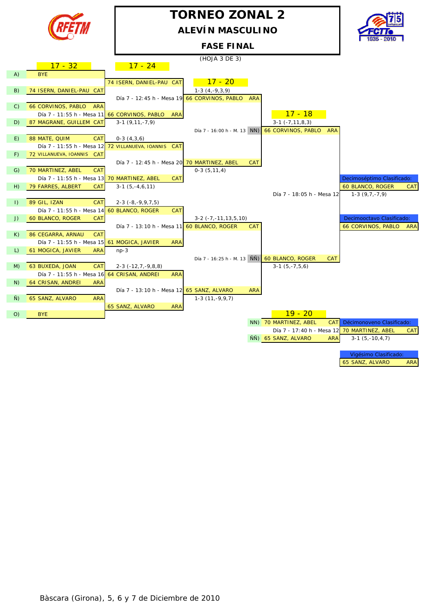

## **TORNEO ZONAL 2 ALEVÍN MASCULINO**



**FASE FINAL**

(HOJA 3 DE 3)

|                 | $17 - 32$                                            | $17 - 24$                |                                                                                              |
|-----------------|------------------------------------------------------|--------------------------|----------------------------------------------------------------------------------------------|
| A)              | <b>BYE</b>                                           |                          |                                                                                              |
|                 |                                                      | 74 ISERN, DANIEL-PAU CAT | $17 - 20$                                                                                    |
| B)              | 74 ISERN, DANIEL-PAU CAT                             |                          | $1-3(4,-9,3,9)$                                                                              |
|                 |                                                      |                          | Día 7 - 12:45 h - Mesa 19 66 CORVINOS, PABLO<br>ARA                                          |
| $\mathcal{C}$ ) | <b>66 CORVINOS, PABLO</b><br><b>ARA</b>              |                          |                                                                                              |
|                 | Día 7 - 11:55 h - Mesa 11 66 CORVINOS, PABLO         |                          | $17 - 18$<br><b>ARA</b>                                                                      |
| D)              | 87 MAGRANE, GUILLEM CAT                              | $3-1(9,11,-7,9)$         | $3-1$ $(-7, 11, 8, 3)$                                                                       |
|                 |                                                      |                          | <b>66 CORVINOS, PABLO</b><br>Día 7 - 16:00 h - M. 13 NN)<br><b>ARA</b>                       |
| E)              | 88 MATE, QUIM<br><b>CAT</b>                          | $0-3(4,3,6)$             |                                                                                              |
|                 | Día 7 - 11:55 h - Mesa 12 72 VILLANUEVA, IOANNIS CAT |                          |                                                                                              |
| F)              | 72 VILLANUEVA, IOANNIS CAT                           |                          |                                                                                              |
|                 |                                                      |                          | Día 7 - 12:45 h - Mesa 20 70 MARTINEZ, ABEL<br><b>CAT</b>                                    |
| G)              | 70 MARTINEZ, ABEL<br>CAT                             |                          | $0-3(5,11,4)$                                                                                |
|                 | Día 7 - 11:55 h - Mesa 13 70 MARTINEZ, ABEL          |                          | Decimoséptimo Clasificado:<br><b>CAT</b>                                                     |
| H)              | 79 FARRES, ALBERT<br><b>CAT</b>                      | $3-1(5,-4,6,11)$         | 60 BLANCO, ROGER<br><b>CAT</b>                                                               |
|                 |                                                      |                          | $1-3(9,7,-7,9)$<br>Día 7 - 18:05 h - Mesa 12                                                 |
| $\vert$ )       | 89 GIL, IZAN<br><b>CAT</b>                           | $2-3$ $(-8,-9,9,7,5)$    |                                                                                              |
|                 | Día 7 - 11:55 h - Mesa 14 60 BLANCO, ROGER           |                          | <b>CAT</b>                                                                                   |
| J)              | 60 BLANCO, ROGER<br><b>CAT</b>                       |                          | Decimooctavo Clasificado:<br>$3-2$ ( $-7$ , $-11$ , $13$ , $5$ , $10$ )                      |
|                 |                                                      |                          | Día 7 - 13:10 h - Mesa 11 60 BLANCO, ROGER<br>66 CORVINOS, PABLO<br><b>CAT</b><br><b>ARA</b> |
| K)              | 86 CEGARRA, ARNAU<br><b>CAT</b>                      |                          |                                                                                              |
|                 | Día 7 - 11:55 h - Mesa 15 61 MOGICA, JAVIER          |                          | <b>ARA</b>                                                                                   |
| L)              | 61 MOGICA, JAVIER<br><b>ARA</b>                      | $np-3$                   |                                                                                              |
|                 |                                                      |                          | Día 7 - 16:25 h - M. 13 NÑ)<br>60 BLANCO, ROGER<br><b>CAT</b>                                |
| M)              | 63 BUXEDA, JOAN<br><b>CAT</b>                        | $2-3$ ( $-12,7,-9,8,8$ ) | $3-1(5,-7,5,6)$                                                                              |
|                 | Día 7 - 11:55 h - Mesa 16 64 CRISAN, ANDREI          |                          | <b>ARA</b>                                                                                   |
| N)              | 64 CRISAN, ANDREI<br><b>ARA</b>                      |                          |                                                                                              |
|                 |                                                      |                          | Día 7 - 13:10 h - Mesa 12 65 SANZ, ALVARO<br><b>ARA</b>                                      |
| Ñ)              | 65 SANZ, ALVARO<br><b>ARA</b>                        |                          | $1-3(11,-9,9,7)$                                                                             |
|                 |                                                      | 65 SANZ, ALVARO          | <b>ARA</b>                                                                                   |
| O               | <b>BYE</b>                                           |                          | $19 - 20$                                                                                    |
|                 |                                                      |                          | NN) 70 MARTINEZ, ABEL<br><b>CAT</b><br>Décimonoveno Clasificado:                             |
|                 |                                                      |                          | Día 7 - 17:40 h - Mesa 12 70 MARTINEZ, ABEL<br><b>CAT</b>                                    |
|                 |                                                      |                          | ÑÑ) 65 SANZ, ALVARO<br>$3-1(5,-10,4,7)$<br><b>ARA</b>                                        |
|                 |                                                      |                          |                                                                                              |
|                 |                                                      |                          | Vigésimo Clasificado:                                                                        |
|                 |                                                      |                          | 65 SANZ, ALVARO<br><b>ARA</b>                                                                |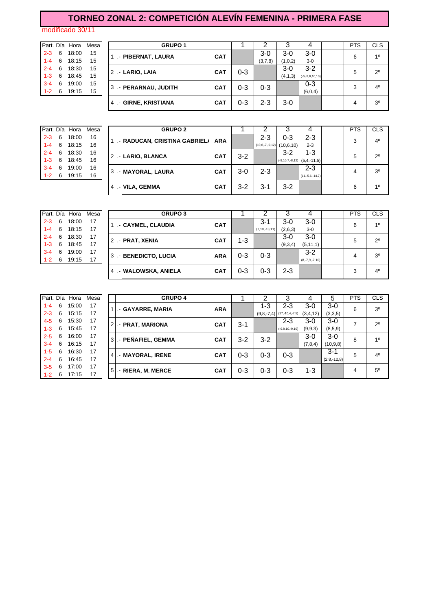## **TORNEO ZONAL 2: COMPETICIÓN ALEVÍN FEMENINA - PRIMERA FASE**

modificado 30/11

| Part. Día |   | Hora  | Mes |
|-----------|---|-------|-----|
| $2 - 3$   | 6 | 18:00 | 15  |
| $1 - 4$   | 6 | 18:15 | 15  |
| $2 - 4$   | 6 | 18:30 | 15  |
| $1 - 3$   | 6 | 18:45 | 15  |
| $3 - 4$   | 6 | 19:00 | 15  |
|           | 6 | 19:15 | 15  |

|         |     | Part. Día Hora | Mesa I | <b>GRUPO 1</b>                         |            |         |         |           |                   | <b>PTS</b> | <b>CLS</b>     |
|---------|-----|----------------|--------|----------------------------------------|------------|---------|---------|-----------|-------------------|------------|----------------|
| $2 - 3$ | -6  | 18:00          | 15     | - PIBERNAT, LAURA                      | <b>CAT</b> |         | $3-0$   | $3-0$     | 3-0               | 6          | 10             |
| $1 - 4$ | - 6 | 18:15          | 15     |                                        |            |         | (3,7,8) | (1,0,2)   | $3-0$             |            |                |
| $2 - 4$ | - 6 | 18:30          | 15     | 2 - LARIO, LAIA                        | <b>CAT</b> | $0 - 3$ |         | $3-0$     | $3-2$             | 5          | $2^{\circ}$    |
| $1 - 3$ | -6  | 18:45          | 15     |                                        |            |         |         | (4, 1, 3) | $(-6,-9,6,10,10)$ |            |                |
| $3 - 4$ | -6  | 19:00          | 15     | 3 - PERARNAU, JUDITH                   | <b>CAT</b> | 0-3     | $0 - 3$ |           | $0 - 3$           | 3          | $4^{\circ}$    |
| $1 - 2$ | -6  | 19:15          | 15     |                                        |            |         |         |           | (6, 0, 4)         |            |                |
|         |     |                |        | <b>GIRNE, KRISTIANA</b><br>4<br>$\sim$ | <b>CAT</b> | 0-3     | 2-3     | $3-0$     |                   | 4          | 3 <sup>0</sup> |
|         |     |                |        |                                        |            |         |         |           |                   |            |                |

|         |   | Part. Día Hora | Mesa |
|---------|---|----------------|------|
| $2 - 3$ | 6 | 18:00          | 16   |
| $1 - 4$ | 6 | 18:15          | 16   |
| $2 - 4$ | 6 | 18:30          | 16   |
| $1 - 3$ | 6 | 18:45          | 16   |
| $3 - 4$ | 6 | 19:00          | 16   |
|         | 6 | 19:15          | 16   |
|         |   |                |      |

|         |     | Part. Día Hora | Mesa I | <b>GRUPO 2</b>                    |         |                   |            |                                        | <b>PTS</b> | <b>CLS</b>     |
|---------|-----|----------------|--------|-----------------------------------|---------|-------------------|------------|----------------------------------------|------------|----------------|
| $2 - 3$ | -6  | 18:00          | 16     | - RADUCAN, CRISTINA GABRIEL/ ARA  |         | 2-3               | $0 - 3$    | $2 - 3$                                | 3          | 4 <sup>0</sup> |
| $1 - 4$ | - 6 | 18:15          | 16     |                                   |         | $(10,6,-7,-9,12)$ | (10.6, 10) | $2 - 3$                                |            |                |
| $2 - 4$ | - 6 | 18:30          | 16     | 2 .- LARIO, BLANCA<br><b>CAT</b>  | $3 - 2$ |                   | $3-2$      | $1 - 3$                                | 5          | $2^{\circ}$    |
| $1 - 3$ | - 6 | 18:45          | 16     |                                   |         |                   |            | $(-9, 10, 7, -8, 12)$ $(5, 4, -11, 5)$ |            |                |
| $3 - 4$ | -6  | 19:00          | 16     | 3 .- MAYORAL, LAURA<br><b>CAT</b> | $3-0$   | $2 - 3$           |            | $2 - 3$                                | 4          | 3 <sup>o</sup> |
| $1 - 2$ | 6   | 19:15          | 16     |                                   |         |                   |            | $(11,-5,6,-14,7)$                      |            |                |
|         |     |                |        | 4 - VILA, GEMMA<br><b>CAT</b>     | $3 - 2$ | 3-1               | $3-2$      |                                        | 6          | 10             |
|         |     |                |        |                                   |         |                   |            |                                        |            |                |

|         |    | Part. Día Hora | Mesa | <b>GRUPO 3</b>           |            |         |                    |         |                  | <b>PTS</b> | <b>CLS</b>     |
|---------|----|----------------|------|--------------------------|------------|---------|--------------------|---------|------------------|------------|----------------|
| $2 - 3$ | 6  | 18:00          | 17   | .- CAYMEL, CLAUDIA       | <b>CAT</b> |         | $3 - 1$            | $3-0$   | $3-0$            | 6          | 10             |
| $1 - 4$ | -6 | 18:15          | 17   |                          |            |         | $(7, 10, -13, 11)$ | (2,6,3) | $3-0$            |            |                |
| $2 - 4$ | 6  | 18:30          | 17   | 2 - PRAT, XENIA          | <b>CAT</b> | 1-3     |                    | $3-0$   | $3-0$            | 5          | $2^{\circ}$    |
| 1-3     | 6  | 18:45          | 17   |                          |            |         |                    | (9,3,4) | (5, 11, 1)       |            |                |
| $3 - 4$ | 6  | 19:00          | 17   | .- BENEDICTO, LUCIA<br>3 | <b>ARA</b> | $0 - 3$ | $0 - 3$            |         | $3 - 2$          | 4          | 3 <sup>0</sup> |
| $1 - 2$ | 6  | 19:15          | 17   |                          |            |         |                    |         | $(8,-7,9,-7,10)$ |            |                |
|         |    |                |      | .- WALOWSKA, ANIELA      | <b>CAT</b> | 0-3     | $0 - 3$            | $2 - 3$ |                  | 3          | 4 <sup>0</sup> |
|         |    |                |      |                          |            |         |                    |         |                  |            |                |

| Part. Día |   | Hora  | Mesa |          | <b>GRUPO 4</b>     |            |         | າ       | 3                            | 4        | 5             | <b>PTS</b> | <b>CLS</b>     |
|-----------|---|-------|------|----------|--------------------|------------|---------|---------|------------------------------|----------|---------------|------------|----------------|
| $1 - 4$   | 6 | 15:00 | 17   |          | - GAYARRE, MARIA   | <b>ARA</b> |         | 1-3     | $2 - 3$                      | 3-0      | 3-0           | 6          | 3 <sup>o</sup> |
| $2 - 3$   | 6 | 15:15 | 17   |          |                    |            |         |         | $(9,8,-7,4)$ (17,-10,4,-7,5) | (3,4,12) | (3,3,5)       |            |                |
| $4 - 5$   | 6 | 15:30 | 17   | 2        | - PRAT, MARIONA    | <b>CAT</b> | $3 - 1$ |         | $2 - 3$                      | 3-0      | 3-0           | 7          | $2^{\circ}$    |
| $1 - 3$   | 6 | 15:45 | 17   |          |                    |            |         |         | $(-9, 8, 10, -9, 10)$        | (9,9,3)  | (8,5,9)       |            |                |
| $2 - 5$   | 6 | 16:00 | 17   | 3I       | .- PEÑAFIEL, GEMMA | <b>CAT</b> | $3 - 2$ | $3-2$   |                              | 3-0      | 3-0           | 8          | 1 <sup>0</sup> |
| $3 - 4$   | 6 | 16:15 | 17   |          |                    |            |         |         |                              | (7,8,4)  | (10, 9, 8)    |            |                |
| $1 - 5$   | 6 | 16:30 | 17   |          |                    | <b>CAT</b> | $0 - 3$ | 0-3     | $0 - 3$                      |          | $3 - 1$       | 5          | $4^{\circ}$    |
| $2 - 4$   | 6 | 16:45 | 17   | 41       | - MAYORAL, IRENE   |            |         |         |                              |          | $(2,8,-12,8)$ |            |                |
| $3 - 5$   | 6 | 17:00 | 17   | $5 \mid$ |                    | <b>CAT</b> | $0 - 3$ | $0 - 3$ | $0 - 3$                      | $1 - 3$  |               |            | $5^{\circ}$    |
| $1 - 2$   | 6 | 17:15 | 17   |          | .- RIERA, M. MERCE |            |         |         |                              |          |               | 4          |                |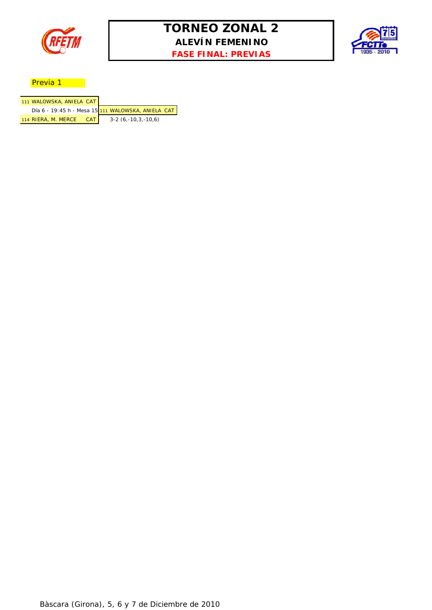

## **TORNEO ZONAL 2 ALEVÍN FEMENINO FASE FINAL: PREVIAS**



#### Previa 1

| 111 WALOWSKA, ANIELA CAT     |                                                    |
|------------------------------|----------------------------------------------------|
|                              | Día 6 - 19:45 h - Mesa 15 111 WALOWSKA, ANIELA CAT |
| 114 RIERA, M. MERCE<br>- CAT | $3-2(6,-10,3,-10,6)$                               |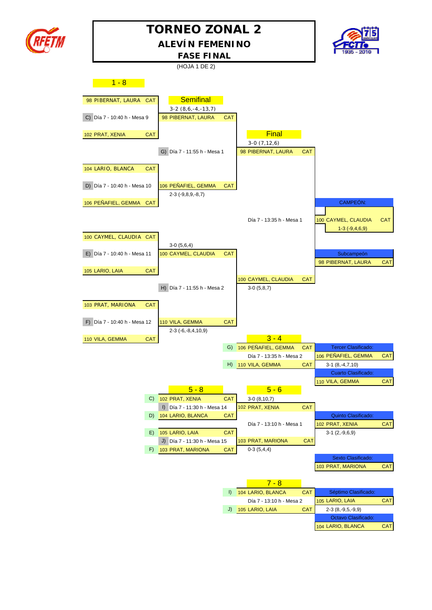

## **TORNEO ZONAL 2 ALEVÍN FEMENINO**



**FASE FINAL**

(HOJA 1 DE 2)

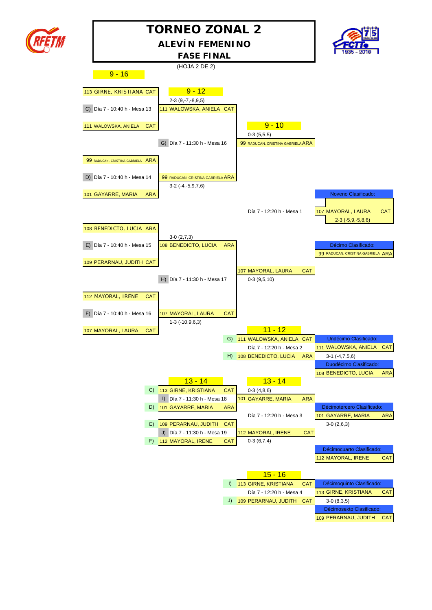

## **TORNEO ZONAL 2 ALEVÍN FEMENINO**



(HOJA 2 DE 2)  $9 - 16$ 113 GIRNE, KRISTIANA CAT 9-12 2-3 (9,-7,-8,9,5) C) Día 7 - 10:40 h - Mesa 13 111 WALOWSKA, ANIELA CAT 111 WALOWSKA, ANIELA CAT **120 CALL 112 CAT** 0-3 (5,5,5) G) Día 7 - 11:30 h - Mesa 16 99 RADUCAN, CRISTINA GABRIELA ARA 99 RADUCAN, CRISTINA GABRIELA ARA D) Día 7 - 10:40 h - Mesa 14 99 RADUCAN, CRISTINA GABRIELA ARA 3-2 (-4,-5,9,7,6) 101 GAYARRE, MARIA ARA NOVENSIDE E EN ENTRE EN EL ENTRE EN ENTRE EN ENTRE EN ENTRE EN ENTRE EN EL ENTRE EN EN Día 7 - 12:20 h - Mesa 1 | 107 MAYORAL, LAURA | CAT 2-3 (-5,9,-5,8,6) 108 BENEDICTO, LUCIA ARA 3-0 (2,7,3) E) Día 7 - 10:40 h - Mesa 15 108 BENEDICTO, LUCIA ARA Décimo Clasificado: 99 RADUCAN, CRISTINA GABRIELA ARA 109 PERARNAU, JUDITH CAT 107 MAYORAL, LAURA CAT H) Día 7 - 11:30 h - Mesa 17 0-3 (9,5,10) 112 MAYORAL, IRENE CAT F) Día 7 - 10:40 h - Mesa 16 107 MAYORAL, LAURA CAT 1-3 (-10,9,6,3) 107 MAYORAL, LAURA CAT **11 - 12** 11 - 12 G) 111 WALOWSKA, ANIELA CAT Undécimo Clasificado: Día 7 - 12:20 h - Mesa 2 111 WALOWSKA, ANIELA CAT H) 108 BENEDICTO, LUCIA ARA 3-1 (-4,7,5,6) Duodécimo Clasificado: 108 BENEDICTO, LUCIA ARA 13 - 14 13 - 14 C)  $113$  GIRNE, KRISTIANA CAT 0-3 (4,8,6) I) Día 7 - 11:30 h - Mesa 18 101 GAYARRE, MARIA ARA D) 101 GAYARRE, MARIA ARA **Décimotercero Clasificado:** Día 7 - 12:20 h - Mesa 3 101 GAYARRE, MARIA ARA E)  $109$  PERARNAU, JUDITH CAT J) Día 7 - 11:30 h - Mesa 19 112 MAYORAL, IRENE CAT F)  $112$  MAYORAL, IRENE CAT 0-3 (6,7,4) Décimocuarto Clasificado: 112 MAYORAL, IRENE CAT 15 - 16 I) 113 GIRNE, KRISTIANA CAT Décimoquinto Clasificado Día 7 - 12:20 h - Mesa 4 113 GIRNE, KRISTIANA CAT J) 109 PERARNAU, JUDITH CAT 3-0 (8,3,5) Décimosexto Clasificado: **FASE FINAL**

109 PERARNAU, JUDITH CAT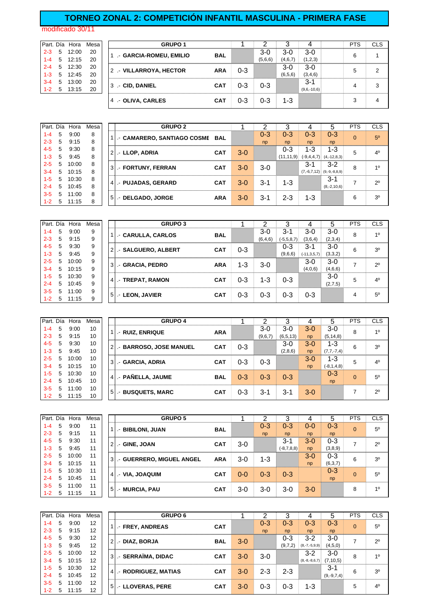#### **TORNEO ZONAL 2: COMPETICIÓN INFANTIL MASCULINA - PRIMERA FASE**

modificado 30/11

|         |   |                 | Part. Día Hora Mesa | <b>GRUPO 1</b>          |            |         |         |           |               | <b>PTS</b> | <b>CLS</b> |
|---------|---|-----------------|---------------------|-------------------------|------------|---------|---------|-----------|---------------|------------|------------|
| $2 - 3$ | 5 | 12:00           | 20                  | - GARCIA-ROMEU, EMILIO  | <b>BAL</b> |         | $3-0$   | 3-0       | $3-0$         | 6          |            |
| $1 - 4$ |   | $5 \quad 12:15$ | 20                  |                         |            |         | (5,6,6) | (4,6,7)   | (1,2,3)       |            |            |
| $2 - 4$ |   | 5 12:30         | 20                  | 2 .- VILLARROYA, HECTOR | <b>ARA</b> | $0 - 3$ |         | $3-0$     | $3-0$         | 5          | ◠          |
| $1 - 3$ |   | 5 12:45         | 20                  |                         |            |         |         | (6, 5, 6) | (3,4,6)       |            |            |
| $3 - 4$ | 5 | 13:00           | 20                  |                         | <b>CAT</b> | 0-3     | $0 - 3$ |           | $3 - 1$       | 4          | 3          |
| $1 - 2$ | 5 | 13:15           | 20                  | 3 .- CID, DANIEL        |            |         |         |           | $(9.6,-10.6)$ |            |            |
|         |   |                 |                     | 4 - OLIVA, CARLES       | <b>CAT</b> | 0-3     | 0-3     | $1 - 3$   |               | 3          | 4          |
|         |   |                 |                     |                         |            |         |         |           |               |            |            |

| Part. Día |   | Hora  | Mesa |                | <b>GRUPO 2</b>                  |            |       |         |             |                 |                 | <b>PTS</b> | <b>CLS</b>     |
|-----------|---|-------|------|----------------|---------------------------------|------------|-------|---------|-------------|-----------------|-----------------|------------|----------------|
| $1 - 4$   | 5 | 9:00  | 8    |                | 1. CAMARERO, SANTIAGO COSME BAL |            |       | $0 - 3$ | $0 - 3$     | $0 - 3$         | $0 - 3$         | $\Omega$   | 50             |
| $2 - 3$   | 5 | 9:15  | 8    |                |                                 |            |       | np      | np          | np              | np              |            |                |
| $4 - 5$   | 5 | 9:30  | 8    |                | 2. LLOP, ADRIA                  | <b>CAT</b> | $3-0$ |         | $0 - 3$     | 1-3             | 1-3             | 5          | 4 <sup>0</sup> |
| $1 - 3$   | 5 | 9:45  | 8    |                |                                 |            |       |         | (11, 11, 9) | $(-9, 4, 4, 7)$ | $(4,-12,8,3)$   |            |                |
| $2 - 5$   | 5 | 10:00 | 8    |                | 3 .- FORTUNY, FERRAN            | <b>CAT</b> | $3-0$ | $3-0$   |             | $3 - 1$         | $3-2$           | 8          | 10             |
| $3 - 4$   | 5 | 10:15 | 8    |                |                                 |            |       |         |             | $(7,-6,7,12)$   | $(9,-9,-8,8,9)$ |            |                |
| $1 - 5$   | 5 | 10:30 | 8    |                | 4. PUJADAS, GERARD              | <b>CAT</b> | $3-0$ | $3 - 1$ | $1 - 3$     |                 | $3 - 1$         | ⇁          | $2^{\circ}$    |
| $2 - 4$   | 5 | 10:45 | 8    |                |                                 |            |       |         |             |                 | $(8,-2,10,6)$   |            |                |
| $3 - 5$   | 5 | 11:00 | 8    | 5 <sup>1</sup> |                                 |            | $3-0$ | $3 - 1$ | $2 - 3$     | $1 - 3$         |                 | 6          | 3 <sup>0</sup> |
| $1 - 2$   | 5 | 11:15 | 8    |                | - DELGADO, JORGE                | <b>ARA</b> |       |         |             |                 |                 |            |                |

| Part. Día |   | Hora  | Mesa |    | <b>GRUPO 3</b>          |            |         |           |              |                  |         | <b>PTS</b> | <b>CLS</b>  |
|-----------|---|-------|------|----|-------------------------|------------|---------|-----------|--------------|------------------|---------|------------|-------------|
| $1 - 4$   | 5 | 9:00  | 9    |    | .- CARULLA, CARLOS      | <b>BAL</b> |         | $3-0$     | $3 - 1$      | $3-0$            | $3-0$   | 8          | 10          |
| $2 - 3$   | 5 | 9:15  | 9    |    |                         |            |         | (6, 4, 6) | $(-5,5,8,7)$ | (3,6,4)          | (2,3,4) |            |             |
| $4 - 5$   | 5 | 9:30  | 9    |    | 2   .- SALGUERO, ALBERT | <b>CAT</b> | $0 - 3$ |           | 0-3          | 3-1              | $3-0$   | 6          | 30          |
| $1 - 3$   | 5 | 9:45  | 9    |    |                         |            |         |           | (9,6,6)      | $(-11, 3, 5, 7)$ | (3,3,2) |            |             |
| $2 - 5$   | 5 | 10:00 | 9    | 3  | .- GRACIA, PEDRO        | <b>ARA</b> | 1-3     | $3-0$     |              | $3-0$            | $3-0$   | ⇁          | $2^{\circ}$ |
| $3 - 4$   | 5 | 10:15 | 9    |    |                         |            |         |           |              | (4,0,6)          | (4,6,6) |            |             |
| $1 - 5$   | 5 | 10:30 | 9    |    | .- TREPAT, RAMON        | <b>CAT</b> |         |           | $0 - 3$      |                  | 3-0     | 5          | $\Delta^0$  |
| $2 - 4$   | 5 | 10:45 | 9    | 41 |                         |            | $0 - 3$ | 1-3       |              |                  | (2,7,5) |            |             |
| $3 - 5$   | 5 | 11:00 | 9    |    |                         | <b>CAT</b> |         |           |              |                  |         |            | $5^{\circ}$ |
| $1 - 2$   | 5 | 11:15 | 9    | 5  | .- LEON, JAVIER         |            | 0-3     | $0 - 3$   | $0 - 3$      | $0 - 3$          |         | 4          |             |

|         | Part. Día | Hora  | Mesa |                | <b>GRUPO 4</b>          |            |         |         |            | Δ     | 5               | <b>PTS</b> | <b>CLS</b>     |
|---------|-----------|-------|------|----------------|-------------------------|------------|---------|---------|------------|-------|-----------------|------------|----------------|
| $1 - 4$ | 5         | 9:00  | 10   |                | - RUIZ, ENRIQUE         | <b>ARA</b> |         | $3-0$   | $3-0$      | $3-0$ | 3-0             | 8          | 10             |
| $2 - 3$ | 5         | 9:15  | 10   |                |                         |            |         | (9,6,7) | (6, 5, 13) | np    | (5, 14, 8)      |            |                |
| $4 - 5$ | 5         | 9:30  | 10   | $\overline{2}$ | .- BARROSO, JOSE MANUEL | <b>CAT</b> | $0 - 3$ |         | $3-0$      | $3-0$ | $1 - 3$         | 6          | 30             |
| $1 - 3$ | 5         | 9:45  | 10   |                |                         |            |         |         | (2,8,6)    | np    | $(7, 7, -7, 4)$ |            |                |
| $2 - 5$ | 5         | 10:00 | 10   | 3              | .- GARCIA, ADRIA        | <b>CAT</b> | 0-3     | $0 - 3$ |            | $3-0$ | $1 - 3$         | 5          | 4 <sup>0</sup> |
| $3 - 4$ | 5         | 10:15 | 10   |                |                         |            |         |         |            | np    | $(-8, 1, 4, 8)$ |            |                |
| $1 - 5$ | 5         | 10:30 | 10   |                | 4. PAÑELLA, JAUME       | <b>BAL</b> | $0 - 3$ | $0 - 3$ |            |       | $0 - 3$         | $\Omega$   | $5^{\circ}$    |
| $2 - 4$ | 5         | 10:45 | 10   |                |                         |            |         |         | $0 - 3$    |       | np              |            |                |
| $3 - 5$ | 5         | 11:00 | 10   |                |                         |            |         |         |            |       |                 |            | $2^{\circ}$    |
| $1 - 2$ | 5         | 11:15 | 10   | 5              | .- BUSQUETS, MARC       | <b>CAT</b> | $0 - 3$ | 3-1     | $3 - 1$    | $3-0$ |                 |            |                |

|         |   | Part. Día Hora | Mesa |                | <b>GRUPO 5</b>           |            |         |         |              |         | 5       | <b>PTS</b> | <b>CLS</b>     |
|---------|---|----------------|------|----------------|--------------------------|------------|---------|---------|--------------|---------|---------|------------|----------------|
| $1 - 4$ | 5 | 9:00           | 11   |                | - BIBILONI, JUAN         | <b>BAL</b> |         | $0 - 3$ | $0 - 3$      | $0 - 0$ | $0 - 3$ | $\Omega$   | 5 <sup>0</sup> |
| $2 - 3$ | 5 | 9:15           | 11   |                |                          |            |         | np      | np           | np      | np      |            |                |
| $4 - 5$ | 5 | 9:30           | 11   | $\overline{2}$ | .- GINE, JOAN            | <b>CAT</b> | $3-0$   |         | $3 - 1$      | $3-0$   | $0 - 3$ | ⇁          | $2^{\circ}$    |
| $1 - 3$ | 5 | 9:45           | 11   |                |                          |            |         |         | $(-8,7,8,8)$ | np      | (3,8,9) |            |                |
| $2 - 5$ | 5 | 10:00          | 11   | 3 <sup>1</sup> | - GUERRERO, MIGUEL ANGEL | <b>ARA</b> | $3-0$   | $1 - 3$ |              | $3-0$   | $0 - 3$ | 6          | 3 <sup>0</sup> |
| $3 - 4$ | 5 | 10:15          | 11   |                |                          |            |         |         |              | np      | (6,3,7) |            |                |
| $1 - 5$ | 5 | 10:30          | 11   | $\overline{4}$ | - VIA. JOAQUIM           | <b>CAT</b> | $0 - 0$ | $0 - 3$ | $0 - 3$      |         | $0 - 3$ | $\Omega$   | $5^{\circ}$    |
| $2 - 4$ | 5 | 10:45          | 11   |                |                          |            |         |         |              |         | np      |            |                |
| $3 - 5$ | 5 | 11:00          | 11   | 5 <sub>l</sub> |                          | <b>CAT</b> | $3-0$   | 3-0     | $3-0$        | $3-0$   |         | 8          | 1 <sup>0</sup> |
| $1 - 2$ | 5 | 11:15          | 11   |                | .- MURCIA, PAU           |            |         |         |              |         |         |            |                |

| Part. Día |   | Hora  | Mesa |   | <b>GRUPO 6</b>      |            |       |         |         |                 |              | <b>PTS</b> | <b>CLS</b>     |
|-----------|---|-------|------|---|---------------------|------------|-------|---------|---------|-----------------|--------------|------------|----------------|
| $1 - 4$   | 5 | 9:00  | 12   |   | - FREY, ANDREAS     | <b>CAT</b> |       | $0 - 3$ | 0-3     | $0 - 3$         | $0 - 3$      | $\Omega$   | $5^{\circ}$    |
| $2 - 3$   | 5 | 9:15  | 12   |   |                     |            |       | np      | np      | np              | np           |            |                |
| $4 - 5$   | 5 | 9:30  | 12   |   | .- DIAZ, BORJA      | <b>BAL</b> | $3-0$ |         | 0-3     | $3-2$           | $3-0$        | ⇁          | $2^{\circ}$    |
| $1 - 3$   | 5 | 9:45  | 12   |   |                     |            |       |         | (9,7,2) | $(8,-7,-5,9,9)$ | (4,5,0)      |            |                |
| $2 - 5$   | 5 | 10:00 | 12   | 3 | .- SERRAÏMA, DIDAC  | <b>CAT</b> | $3-0$ | $3-0$   |         | $3-2$           | $3-0$        | 8          | 10             |
| $3 - 4$   | 5 | 10:15 | 12   |   |                     |            |       |         |         | $(8,-8,-8,6,7)$ | (7, 10, 5)   |            |                |
| $1 - 5$   | 5 | 10:30 | 12   | 4 | - RODRIGUEZ, MATIAS | <b>CAT</b> | $3-0$ | $2 - 3$ | $2 - 3$ |                 | $3 - 1$      | 6          | 3 <sup>0</sup> |
| $2 - 4$   | 5 | 10:45 | 12   |   |                     |            |       |         |         |                 | $(9,-9,7,4)$ |            |                |
| $3 - 5$   | 5 | 11:00 | 12   | 5 |                     |            | $3-0$ | $0 - 3$ | $0 - 3$ | 1-3             |              | 5          | 4 <sup>0</sup> |
| $1 - 2$   | 5 | 11:15 | 12   |   | - LLOVERAS, PERE    | <b>CAT</b> |       |         |         |                 |              |            |                |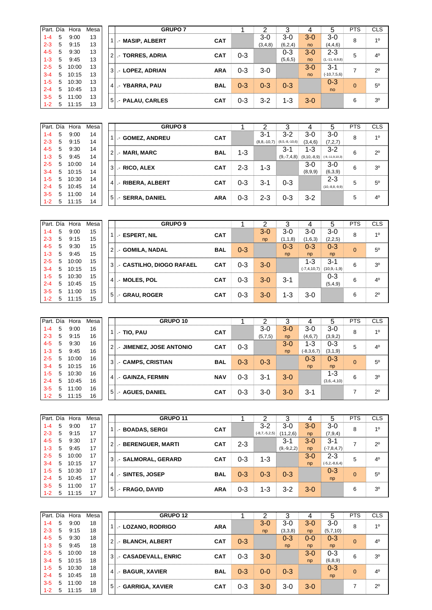| Part. Día |   | Hora  | Mesa |                | <b>GRUPO 7</b>       |            |         |         |         |                |                  | <b>PTS</b> | <b>CLS</b>     |
|-----------|---|-------|------|----------------|----------------------|------------|---------|---------|---------|----------------|------------------|------------|----------------|
| 1-4       | 5 | 9:00  | 13   |                | .- MASIP, ALBERT     | <b>CAT</b> |         | $3-0$   | $3-0$   | $3-0$          | $3-0$            | 8          | 10             |
| $2 - 3$   | 5 | 9:15  | 13   |                |                      |            |         | (3,4,8) | (6,2,4) | no             | (4, 4, 6)        |            |                |
| $4 - 5$   | 5 | 9:30  | 13   |                | 2   .- TORRES, ADRIA | <b>CAT</b> | 0-3     |         | 0-3     | 3-0            | $2 - 3$          | 5          | $4^{\circ}$    |
| $1 - 3$   | 5 | 9:45  | 13   |                |                      |            |         |         | (5,6,5) | no             | $(1,-11,-8,9,8)$ |            |                |
| $2 - 5$   | 5 | 10:00 | 13   | 3 <sup>1</sup> | .- LOPEZ, ADRIAN     | <b>ARA</b> | $0 - 3$ | $3-0$   |         | $3-0$          | $3 - 1$          | ⇁          | $2^{\circ}$    |
| $3 - 4$   | 5 | 10:15 | 13   |                |                      |            |         |         |         | n <sub>o</sub> | $(-10,7,5,6)$    |            |                |
| $1-5$     | 5 | 10:30 | 13   |                | 4 .- YBARRA, PAU     | BAL        | $0 - 3$ | $0 - 3$ | $0 - 3$ |                | $0 - 3$          | $\Omega$   | $5^{\circ}$    |
| $2 - 4$   | 5 | 10:45 | 13   |                |                      |            |         |         |         |                | no               |            |                |
| $3-5$     | 5 | 11:00 | 13   |                | 5   .- PALAU, CARLES | <b>CAT</b> | $0 - 3$ | $3-2$   | 1-3     | $3-0$          |                  | 6          | 3 <sup>0</sup> |
| $1 - 2$   | 5 | 11:15 | 13   |                |                      |            |         |         |         |                |                  |            |                |

|         |   | Part. Día Hora  | Mesa | <b>GRUPO 8</b>         |            |         |                  |                  |               | h                 | <b>PTS</b> | <b>CLS</b>     |
|---------|---|-----------------|------|------------------------|------------|---------|------------------|------------------|---------------|-------------------|------------|----------------|
| $1 - 4$ | 5 | 9:00            | 14   | .- GOMEZ, ANDREU       | <b>CAT</b> |         | 3-1              | $3-2$            | $3-0$         | 3-0               | 8          | 1 <sup>0</sup> |
| $2 - 3$ | 5 | 9:15            | 14   |                        |            |         | $(8, 8, -10, 7)$ | $(8,5,-8,-10,6)$ | (3,4,6)       | (7, 2, 7)         |            |                |
| $4 - 5$ | 5 | 9:30            | 14   | 21.- MARI, MARC        | <b>BAL</b> | $1 - 3$ |                  | $3 - 1$          | 1-3           | $3 - 2$           | 6          | $2^{\circ}$    |
| $1 - 3$ | 5 | 9:45            | 14   |                        |            |         |                  | $(9,-7,4,8)$     | $(9,10,-8,9)$ | $(-9,-11,9,10,3)$ |            |                |
| $2 - 5$ | 5 | 10:00           | 14   | <b>3 .- RICO, ALEX</b> | <b>CAT</b> | $2 - 3$ | $1 - 3$          |                  | $3-0$         | $3-0$             | 6          | 3 <sup>0</sup> |
| $3 - 4$ | 5 | 10:15           | 14   |                        |            |         |                  |                  | (8,9,9)       | (6,3,9)           |            |                |
| $1 - 5$ | 5 | 10:30           | 14   |                        |            | $0 - 3$ | $3 - 1$          | $0 - 3$          |               | $2 - 3$           | 5          | $5^{\circ}$    |
| $2 - 4$ | 5 | 10:45           | 14   | 4 - RIBERA, ALBERT     | <b>CAT</b> |         |                  |                  |               | $(10,-8,8,-9,9)$  |            |                |
| $3 - 5$ | 5 | 11:00           | 14   |                        |            | $0 - 3$ | $2 - 3$          | $0 - 3$          | $3-2$         |                   | 5          | $4^{\circ}$    |
| $1 - 2$ |   | $5 \quad 11:15$ | 14   | 5   .- SERRA, DANIEL   | <b>ARA</b> |         |                  |                  |               |                   |            |                |

|         |   | Part. Día Hora | Mesa |                | <b>GRUPO 9</b>                |            |         |       | 3       |                  | 5                | <b>PTS</b> | <b>CLS</b>     |
|---------|---|----------------|------|----------------|-------------------------------|------------|---------|-------|---------|------------------|------------------|------------|----------------|
| $1 - 4$ | 5 | 9:00           | 15   |                | - ESPERT, NIL                 | <b>CAT</b> |         | $3-0$ | $3-0$   | $3-0$            | $3-0$            | 8          | 10             |
| $2 - 3$ | 5 | 9:15           | 15   |                |                               |            |         | np    | (1,1,8) | (1,6,3)          | (2,2,5)          |            |                |
| $4 - 5$ | 5 | 9:30           | 15   | 2 <sup>1</sup> | .- GOMILA, NADAL              | <b>BAL</b> | $0 - 3$ |       | $0 - 3$ | $0 - 3$          | $0 - 3$          | $\Omega$   | 50             |
| $1 - 3$ | 5 | 9:45           | 15   |                |                               |            |         |       | np      | np               | np               |            |                |
| $2 - 5$ | 5 | 10:00          | 15   |                | 3   .- CASTILHO, DIOGO RAFAEL | <b>CAT</b> | $0 - 3$ | $3-0$ |         | 1-3              | $3 - 1$          | 6          | 3 <sup>0</sup> |
| $3 - 4$ | 5 | 10:15          | 15   |                |                               |            |         |       |         | $(-7, 4, 10, 7)$ | $(10, 9, -1, 9)$ |            |                |
| $1 - 5$ | 5 | 10:30          | 15   | $\overline{4}$ | .- MOLES, POL                 | <b>CAT</b> | $0 - 3$ | $3-0$ | $3 - 1$ |                  | $0 - 3$          | 6          | 4 <sup>0</sup> |
| $2 - 4$ | 5 | 10:45          | 15   |                |                               |            |         |       |         |                  | (5,4,9)          |            |                |
| $3-5$   | 5 | 11:00          | 15   | 5 <sup>1</sup> | .- GRAU, ROGER                | <b>CAT</b> | $0 - 3$ | $3-0$ | $1 - 3$ | $3-0$            |                  | 6          | $2^{\circ}$    |
| $1 - 2$ | 5 | 11:15          | 15   |                |                               |            |         |       |         |                  |                  |            |                |

| Part. Día |   | Hora  | Mesa |                | GRUPO 10                 |            |         |         |         |              |               | <b>PTS</b> | <b>CLS</b>     |
|-----------|---|-------|------|----------------|--------------------------|------------|---------|---------|---------|--------------|---------------|------------|----------------|
| $1 - 4$   | 5 | 9:00  | 16   |                | $-$ TIO, PAU             | <b>CAT</b> |         | $3-0$   | $3 - 0$ | $3-0$        | $3-0$         | 8          | 10             |
| $2 - 3$   | 5 | 9:15  | 16   |                |                          |            |         | (5,7,5) | np      | (4,6,7)      | (3,9,2)       |            |                |
| $4 - 5$   | 5 | 9:30  | 16   | $\overline{2}$ | .- JIMENEZ, JOSE ANTONIO | <b>CAT</b> | $0 - 3$ |         | $3-0$   | 1-3          | $0 - 3$       | 5          | 4 <sup>0</sup> |
| $1 - 3$   | 5 | 9:45  | 16   |                |                          |            |         |         | np      | $(-8,3,6,7)$ | (3,1,9)       |            |                |
| $2 - 5$   | 5 | 10:00 | 16   | 3              | .- CAMPS, CRISTIAN       | <b>BAL</b> | $0 - 3$ | $0 - 3$ |         | $0 - 3$      | $0 - 3$       | $\Omega$   | $5^{\circ}$    |
| $3 - 4$   | 5 | 10:15 | 16   |                |                          |            |         |         |         | np           | np            |            |                |
| $1 - 5$   | 5 | 10:30 | 16   |                |                          | <b>NAV</b> |         | $3 - 1$ |         |              | $1 - 3$       | 6          | 30             |
| $2 - 4$   | 5 | 10:45 | 16   | $\overline{4}$ | .- GAINZA, FERMIN        |            | $0 - 3$ |         | $3 - 0$ |              | $(3,6,-4,10)$ |            |                |
| $3 - 5$   | 5 | 11:00 | 16   |                |                          |            |         |         |         |              |               | –          | $2^{\circ}$    |
| $1 - 2$   | 5 | 11:15 | 16   | 5 <sub>l</sub> | .- AGUES, DANIEL         | <b>CAT</b> | 0-3     | $3-0$   | $3 - 0$ | $3 - 1$      |               |            |                |

| Part. Día |   | Hora  | Mesal |                | <b>GRUPO 11</b>     |            |         |                 |              |       |                     | <b>PTS</b> | <b>CLS</b>             |
|-----------|---|-------|-------|----------------|---------------------|------------|---------|-----------------|--------------|-------|---------------------|------------|------------------------|
| $1 - 4$   | 5 | 9:00  | 17    |                | - BOADAS, SERGI     | <b>CAT</b> |         | $3-2$           | $3-0$        | $3-0$ | $3-0$               | 8          | 10                     |
| $2 - 3$   | 5 | 9:15  | 17    |                |                     |            |         | $(-8,7,-5,2,5)$ | (11, 2, 6)   | np    | (7, 9, 4)           |            |                        |
| $4 - 5$   | 5 | 9:30  | 17    | $\overline{2}$ | - BERENGUER, MARTI  | <b>CAT</b> | $2 - 3$ |                 | $3 - 1$      | $3-0$ | $3 - 1$             |            | $2^{\circ}$            |
| $1 - 3$   | 5 | 9:45  | 17    |                |                     |            |         |                 | $(9,-9,2,2)$ | np    | $(-7, 8, 4, 7)$     |            |                        |
| $2 - 5$   | 5 | 10:00 | 17    | $3^{\circ}$    | .- SALMORAL, GERARD | <b>CAT</b> | $0 - 3$ | $1 - 3$         |              | $3-0$ | $2 - 3$             | 5          | $\Lambda$ <sup>0</sup> |
| $3 - 4$   | 5 | 10:15 | 17    |                |                     |            |         |                 |              | np    | $(-5, 2, -8, 6, 4)$ |            |                        |
| $1 - 5$   | 5 | 10:30 | 17    | 4              | - SINTES, JOSEP     | <b>BAL</b> | $0 - 3$ | $0 - 3$         | $0 - 3$      |       | $0 - 3$             | $\Omega$   | $5^{\circ}$            |
| $2 - 4$   | 5 | 10:45 | 17    |                |                     |            |         |                 |              |       | np                  |            |                        |
| $3 - 5$   | 5 | 11:00 | 17    | 5 <sup>1</sup> | .- FRAGO, DAVID     | <b>ARA</b> | $0 - 3$ | 1-3             | $3-2$        | $3-0$ |                     | 6          | 3 <sup>0</sup>         |
| $1 - 2$   | 5 | 11:15 | 17    |                |                     |            |         |                 |              |       |                     |            |                        |

| Part. Día |    | Hora  | Mesal |                | <b>GRUPO 12</b>      |            |         |         |         |         |           | <b>PTS</b> | <b>CLS</b>     |
|-----------|----|-------|-------|----------------|----------------------|------------|---------|---------|---------|---------|-----------|------------|----------------|
| 1-4       | 5  | 9:00  | 18    |                | .- LOZANO, RODRIGO   | <b>ARA</b> |         | $3-0$   | $3-0$   | $3-0$   | $3-0$     | 8          | 10             |
| $2 - 3$   | 5  | 9:15  | 18    |                |                      |            |         | np      | (3,3,8) | np      | (5,7,10)  |            |                |
| $4 - 5$   | 5  | 9:30  | 18    | $\overline{2}$ | .- BLANCH, ALBERT    | <b>CAT</b> | $0 - 3$ |         | $0 - 3$ | $0 - 0$ | $0 - 3$   | $\Omega$   | $4^{\circ}$    |
| $1 - 3$   | 5  | 9:45  | 18    |                |                      |            |         |         | np      | np      | np        |            |                |
| $2 - 5$   | 5  | 10:00 | 18    | 3              | .- CASADEVALL, ENRIC | <b>CAT</b> | 0-3     | $3-0$   |         | $3-0$   | $0 - 3$   | 6          | 3 <sup>0</sup> |
| $3 - 4$   | 5  | 10:15 | 18    |                |                      |            |         |         |         | np      | (6, 8, 9) |            |                |
| $1 - 5$   | .5 | 10:30 | 18    | $\overline{4}$ | - BAGUR, XAVIER      | <b>BAL</b> | $0 - 3$ | $0 - 0$ | $0 - 3$ |         | $0 - 3$   | $\Omega$   | 4 <sup>0</sup> |
| $2 - 4$   | 5  | 10:45 | 18    |                |                      |            |         |         |         |         | np        |            |                |
| $3 - 5$   | 5  | 11:00 | 18    | 5              |                      |            |         | $3-0$   | $3-0$   | $3-0$   |           |            | $2^{\circ}$    |
| $1 - 2$   | 5  | 11:15 | 18    |                | - GARRIGA, XAVIER    | <b>CAT</b> | 0-3     |         |         |         |           |            |                |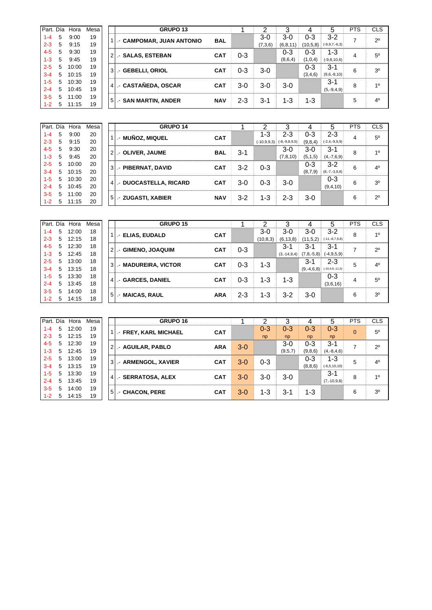| Part. Día |   | Hora  | Mesa |                | GRUPO <sub>13</sub>      |            |     |         |            |          |                     | <b>PTS</b> | <b>CLS</b>     |
|-----------|---|-------|------|----------------|--------------------------|------------|-----|---------|------------|----------|---------------------|------------|----------------|
| 1-4       | 5 | 9:00  | 19   |                | - CAMPOMAR, JUAN ANTONIO | <b>BAL</b> |     | $3-0$   | $3-0$      | $0 - 3$  | $3 - 2$             | ⇁          | $2^{\circ}$    |
| $2 - 3$   | 5 | 9:15  | 19   |                |                          |            |     | (7,3,6) | (6, 8, 11) | (10,5,8) | $(-9, 9, 7, -6, 3)$ |            |                |
| $4 - 5$   | 5 | 9:30  | 19   | $\overline{2}$ | - SALAS, ESTEBAN         | <b>CAT</b> | 0-3 |         | 0-3        | $0 - 3$  | 1-3                 | 4          | $5^{\circ}$    |
| $1 - 3$   | 5 | 9:45  | 19   |                |                          |            |     |         | (8,6,4)    | (1,0,4)  | $(-9, 8, 10, 6)$    |            |                |
| $2 - 5$   | 5 | 10:00 | 19   | 3              | - GEBELLI, ORIOL         | <b>CAT</b> | 0-3 | $3-0$   |            | 0-3      | $3 - 1$             | 6          | 3 <sup>0</sup> |
| $3 - 4$   | 5 | 10:15 | 19   |                |                          |            |     |         |            | (3,4,6)  | $(9,6,-8,10)$       |            |                |
| $1 - 5$   | 5 | 10:30 | 19   | 4 <sup>1</sup> | - CASTAÑEDA, OSCAR       | <b>CAT</b> | 3-0 | $3-0$   | $3-0$      |          | $3 - 1$             | 8          | 10             |
| $2 - 4$   | 5 | 10:45 | 19   |                |                          |            |     |         |            |          | $(5,-9,4,9)$        |            |                |
| $3 - 5$   | 5 | 11:00 | 19   | 5              | .- SAN MARTIN, ANDER     | <b>NAV</b> | 2-3 | $3 - 1$ | 1-3        | 1-3      |                     | 5          | 4 <sup>0</sup> |
| $1 - 2$   | 5 | 11:15 | 19   |                |                          |            |     |         |            |          |                     |            |                |

| Part. Día |    | Hora  | Mesa | GRUPO 14                  |            |         |         |                               |         |                     | <b>PTS</b> | <b>CLS</b>     |
|-----------|----|-------|------|---------------------------|------------|---------|---------|-------------------------------|---------|---------------------|------------|----------------|
| $1 - 4$   | 5  | 9:00  | 20   | <b>MUÑOZ, MIQUEL</b>      | <b>CAT</b> |         | 1-3     | 2-3                           | $0 - 3$ | $2 - 3$             | 4          | 5 <sup>0</sup> |
| $2 - 3$   | 5  | 9:15  | 20   |                           |            |         |         | $(-10,9,9,3)$ $(-8,-9,8,9,5)$ | (9,8,4) | $(-2, 4, -9, 9, 9)$ |            |                |
| $4 - 5$   | 5  | 9:30  | 20   | 2. DLIVER, JAUME          | <b>BAL</b> | $3 - 1$ |         | $3-0$                         | $3-0$   | $3 - 1$             | 8          | 1 <sup>0</sup> |
| $1 - 3$   | 5  | 9:45  | 20   |                           |            |         |         | (7, 8, 10)                    | (5,1,5) | $(4,-7,6,9)$        |            |                |
| $2 - 5$   | 5  | 10:00 | 20   | 3 .- PIBERNAT, DAVID      | <b>CAT</b> | $3-2$   | $0 - 3$ |                               | $0 - 3$ | $3-2$               | 6          | 4 <sup>0</sup> |
| $3 - 4$   | 5  | 10:15 | 20   |                           |            |         |         |                               | (8,7,9) | $(8,-7,-3,9,8)$     |            |                |
| $1 - 5$   | 5  | 10:30 | 20   | 4   - DUOCASTELLA, RICARD | <b>CAT</b> | $3-0$   | $0 - 3$ | $3-0$                         |         | $0 - 3$             | 6          | 3 <sup>0</sup> |
| $2 - 4$   | 5  | 10:45 | 20   |                           |            |         |         |                               |         | (9,4,10)            |            |                |
| $3-5$     | 5. | 11:00 | 20   |                           | <b>NAV</b> | 3-2     | 1-3     | $2 - 3$                       | $3-0$   |                     | 6          | $2^{\circ}$    |
| $1 - 2$   | 5  | 11:15 | 20   | 5   .- ZUGASTI, XABIER    |            |         |         |                               |         |                     |            |                |

|         | Part. Día | Hora  | Mesa |   | GRUPO 15              |            |         |            |               |                 |                       | <b>PTS</b> | <b>CLS</b>  |
|---------|-----------|-------|------|---|-----------------------|------------|---------|------------|---------------|-----------------|-----------------------|------------|-------------|
| $1 - 4$ | 5         | 12:00 | 18   |   | I - ELIAS, EUDALD     | <b>CAT</b> |         | $3-0$      | $3-0$         | $3-0$           | 3-2                   | 8          | 10          |
| $2 - 3$ | 5         | 12:15 | 18   |   |                       |            |         | (10, 8, 3) | (6, 13, 8)    | (11,5,2)        | $(-11,-8,7,9,8)$      |            |             |
| $4 - 5$ | 5         | 12:30 | 18   | 2 | .- GIMENO, JOAQUIM    | <b>CAT</b> | $0 - 3$ |            | 3-1           | $3 - 1$         | 3-1                   | 7          | $2^{\circ}$ |
| $1 - 3$ | 5         | 12:45 | 18   |   |                       |            |         |            | $(3,-14,9,4)$ | $(7, 8, -5, 8)$ | $(-4, 9, 5, 9)$       |            |             |
| $2 - 5$ | 5         | 13:00 | 18   | 3 | .- MADUREIRA, VICTOR  | <b>CAT</b> | $0 - 3$ | $1 - 3$    |               | $3 - 1$         | $2 - 3$               | 5          | $4^{\circ}$ |
| $3 - 4$ | 5         | 13:15 | 18   |   |                       |            |         |            |               | $(9,-4,6,8)$    | $(-10, 4, 9, -11, 5)$ |            |             |
| $1 - 5$ | 5         | 13:30 | 18   |   | 4   .- GARCES, DANIEL | <b>CAT</b> | $0 - 3$ | 1-3        | $1 - 3$       |                 | $0 - 3$               | 4          | $5^{\circ}$ |
| $2 - 4$ | 5         | 13:45 | 18   |   |                       |            |         |            |               |                 | (3,6,16)              |            |             |
| $3 - 5$ | 5         | 14:00 | 18   | 5 |                       | <b>ARA</b> | $2 - 3$ | 1-3        | $3-2$         | $3-0$           |                       | 6          | 30          |
| $1 - 2$ | 5         | 14:15 | 18   |   | .- MAICAS, RAUL       |            |         |            |               |                 |                       |            |             |

|         |   | Part. Día Hora | Mesa |                | GRUPO 16              |            |       |         |                |           | 5                 | <b>PTS</b> | <b>CLS</b>     |
|---------|---|----------------|------|----------------|-----------------------|------------|-------|---------|----------------|-----------|-------------------|------------|----------------|
| $1 - 4$ | 5 | 12:00          | 19   |                | .- FREY, KARL MICHAEL | <b>CAT</b> |       | $0 - 3$ | $0 - 3$        | $0 - 3$   | $0 - 3$           | $\Omega$   | 5 <sup>0</sup> |
| $2 - 3$ | 5 | 12:15          | 19   |                |                       |            |       | np      | n <sub>D</sub> | np        | np                |            |                |
| $4 - 5$ | 5 | 12:30          | 19   | $\overline{2}$ | .- AGUILAR, PABLO     | <b>ARA</b> | $3-0$ |         | $3-0$          | $0 - 3$   | $3 - 1$           | 7          | $2^{\circ}$    |
| $1 - 3$ | 5 | 12:45          | 19   |                |                       |            |       |         | (9,5,7)        | (9,8,6)   | $(4,-8,4,6)$      |            |                |
| $2 - 5$ | 5 | 13:00          | 19   | $\mathbf{3}$   | .- ARMENGOL, XAVIER   | <b>CAT</b> | $3-0$ | $0 - 3$ |                | $0 - 3$   | $1 - 3$           | 5          | 4 <sup>0</sup> |
| $3 - 4$ | 5 | 13:15          | 19   |                |                       |            |       |         |                | (8, 8, 6) | $(-6, 5, 10, 10)$ |            |                |
| $1 - 5$ | 5 | 13:30          | 19   | $\overline{4}$ | .- SERRATOSA, ALEX    | <b>CAT</b> |       |         |                |           | $3 - 1$           | 8          | 1 <sup>0</sup> |
| $2 - 4$ | 5 | 13:45          | 19   |                |                       |            | $3-0$ | $3-0$   | $3-0$          |           | $(7,-10,9,8)$     |            |                |
| $3 - 5$ | 5 | 14:00          | 19   |                |                       |            |       |         |                |           |                   |            |                |
| $1 - 2$ | 5 | 14:15          | 19   | 5              | .- CHACON, PERE       | <b>CAT</b> | $3-0$ | $1 - 3$ | $3-1$          | $1 - 3$   |                   | 6          | 3 <sup>0</sup> |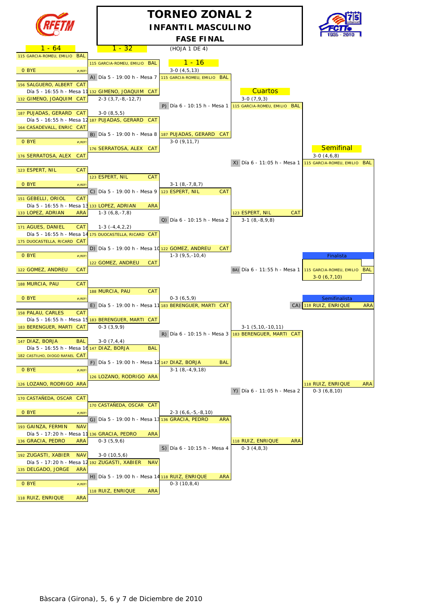

## **TORNEO ZONAL 2 INFANTIL MASCULINO**



|                                                                |                                                       | <b>FASE FINAL</b>                                     |                                                           | <b>ENDING CONTRACT</b>              |
|----------------------------------------------------------------|-------------------------------------------------------|-------------------------------------------------------|-----------------------------------------------------------|-------------------------------------|
| 1 - 64                                                         | <u> 1 - 32 </u>                                       | (HOJA 1 DE 4)                                         |                                                           |                                     |
| 115 GARCIA-ROMEU, EMILIO BAL                                   |                                                       |                                                       |                                                           |                                     |
|                                                                | 115 GARCIA-ROMEU, EMILIO BAL                          | <u> 1 - 16</u>                                        |                                                           |                                     |
| 0 BYE<br>$#$ <sub>i</sub> REF!                                 |                                                       | $3-0(4,5,13)$                                         |                                                           |                                     |
|                                                                | A) Día 5 - 19:00 h - Mesa 7                           | 115 GARCIA-ROMEU, EMILIO BAL                          |                                                           |                                     |
| 156 SALGUERO, ALBERT CAT                                       |                                                       |                                                       |                                                           |                                     |
|                                                                | Día 5 - 16:55 h - Mesa 11 132 GIMENO, JOAQUIM CAT     |                                                       | <b>Cuartos</b>                                            |                                     |
| 132 GIMENO, JOAQUIM CAT                                        | $2-3(3,7,-8,-12,7)$                                   |                                                       | $3-0(7,9,3)$                                              |                                     |
|                                                                |                                                       |                                                       | P) Día 6 - 10:15 h - Mesa 1 $15$ GARCIA-ROMEU, EMILIO BAL |                                     |
| 187 PUJADAS, GERARD CAT                                        | $3-0(8,5,5)$                                          |                                                       |                                                           |                                     |
|                                                                | Día 5 - 16:55 h - Mesa 12 187 PUJADAS, GERARD CAT     |                                                       |                                                           |                                     |
| 164 CASADEVALL, ENRIC CAT                                      |                                                       |                                                       |                                                           |                                     |
|                                                                |                                                       | B) Día 5 - 19:00 h - Mesa 8 $187$ PUJADAS, GERARD CAT |                                                           |                                     |
| O BYE<br>$#$ <sub>i</sub> REF!                                 |                                                       | $3-0(9,11,7)$                                         |                                                           |                                     |
|                                                                | 176 SERRATOSA, ALEX CAT                               |                                                       |                                                           | <b>Semifinal</b>                    |
| 176 SERRATOSA, ALEX<br><b>CAT</b>                              |                                                       |                                                       |                                                           | $3-0(4,6,8)$                        |
|                                                                |                                                       |                                                       | X) Día 6 - 11:05 h - Mesa 1                               | 115 GARCIA-ROMEU, EMILIO BAL        |
| <b>CAT</b><br>123 ESPERT, NIL                                  |                                                       |                                                       |                                                           |                                     |
|                                                                | 123 ESPERT, NIL<br><b>CAT</b>                         |                                                       |                                                           |                                     |
| 0 BYE<br>$#$ <sub>i</sub> REF                                  |                                                       | $3-1(8,-7,8,7)$                                       |                                                           |                                     |
|                                                                | C) Día 5 - 19:00 h - Mesa 9                           | 123 ESPERT, NIL<br><b>CAT</b>                         |                                                           |                                     |
| 151 GEBELLI, ORIOL<br><b>CAT</b>                               |                                                       |                                                       |                                                           |                                     |
| Día 5 - 16:55 h - Mesa 13 133 LOPEZ, ADRIAN                    | <b>ARA</b>                                            |                                                       |                                                           |                                     |
| 133 LOPEZ, ADRIAN<br><b>ARA</b>                                | $1-3(6,8,-7,8)$                                       |                                                       | 123 ESPERT, NIL<br>CAT                                    |                                     |
|                                                                |                                                       | Q) Día 6 - 10:15 h - Mesa 2                           | $3-1(8,-8,9,8)$                                           |                                     |
| 171 AGUES, DANIEL<br><b>CAT</b>                                | $1-3(-4,4,2,2)$                                       |                                                       |                                                           |                                     |
|                                                                | Día 5 - 16:55 h - Mesa 14 175 DUOCASTELLA, RICARD CAT |                                                       |                                                           |                                     |
| 175 DUOCASTELLA, RICARD CAT                                    |                                                       |                                                       |                                                           |                                     |
| 0 BYE                                                          | D) Día 5 - 19:00 h - Mesa 10 122 GOMEZ, ANDREU        | <b>CAT</b><br>$1-3(9,5,-10,4)$                        |                                                           |                                     |
| $#$ <sub>i</sub> REF!                                          | 122 GOMEZ, ANDREU<br>CAT                              |                                                       |                                                           | Finalista                           |
| 122 GOMEZ, ANDREU<br>CAT                                       |                                                       |                                                       | BA) Día 6 - 11:55 h - Mesa 1 115 GARCIA-ROMEU, EMILIO BAL |                                     |
|                                                                |                                                       |                                                       |                                                           | $3-0(6,7,10)$                       |
| 188 MURCIA, PAU<br><b>CAT</b>                                  |                                                       |                                                       |                                                           |                                     |
|                                                                | 188 MURCIA, PAU<br><b>CAT</b>                         |                                                       |                                                           |                                     |
| O BYE<br>$#$ <sub>i</sub> REF!                                 |                                                       | $0-3(6,5,9)$                                          |                                                           | Semifinalista                       |
|                                                                |                                                       | E) Día 5 - 19:00 h - Mesa 11 183 BERENGUER, MARTI CAT |                                                           | CA) 118 RUIZ, ENRIQUE<br><b>ARA</b> |
| 158 PALAU, CARLES<br><b>CAT</b>                                |                                                       |                                                       |                                                           |                                     |
|                                                                | Día 5 - 16:55 h - Mesa 15 183 BERENGUER, MARTI CAT    |                                                       |                                                           |                                     |
| 183 BERENGUER, MARTI CAT                                       | $0-3(3,9,9)$                                          |                                                       | $3-1$ $(5, 10, -10, 11)$                                  |                                     |
|                                                                |                                                       |                                                       | R) Día 6 - 10:15 h - Mesa 3 $183$ BERENGUER, MARTI CAT    |                                     |
| 147 DIAZ, BORJA<br><b>BAL</b>                                  | $3-0(7,4,4)$                                          |                                                       |                                                           |                                     |
| Día 5 - 16:55 h - Mesa 16 147 DIAZ, BORJA                      | <b>BAL</b>                                            |                                                       |                                                           |                                     |
| 182 CASTILHO, DIOGO RAFAEL CAT                                 |                                                       |                                                       |                                                           |                                     |
|                                                                | F) Día 5 - 19:00 h - Mesa 12 147 DIAZ, BORJA          | BAL                                                   |                                                           |                                     |
| 0 BYE<br>$#$ <sub>i</sub> REF                                  |                                                       | $3-1(8,-4,9,18)$                                      |                                                           |                                     |
|                                                                | 126 LOZANO, RODRIGO ARA                               |                                                       |                                                           |                                     |
| 126 LOZANO, RODRIGO ARA                                        |                                                       |                                                       |                                                           | 118 RUIZ, ENRIQUE<br>ARA            |
|                                                                |                                                       |                                                       | Y) Día 6 - 11:05 h - Mesa 2                               | $0-3(6,8,10)$                       |
| 170 CASTAÑEDA, OSCAR CAT                                       |                                                       |                                                       |                                                           |                                     |
|                                                                | 170 CASTAÑEDA, OSCAR CAT                              |                                                       |                                                           |                                     |
| 0 BYE<br>$#$ <sub>i</sub> REF!                                 |                                                       | $2-3(6,6,-5,-8,10)$                                   |                                                           |                                     |
|                                                                | G) Día 5 - 19:00 h - Mesa 13 136 GRACIA, PEDRO        | <b>ARA</b>                                            |                                                           |                                     |
| 193 GAINZA, FERMIN<br><b>NAV</b>                               |                                                       |                                                       |                                                           |                                     |
| Día 5 - 17:20 h - Mesa 11                                      | <b>ARA</b><br>136 GRACIA, PEDRO                       |                                                       |                                                           |                                     |
| 136 GRACIA, PEDRO<br><b>ARA</b>                                | $0-3(5,9,6)$                                          | S) Día 6 - 10:15 h - Mesa 4                           | 118 RUIZ, ENRIQUE<br>ARA                                  |                                     |
|                                                                |                                                       |                                                       | $0-3(4,8,3)$                                              |                                     |
| 192 ZUGASTI, XABIER<br><b>NAV</b><br>Día 5 - 17:20 h - Mesa 12 | $3-0(10,5,6)$<br><b>NAV</b>                           |                                                       |                                                           |                                     |
| 135 DELGADO, JORGE<br><b>ARA</b>                               | 192 ZUGASTI, XABIER                                   |                                                       |                                                           |                                     |
|                                                                | H) Día 5 - 19:00 h - Mesa 14 118 RUIZ, ENRIQUE        | <b>ARA</b>                                            |                                                           |                                     |
| 0 BYE<br>$#$ <sub>i</sub> REF!                                 |                                                       | $0-3(10,8,4)$                                         |                                                           |                                     |
|                                                                | 118 RUIZ, ENRIQUE<br><b>ARA</b>                       |                                                       |                                                           |                                     |
| 118 RUIZ, ENRIQUE<br><b>ARA</b>                                |                                                       |                                                       |                                                           |                                     |
|                                                                |                                                       |                                                       |                                                           |                                     |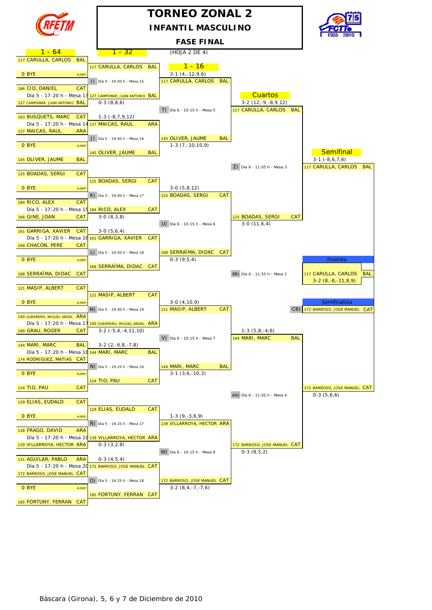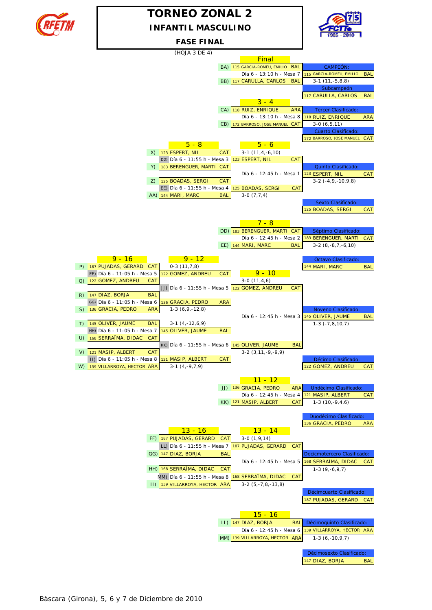

## **INFANTIL MASCULINO TORNEO ZONAL 2**



#### **FASE FINAL**

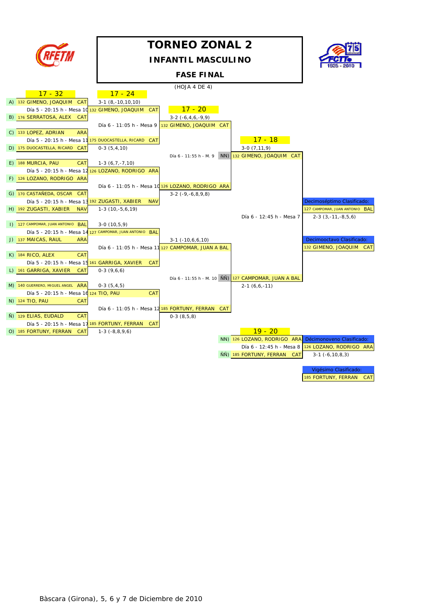

185 FORTUNY, FERRAN CAT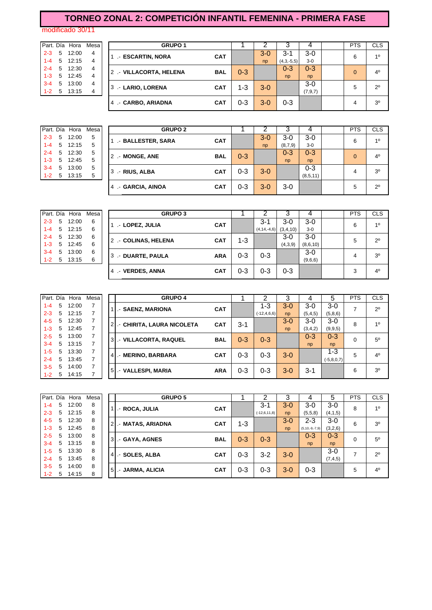## **TORNEO ZONAL 2: COMPETICIÓN INFANTIL FEMENINA - PRIMERA FASE**

modificado 30/11

|         |   | Part. Día Hora | Mes |
|---------|---|----------------|-----|
| $2 - 3$ | 5 | 12:00          | 4   |
| $1 - 4$ | 5 | 12:15          | 4   |
| $2 - 4$ | 5 | 12:30          | 4   |
| $1 - 3$ | 5 | 12:45          | 4   |
| $3 - 4$ | 5 | 13:00          | 4   |
| $1 - 2$ | 5 | 13:15          | 4   |

|              |       |                                                                    |       |            |                                                                                                                                                   |                |              |           | <b>PTS</b> | <b>CLS</b>         |
|--------------|-------|--------------------------------------------------------------------|-------|------------|---------------------------------------------------------------------------------------------------------------------------------------------------|----------------|--------------|-----------|------------|--------------------|
| $2 - 3$<br>5 | 12:00 | 4                                                                  |       |            |                                                                                                                                                   | $3 - 0$        | $3 - 1$      | 3-0       |            | 10                 |
| $1 - 4$      | 12:15 | -4                                                                 |       |            |                                                                                                                                                   | np             | $(4,3,-5,5)$ | $3-0$     |            |                    |
|              |       | 4                                                                  |       |            |                                                                                                                                                   |                | $0 - 3$      | $0 - 3$   |            | $4^{\circ}$        |
|              |       | 4                                                                  |       |            |                                                                                                                                                   |                | np           | np        |            |                    |
| 5            | 13:00 | -4                                                                 |       |            |                                                                                                                                                   |                |              | $3-0$     |            | $2^{\circ}$        |
| $1 - 2$      |       | 4                                                                  |       |            |                                                                                                                                                   |                |              | (7, 9, 7) |            |                    |
|              |       |                                                                    | 4     | <b>CAT</b> | $0 - 3$                                                                                                                                           | $3 - 0$        | $0 - 3$      |           | 4          | 3 <sup>0</sup>     |
|              |       | Part. Día Hora<br>5<br>$2 - 4$ 5 12:30<br>$1-3$ 5 12:45<br>5 13:15 | Mesal |            | <b>GRUPO 1</b><br>- ESCARTIN, NORA<br><b>CAT</b><br>2 .- VILLACORTA, HELENA<br><b>BAL</b><br>3 .- LARIO, LORENA<br><b>CAT</b><br>- CARBO, ARIADNA | $0 - 3$<br>1-3 | $3 - 0$      |           |            | 6<br>$\Omega$<br>5 |

|         |   | Part. Día Hora Mesa |   |  |
|---------|---|---------------------|---|--|
| $2 - 3$ |   | 5 12:00             | 5 |  |
| $1 - 4$ |   | $5 \quad 12:15$     | 5 |  |
| $2 - 4$ | 5 | 12:30               | 5 |  |
| $1 - 3$ | 5 | 12:45               | 5 |  |
| $3 - 4$ | 5 | 13:00               | 5 |  |
| 1-2     | 5 | 13:15               | 5 |  |

|         |   | Part. Día Hora | Mesa | <b>GRUPO 2</b>    |            |         |       |         |          | <b>PTS</b>   | <b>CLS</b>     |
|---------|---|----------------|------|-------------------|------------|---------|-------|---------|----------|--------------|----------------|
| $2 - 3$ | 5 | 12:00          | 5    | - BALLESTER, SARA | <b>CAT</b> |         | $3-0$ | $3-0$   | $3-0$    | 6            | 10             |
| $1 - 4$ | 5 | 12:15          | 5    |                   |            |         | np    | (8,7,9) | $3-0$    |              |                |
| $2 - 4$ | 5 | 12:30          | 5    | 2 - MONGE, ANE    | <b>BAL</b> | $0 - 3$ |       | $0 - 3$ | $0 - 3$  | $\mathbf{0}$ | 4 <sup>0</sup> |
| $1 - 3$ | 5 | 12:45          | 5    |                   |            |         |       | np      | np       |              |                |
| $3 - 4$ | 5 | 13:00          | 5    | 3 - RIUS, ALBA    | <b>CAT</b> | $0 - 3$ | $3-0$ |         | $0 - 3$  | 4            | 3 <sup>o</sup> |
| $1 - 2$ | 5 | 13:15          | 5    |                   |            |         |       |         | (8,5,11) |              |                |
|         |   |                |      | 4 - GARCIA, AINOA | <b>CAT</b> | $0 - 3$ | $3-0$ | $3-0$   |          | 5            | $2^{\circ}$    |

|         |   | Part. Día Hora | Mesa | <b>GRUPO 3</b>      |            |         |                  |          |          | <b>PTS</b> | <b>CLS</b>     |
|---------|---|----------------|------|---------------------|------------|---------|------------------|----------|----------|------------|----------------|
| $2 - 3$ | 5 | 12:00          | 6    | .- LOPEZ, JULIA     | <b>CAT</b> |         | $3 - 1$          | $3-0$    | 3-0      | 6          | 10             |
| $1 - 4$ |   | 5 12:15        | 6    |                     |            |         | $(4, 14, -4, 6)$ | (3,4,10) | $3-0$    |            |                |
| $2 - 4$ | 5 | 12:30          | 6    | 2 - COLINAS, HELENA | <b>CAT</b> | $1 - 3$ |                  | $3-0$    | $3-0$    | 5          | $2^{\circ}$    |
| $1 - 3$ | 5 | 12:45          | 6    |                     |            |         |                  | (4,3,9)  | (8,6,10) |            |                |
| $3 - 4$ | 5 | 13:00          | 6    | 3 .- DUARTE, PAULA  | <b>ARA</b> | 0-3     | $0 - 3$          |          | $3-0$    | 4          | 3 <sup>o</sup> |
| $1 - 2$ | 5 | 13:15          | 6    |                     |            |         |                  |          | (9,6,6)  |            |                |
|         |   |                |      | .- VERDES, ANNA     | <b>CAT</b> | 0-3     | $0 - 3$          | $0 - 3$  |          | 3          | $4^{\circ}$    |

|         |   | Part. Día Hora | Mesa |    | <b>GRUPO 4</b>            |            |         | ◠                | っ       |           | 5            | <b>PTS</b> | <b>CLS</b>     |
|---------|---|----------------|------|----|---------------------------|------------|---------|------------------|---------|-----------|--------------|------------|----------------|
| $1 - 4$ | 5 | 12:00          |      |    | - SAENZ, MARIONA          | <b>CAT</b> |         | 1-3              | $3 - 0$ | 3-0       | $3-0$        | ⇁          | $2^{\circ}$    |
| $2 - 3$ | 5 | 12:15          |      |    |                           |            |         | $(-12, 4, 6, 6)$ | np      | (5, 4, 5) | (5,8,6)      |            |                |
| 4-5     | 5 | 12:30          | 7    |    | - CHIRITA, LAURA NICOLETA | <b>CAT</b> | $3 - 1$ |                  | $3-0$   | $3-0$     | $3-0$        | 8          | 10             |
| $1 - 3$ | 5 | 12:45          |      |    |                           |            |         |                  | np      | (3,4,2)   | (9, 9, 5)    |            |                |
| $2 - 5$ | 5 | 13:00          | 7    | 3' | .- VILLACORTA, RAQUEL     | <b>BAL</b> | $0 - 3$ | $0 - 3$          |         | $0 - 3$   | $0 - 3$      | 0          | $5^{\circ}$    |
| $3 - 4$ | 5 | 13:15          |      |    |                           |            |         |                  |         | np        | np           |            |                |
| $1 - 5$ | 5 | 13:30          |      | 4  | .- MERINO, BARBARA        | <b>CAT</b> | 0-3     | $0 - 3$          | $3-0$   |           | $1 - 3$      | 5          | 4 <sup>0</sup> |
| $2 - 4$ | 5 | 13:45          |      |    |                           |            |         |                  |         |           | $(-5,8,0,7)$ |            |                |
| $3 - 5$ | 5 | 14:00          |      | 5  | - VALLESPI, MARIA         | <b>ARA</b> | $0 - 3$ | $0 - 3$          | $3 - 0$ | $3 - 1$   |              | 6          | 3 <sup>0</sup> |
| $1 - 2$ | 5 | 14:15          |      |    |                           |            |         |                  |         |           |              |            |                |

|         |   | Part. Día Hora | Mesa |                | <b>GRUPO 5</b>   |            |         |                | 3       |                      | 5         | <b>PTS</b> | <b>CLS</b>     |
|---------|---|----------------|------|----------------|------------------|------------|---------|----------------|---------|----------------------|-----------|------------|----------------|
| $1 - 4$ | 5 | 12:00          | 8    |                | .- ROCA, JULIA   | <b>CAT</b> |         | 3-1            | $3 - 0$ | $3-0$                | $3-0$     | 8          | 10             |
| $2 - 3$ | 5 | 12:15          | 8    |                |                  |            |         | $(-12,6,11,8)$ | np      | (5,5,8)              | (4,1,5)   |            |                |
| $4 - 5$ | 5 | 12:30          | 8    | 2 <sub>1</sub> | - MATAS, ARIADNA | <b>CAT</b> | 1-3     |                | $3 - 0$ | $2 - 3$              | $3-0$     | 6          | 3 <sup>0</sup> |
| $1 - 3$ | 5 | 12:45          | 8    |                |                  |            |         |                | np      | $(5, 10, -9, -7, 9)$ | (3,2,6)   |            |                |
| $2 - 5$ | 5 | 13:00          | 8    | 3              |                  | <b>BAL</b> | $0 - 3$ | $0 - 3$        |         | $0 - 3$              | $0 - 3$   | 0          | $5^{\circ}$    |
| $3 - 4$ | 5 | 13:15          | 8    |                | .- GAYA, AGNES   |            |         |                |         | np                   | np        |            |                |
| $1 - 5$ | 5 | 13:30          | 8    |                |                  | <b>CAT</b> | $0 - 3$ | 3-2            | $3-0$   |                      | $3-0$     | ⇁          | $2^{\circ}$    |
| $2 - 4$ | 5 | 13:45          | 8    | 4              | .- SOLES, ALBA   |            |         |                |         |                      | (7, 4, 5) |            |                |
| $3 - 5$ | 5 | 14:00          | 8    | 5              |                  | <b>CAT</b> | 0-3     | 0-3            | $3 - 0$ | $0 - 3$              |           | 5          | 4 <sup>0</sup> |
| $1 - 2$ | 5 | 14:15          | 8    |                | - JARMA, ALICIA  |            |         |                |         |                      |           |            |                |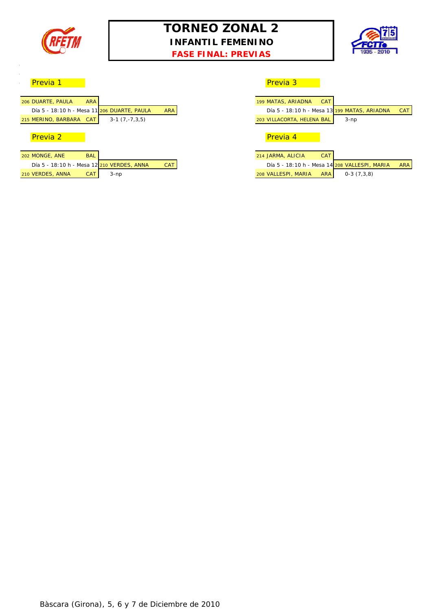

## **TORNEO ZONAL 2 INFANTIL FEMENINO**





#### o <mark>Previa 1 Previa 1 Previa 3 Previa 3 Previa 3 Previa 3 Previa 3 Previa 3 Previa 3 Previa 3 Previa 3 Previa 3 Previa 3 Previa 3 Previa 3 Previa 3 Previa 3 Previa 3 Previa 3 Previa 3 Previa 3 Previa 3 Previa 3 Previa 3 Pre</mark>

 $\overline{\phantom{a}}$  $\overline{\phantom{a}}$ 

| <b>ARA</b><br>199 MATAS, ARIADNA<br><b>CAT</b><br>Día 5 - 18:10 h - Mesa 13 199 MAT.<br>Día 5 - 18:10 h - Mesa 11 206 DUARTE, PAULA<br><b>ARA</b><br>$3-1(7,-7,3,5)$<br>203 VILLACORTA, HELENA BAL<br>Previa 2<br>Previa 4 |                   |  |  |
|----------------------------------------------------------------------------------------------------------------------------------------------------------------------------------------------------------------------------|-------------------|--|--|
|                                                                                                                                                                                                                            | 206 DUARTE, PAULA |  |  |
| 215 MERINO, BARBARA CAT                                                                                                                                                                                                    |                   |  |  |
|                                                                                                                                                                                                                            |                   |  |  |
|                                                                                                                                                                                                                            |                   |  |  |
|                                                                                                                                                                                                                            |                   |  |  |

#### 202 MONGE, ANE BAL Día 5 - 18:10 h - Mesa 12 210 VERDES, ANNA CAT 210 VERDES, ANNA CAT 3-np

| DUARTE, PAULA       | <b>ARA</b> |                                             |            | 199 MATAS, ARIADNA<br><b>CAT</b>                  |
|---------------------|------------|---------------------------------------------|------------|---------------------------------------------------|
|                     |            | Día 5 - 18:10 h - Mesa 11 206 DUARTE, PAULA | <b>ARA</b> | Día 5 - 18:10 h - Mesa 13 199 MATAS, ARIADNA      |
| MERINO, BARBARA CAT |            | $3-1(7,-7,3,5)$                             |            | 203 VILLACORTA, HELENA BAL<br>$3-np$              |
| Previa 2            |            |                                             |            | Previa 4                                          |
| <b>MONGE, ANE</b>   | <b>BAL</b> |                                             |            | <b>CAT</b><br>214 JARMA, ALICIA                   |
|                     |            | Día 5 - 18:10 h - Mesa 12 210 VERDES, ANNA  | <b>CAT</b> | Día 5 - 18:10 h - Mesa 14 208 VALLESPI, MARIA     |
| <b>VERDES, ANNA</b> | <b>CAT</b> | 3-np                                        |            | $0-3(7,3,8)$<br>208 VALLESPI, MARIA<br><b>ARA</b> |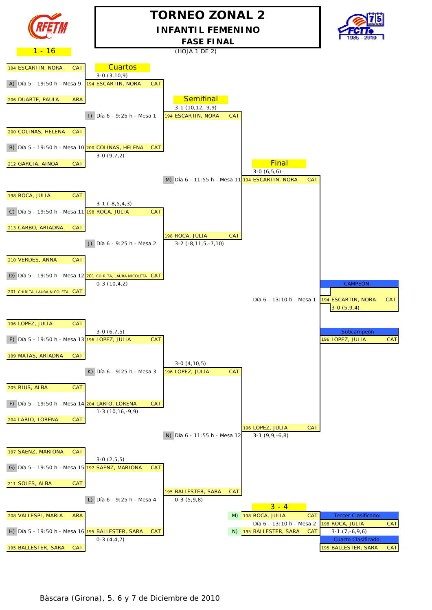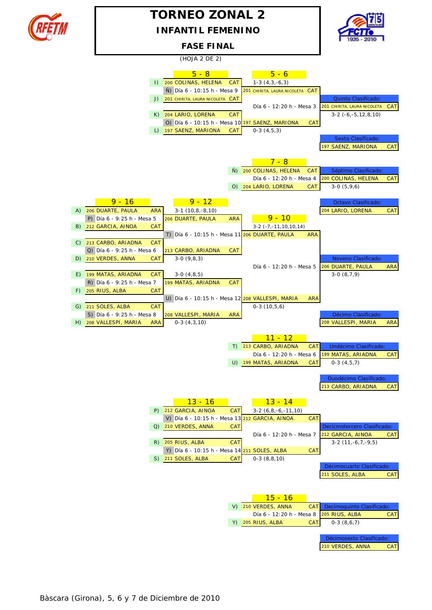

## **TORNEO ZONAL 2 INFANTIL FEMENINO**



#### **FASE FINAL**

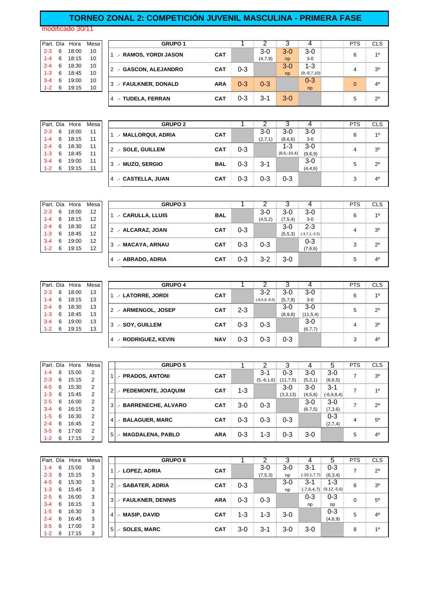#### **TORNEO ZONAL 2: COMPETICIÓN JUVENIL MASCULINA - PRIMERA FASE**

modificado 30/11

|         |    | Part. Día Hora | Mesa | <b>GRUPO 1</b>         |            |         |         |                |               | <b>PTS</b> | CLS            |
|---------|----|----------------|------|------------------------|------------|---------|---------|----------------|---------------|------------|----------------|
| $2 - 3$ | 6  | 18:00          | 10   | .- RAMOS, YORDI JASON  | <b>CAT</b> |         | 3-0     | 3-0            | $3-0$         | 6          | 10             |
| $1 - 4$ | 6  | 18:15          | 10   |                        |            |         | (4,7,9) | n <sub>D</sub> | $3-0$         |            |                |
| $2 - 4$ | 6  | 18:30          | 10   | 2 .- GASCON, ALEJANDRO | <b>CAT</b> | $0 - 3$ |         | $3-0$          | 1-3           | 4          | 3 <sup>0</sup> |
| $1 - 3$ | 6  | 18:45          | 10   |                        |            |         |         | np             | $(9,-8,7,10)$ |            |                |
| $3 - 4$ | 6  | 19:00          | 10   | 3 .- FAULKNER, DONALD  | <b>ARA</b> | $0 - 3$ | $0 - 3$ |                | $0 - 3$       | $\Omega$   | $4^{\circ}$    |
| $1 - 2$ | -6 | 19:15          | 10   |                        |            |         |         |                | np            |            |                |
|         |    |                |      | 4 .- TUDELA, FERRAN    | <b>CAT</b> | 0-3     | 3-1     | $3-0$          |               | 5          | $2^{\circ}$    |
|         |    |                |      |                        |            |         |         |                |               |            |                |

|         |   | Part. Día Hora | Mesa | <b>GRUPO 2</b>       |            |         |         |               |         | <b>PTS</b> | <b>CLS</b>     |
|---------|---|----------------|------|----------------------|------------|---------|---------|---------------|---------|------------|----------------|
| $2 - 3$ | 6 | 18:00          | 11   | 1 - MALLORQUI, ADRIA | <b>CAT</b> |         | $3-0$   | 3-0           | 3-0     | 6          | 10             |
| $1 - 4$ | 6 | 18:15          | 11   |                      |            |         | (2,7,1) | (8,6,6)       | $3-0$   |            |                |
| $2 - 4$ | 6 | 18:30          | 11   | 2 .- SOLE, GUILLEM   | <b>CAT</b> | $0 - 3$ |         | 1-3           | $3-0$   |            | 3 <sup>o</sup> |
| $1 - 3$ | 6 | 18:45          | 11   |                      |            |         |         | $(8,6,-10,4)$ | (9,6,9) |            |                |
| $3 - 4$ | 6 | 19:00          | 11   | 3 - MUZO, SERGIO     | <b>BAL</b> | $0 - 3$ | $3 - 1$ |               | $3-0$   |            | $2^{\circ}$    |
| $1 - 2$ | 6 | 19:15          | 11   |                      |            |         |         |               | (4,4,6) |            |                |
|         |   |                |      | 4 - CASTELLA, JUAN   | <b>CAT</b> | $0 - 3$ | 0-3     | 0-3           |         | 3          | 4 <sup>0</sup> |

| Part. Día |   | Hora  | Mesa | <b>GRUPO 3</b>     |            |         |         |         |                 | <b>PTS</b> | CLS            |
|-----------|---|-------|------|--------------------|------------|---------|---------|---------|-----------------|------------|----------------|
| $2 - 3$   | 6 | 18:00 | 12   | .- CARULLA, LLUIS  | <b>BAL</b> |         | 3-0     | $3-0$   | $3-0$           | 6          | 10             |
| 1-4       | 6 | 18:15 | 12   |                    |            |         | (4,5,2) | (7,5,4) | $3-0$           |            |                |
| $2 - 4$   | 6 | 18:30 | 12   | 2 .- ALCARAZ, JOAN | CAT        | $0 - 3$ |         | $3-0$   | $2 - 3$         | 4          | 3 <sup>o</sup> |
| 1-3       | 6 | 18:45 | 12   |                    |            |         |         | (5.5.3) | $(-3,7,1,-2,5)$ |            |                |
| $3 - 4$   | 6 | 19:00 | 12   | 3 .- MACAYA, ARNAU | <b>CAT</b> | $0 - 3$ | $0 - 3$ |         | $0 - 3$         | 3          | $2^{\circ}$    |
| $1-2$     | 6 | 19:15 | 12   |                    |            |         |         |         | (7,6,6)         |            |                |
|           |   |       |      | 4 - ABRADO, ADRIA  | CAT        | $0 - 3$ | $3-2$   | $3-0$   |                 | 5          | 4 <sup>0</sup> |

|         |   | Part. Día Hora | Mesa | <b>GRUPO 4</b>       |            |         |                 |         |           | <b>PTS</b> | <b>CLS</b>  |
|---------|---|----------------|------|----------------------|------------|---------|-----------------|---------|-----------|------------|-------------|
| $2 - 3$ | 6 | 18:00          | 13   | 1 .- LATORRE, JORDI  | <b>CAT</b> |         | $3 - 2$         | 3-0     | 3-0       | 6          | 10          |
| 1-4     | 6 | 18:15          | 13   |                      |            |         | $(-8,5,9,-9,5)$ | (5,7,8) | $3-0$     |            |             |
| $2 - 4$ | 6 | 18:30          | 13   | 2 .- ARMENGOL, JOSEP | CAT        | $2 - 3$ |                 | 3-0     | 3-0       | 5          | $2^{\circ}$ |
| 1-3     | 6 | 18:45          | 13   |                      |            |         |                 | (8,9,8) | (11,5,4)  |            |             |
| 3-4     | 6 | 19:00          | 13   | 3 - SOY, GUILLEM     | <b>CAT</b> | $0 - 3$ | $0 - 3$         |         | 3-0       |            | 30          |
| $1 - 2$ | 6 | 19:15          | 13   |                      |            |         |                 |         | (6, 7, 7) |            |             |
|         |   |                |      | 4 - RODRIGUEZ, KEVIN | <b>NAV</b> | $0 - 3$ | 0-3             | 0-3     |           |            | 40          |

|         | Part. Día | Hora  | Mesa |   | <b>GRUPO 5</b>        |            |         |              |            |         | 5               | <b>PTS</b> | <b>CLS</b>     |
|---------|-----------|-------|------|---|-----------------------|------------|---------|--------------|------------|---------|-----------------|------------|----------------|
| $1 - 4$ | 6         | 15:00 | 2    |   | .- PRADOS, ANTONI     | <b>CAT</b> |         | $3 - 1$      | $0 - 3$    | $3-0$   | $3-0$           |            | 3 <sup>0</sup> |
| $2 - 3$ | 6         | 15:15 | 2    |   |                       |            |         | $(5,-6,1,6)$ | (11, 7, 5) | (5,2,1) | (6,6,5)         |            |                |
| $4 - 5$ | 6         | 15:30 | 2    |   | .- PEDEMONTE, JOAQUIM | <b>CAT</b> | 1-3     |              | $3-0$      | $3-0$   | $3 - 1$         | ∍          | 10             |
| $1 - 3$ | 6         | 15:45 | 2    |   |                       |            |         |              | (3,3,13)   | (4,5,6) | $(-6, 9, 8, 4)$ |            |                |
| $2 - 5$ | 6         | 16:00 | 2    | 3 | - BARRENECHE, ALVARO  | <b>CAT</b> | $3-0$   | $0 - 3$      |            | $3-0$   | $3-0$           | ⇁          | $2^{\circ}$    |
| $3 - 4$ | 6         | 16:15 | 2    |   |                       |            |         |              |            | (6,7,5) | (7,3,6)         |            |                |
| $1 - 5$ | 6         | 16:30 | 2    | 4 | .- BALAGUER, MARC     | <b>CAT</b> | $0 - 3$ | $0 - 3$      | $0 - 3$    |         | $0 - 3$         | 4          | $5^{\circ}$    |
| $2 - 4$ | 6         | 16:45 | 2    |   |                       |            |         |              |            |         | (2,7,4)         |            |                |
| $3 - 5$ | 6         | 17:00 | 2    | 5 |                       | <b>ARA</b> | $0 - 3$ | $1 - 3$      | $0 - 3$    | $3-0$   |                 | 5          | $\Delta^0$     |
| $1 - 2$ | 6         | 17:15 | ◠    |   | .- MAGDALENA, PABLO   |            |         |              |            |         |                 |            |                |

|         |   | Part. Día Hora | Mesa |                | <b>GRUPO 6</b>        |            |     |         |       |               |                          | <b>PTS</b>     | <b>CLS</b>     |
|---------|---|----------------|------|----------------|-----------------------|------------|-----|---------|-------|---------------|--------------------------|----------------|----------------|
| 1-4     | 6 | 15:00          | 3    |                | .- LOPEZ, ADRIA       | <b>CAT</b> |     | $3-0$   | $3-0$ | 3-1           | $0 - 3$                  | $\overline{ }$ | $2^{\circ}$    |
| $2 - 3$ | 6 | 15:15          | 3    |                |                       |            |     | (7,5,3) | np    | $(-10,1,7,7)$ | (6,3,4)                  |                |                |
| $4 - 5$ | 6 | 15:30          | 3    | $\overline{2}$ | .- SABATER, ADRIA     | <b>CAT</b> | 0-3 |         | $3-0$ | 3-1           | 1-3                      | 6              | 3 <sup>o</sup> |
| 1-3     | 6 | 15:45          | 3    |                |                       |            |     |         | np    |               | $(-7,6,4,7)$ (9,12,-5,6) |                |                |
| $2 - 5$ | 6 | 16:00          | 3    |                | 3 .- FAULKNER, DENNIS | <b>ARA</b> | 0-3 | $0 - 3$ |       | $0 - 3$       | $0 - 3$                  | $\Omega$       | $5^{\circ}$    |
| $3 - 4$ | 6 | 16:15          | 3    |                |                       |            |     |         |       | np            | np                       |                |                |
| $1 - 5$ | 6 | 16:30          | 3    |                | 4 .- MASIP, DAVID     | <b>CAT</b> | 1-3 | $1 - 3$ | $3-0$ |               | 0-3                      | 5              | 4 <sup>0</sup> |
| $2 - 4$ | 6 | 16:45          | 3    |                |                       |            |     |         |       |               | (4,6,9)                  |                |                |
| $3 - 5$ | 6 | 17:00          | 3    | 5 <sub>1</sub> |                       | <b>CAT</b> | 3-0 | 3-1     | $3-0$ | $3-0$         |                          | 8              | 10             |
| $1 - 2$ | 6 | 17:15          | 3    |                | - SOLES, MARC         |            |     |         |       |               |                          |                |                |
|         |   |                |      |                |                       |            |     |         |       |               |                          |                |                |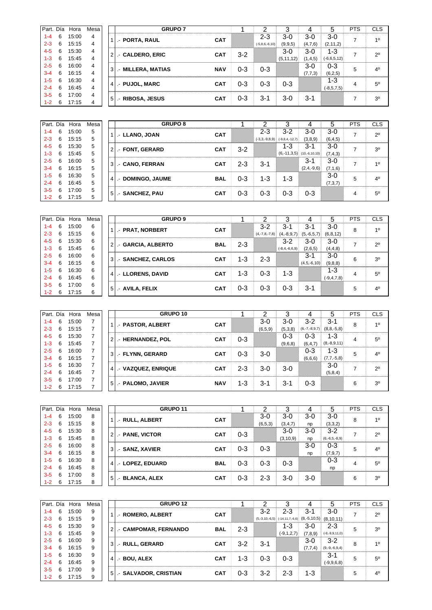|         | Part. Día | Hora  | Mesa |                | <b>GRUPO 7</b>     |            |         |                      |             |         |                 | <b>PTS</b> | <b>CLS</b>     |
|---------|-----------|-------|------|----------------|--------------------|------------|---------|----------------------|-------------|---------|-----------------|------------|----------------|
| $1 - 4$ | 6         | 15:00 | 4    |                | .- PORTA, RAUL     | <b>CAT</b> |         | $2 - 3$              | $3-0$       | $3-0$   | $3-0$           |            | 10             |
| $2 - 3$ | 6         | 15:15 | 4    |                |                    |            |         | $(-5, 8, 6, -6, 10)$ | (9, 9, 5)   | (4,7,6) | (2, 11, 2)      |            |                |
| $4 - 5$ | 6         | 15:30 | 4    | $\overline{2}$ | .- CALDERO, ERIC   | <b>CAT</b> | $3-2$   |                      | $3-0$       | $3-0$   | $1-3$           |            | $2^{\circ}$    |
| $1 - 3$ | 6         | 15:45 | 4    |                |                    |            |         |                      | (5, 11, 12) | (1,4,5) | $(-6,6,5,12)$   |            |                |
| $2 - 5$ | 6         | 16:00 | 4    | 3              | .- MILLERA, MATIAS | <b>NAV</b> | $0 - 3$ | $0 - 3$              |             | $3-0$   | $0 - 3$         | 5          | 4 <sup>0</sup> |
| $3 - 4$ | 6         | 16:15 | 4    |                |                    |            |         |                      |             | (7,7,3) | (6,2,5)         |            |                |
| $1 - 5$ | 6         | 16:30 | 4    | 4 <sup>1</sup> | .- PUJOL. MARC     | <b>CAT</b> | 0-3     | $0 - 3$              | $0 - 3$     |         | 1-3             | 4          | $5^{\circ}$    |
| $2 - 4$ | 6         | 16:45 | 4    |                |                    |            |         |                      |             |         | $(-8, 5, 7, 5)$ |            |                |
| $3-5$   | 6         | 17:00 | 4    | 5              | .- RIBOSA, JESUS   | <b>CAT</b> | 0-3     | 3-1                  | 3-0         | $3 - 1$ |                 |            | 3 <sup>o</sup> |
| $1 - 2$ | 6         | 17:15 | 4    |                |                    |            |         |                      |             |         |                 |            |                |

| Part. Día |   | Hora  | Mesa |                | <b>GRUPO 8</b>        |            |         |         |                                  |              | :5        | <b>PTS</b>     | <b>CLS</b>     |
|-----------|---|-------|------|----------------|-----------------------|------------|---------|---------|----------------------------------|--------------|-----------|----------------|----------------|
| $1 - 4$   | 6 | 15:00 | 5    |                | 1   .- LLANO, JOAN    | <b>CAT</b> |         | $2 - 3$ | $3 - 2$                          | $3-0$        | $3-0$     | $\overline{ }$ | $2^{\circ}$    |
| $2 - 3$   | 6 | 15:15 | 5    |                |                       |            |         |         | $(-3,3,-9,8,9)$ $(-9,8,4,-12,7)$ | (3,8,9)      | (6, 4, 5) |                |                |
| $4 - 5$   | 6 | 15:30 | 5    |                | 2. FONT, GERARD       | <b>CAT</b> | $3 - 2$ |         | 1-3                              | 3-1          | $3-0$     | -              | 3 <sup>0</sup> |
| $1 - 3$   | 6 | 15:45 | 5    |                |                       |            |         |         | $(6,-11,3,5)$ $(10,-6,10,10)$    |              | (7, 4, 3) |                |                |
| $2 - 5$   | 6 | 16:00 | 5    | 3 <sup>1</sup> | .- CANO, FERRAN       | <b>CAT</b> | $2 - 3$ | $3 - 1$ |                                  | 3-1          | $3-0$     | -              | 10             |
| $3-4$     | 6 | 16:15 | 5    |                |                       |            |         |         |                                  | $(2,4,-9,6)$ | (7.1,6)   |                |                |
| $1 - 5$   | 6 | 16:30 | 5    |                | 4   .- DOMINGO, JAUME | <b>BAL</b> | $0 - 3$ | 1-3     | 1-3                              |              | $3-0$     | 5              | 40             |
| $2 - 4$   | 6 | 16:45 | 5    |                |                       |            |         |         |                                  |              | (7,3,7)   |                |                |
| $3-5$     | 6 | 17:00 | 5    |                |                       |            | $0 - 3$ | $0 - 3$ | $0 - 3$                          | $0 - 3$      |           |                |                |
| $1 - 2$   | 6 | 17:15 | 5    | 5 <sup>1</sup> | - SANCHEZ, PAU        | <b>CAT</b> |         |         |                                  |              |           | 4              | $5^{\circ}$    |

|         |   | Part. Día Hora | Mesa |                | <b>GRUPO 9</b>     |            |     |                 |                     |                           |                 | PTS | <b>CLS</b>     |
|---------|---|----------------|------|----------------|--------------------|------------|-----|-----------------|---------------------|---------------------------|-----------------|-----|----------------|
| $1 - 4$ | 6 | 15:00          | 6    |                | .- PRAT, NORBERT   | <b>CAT</b> |     | $3-2$           | 3-1                 | 3-1                       | $3-0$           | 8   | 10             |
| $2 - 3$ | 6 | 15:15          | 6    |                |                    |            |     | $(4,-7,8,-7,8)$ |                     | $(4,-8,9,7)$ $(5,-6,5,7)$ | (6, 8, 12)      |     |                |
| $4 - 5$ | 6 | 15:30          | 6    |                | .- GARCIA, ALBERTO | <b>BAL</b> | 2-3 |                 | $3-2$               | 3-0                       | $3-0$           | ⇁   | $2^{\circ}$    |
| $1 - 3$ | 6 | 15:45          | 6    |                |                    |            |     |                 | $(-8, 4, -6, 6, 9)$ | (2,6,5)                   | (4,4,8)         |     |                |
| $2 - 5$ | 6 | 16:00          | 6    | 3              | - SANCHEZ, CARLOS  | <b>CAT</b> | 1-3 | $2 - 3$         |                     | 3-1                       | $3-0$           | 6   | 3 <sup>0</sup> |
| $3 - 4$ | 6 | 16:15          | 6    |                |                    |            |     |                 |                     | $(4,5,-6,10)$             | (9, 8, 8)       |     |                |
| $1 - 5$ | 6 | 16:30          | 6    |                | .- LLORENS, DAVID  | <b>CAT</b> | 1-3 | $0 - 3$         | $1 - 3$             |                           | 1-3             | 4   | $5^{\circ}$    |
| $2 - 4$ | 6 | 16:45          | 6    | $-4$           |                    |            |     |                 |                     |                           | $(-9, 4, 7, 8)$ |     |                |
| $3-5$   | 6 | 17:00          | 6    | 5 <sub>5</sub> |                    | <b>CAT</b> | 0-3 | $0 - 3$         | $0 - 3$             | 3-1                       |                 | 5   | 40             |
| $1 - 2$ | 6 | 17:15          | 6    |                | .- AVILA, FELIX    |            |     |                 |                     |                           |                 |     |                |

| Part. Día |   | Hora  | Mesa |             | GRUPO 10            |            |         |         |         |                 | 5               | <b>PTS</b> | <b>CLS</b>     |
|-----------|---|-------|------|-------------|---------------------|------------|---------|---------|---------|-----------------|-----------------|------------|----------------|
| $1 - 4$   | 6 | 15:00 | 7    |             | - PASTOR, ALBERT    | <b>CAT</b> |         | $3-0$   | $3-0$   | $3-2$           | $3 - 1$         | 8          | 10             |
| $2 - 3$   | 6 | 15:15 | 7    |             |                     |            |         | (6.5.9) | (5,3,8) | $(6,-7,-8,9,7)$ | $(8, 8, -5, 8)$ |            |                |
| $4 - 5$   | 6 | 15:30 | 7    | $2^{\circ}$ | - HERNANDEZ, POL    | <b>CAT</b> | $0 - 3$ |         | 0-3     | $0 - 3$         | $1 - 3$         | 4          | $5^{\circ}$    |
| $1 - 3$   | 6 | 15:45 |      |             |                     |            |         |         | (9,6,8) | (6, 4, 7)       | $(8,-8,9,11)$   |            |                |
| $2 - 5$   | 6 | 16:00 |      | 3           | .- FLYNN. GERARD    | <b>CAT</b> | 0-3     | $3-0$   |         | $0 - 3$         | $1 - 3$         | 5          | 4 <sup>0</sup> |
| $3 - 4$   | 6 | 16:15 |      |             |                     |            |         |         |         | (6,6,6)         | $(7,7,-5,8)$    |            |                |
| $1 - 5$   | 6 | 16:30 | 7    |             |                     | <b>CAT</b> | 2-3     | $3-0$   | $3-0$   |                 | $3-0$           | -          | $2^{\circ}$    |
| $2 - 4$   | 6 | 16:45 | ⇁    | 4 I         | .- VAZQUEZ, ENRIQUE |            |         |         |         |                 | (5,8,4)         |            |                |
| $3-5$     | 6 | 17:00 |      |             |                     |            |         |         |         |                 |                 |            |                |
| $1 - 2$   | 6 | 17:15 |      | . 5 1       | .- PALOMO, JAVIER   | <b>NAV</b> | $1 - 3$ | 3-1     | $3 - 1$ | $0 - 3$         |                 | 6          | 3 <sup>o</sup> |

|         |   | Part. Día Hora | Mesa |                | <b>GRUPO 11</b>  |            |         |           |            |       |                 | <b>PTS</b> | <b>CLS</b>  |
|---------|---|----------------|------|----------------|------------------|------------|---------|-----------|------------|-------|-----------------|------------|-------------|
| $1 - 4$ | 6 | 15:00          | 8    |                |                  |            |         | $3-0$     | $3-0$      | $3-0$ | $3-0$           |            | 10          |
| $2 - 3$ | 6 | 15:15          | 8    |                | .- RULL. ALBERT  | <b>CAT</b> |         | (6, 5, 3) | (3,4,7)    | np    | (3,3,2)         | 8          |             |
| $4 - 5$ | 6 | 15:30          | 8    | 2              | .- PANE, VICTOR  | <b>CAT</b> | $0 - 3$ |           | 3-0        | $3-0$ | $3-2$           | ∍          | $2^{\circ}$ |
| $1 - 3$ | 6 | 15:45          | 8    |                |                  |            |         |           | (3, 10, 9) | np    | $(6,-6,5,-8,9)$ |            |             |
| $2 - 5$ | 6 | 16:00          | 8    | 3              | .- SANZ, XAVIER  | <b>CAT</b> | $0 - 3$ | $0 - 3$   |            | $3-0$ | $0 - 3$         | 5          | $4^{\circ}$ |
| $3 - 4$ | 6 | 16:15          | 8    |                |                  |            |         |           |            | np    | (7.9.7)         |            |             |
| $1 - 5$ | 6 | 16:30          | 8    | $\overline{4}$ | .- LOPEZ, EDUARD | <b>BAL</b> | $0 - 3$ | $0 - 3$   | $0 - 3$    |       | 0-3             | 4          | $5^{\circ}$ |
| $2 - 4$ | 6 | 16:45          | 8    |                |                  |            |         |           |            |       | np              |            |             |
| $3-5$   | 6 | 17:00          | 8    | 5              | .- BLANCA, ALEX  | <b>CAT</b> | $0 - 3$ | $2 - 3$   | 3-0        | $3-0$ |                 | 6          | 30          |
| $1 - 2$ | 6 | 17:15          | 8    |                |                  |            |         |           |            |       |                 |            |             |

| Part. Día |    | Hora  | Mesa |                | <b>GRUPO 12</b>           |            |         |         |                                                              |           |                  | <b>PTS</b> | CLS          |
|-----------|----|-------|------|----------------|---------------------------|------------|---------|---------|--------------------------------------------------------------|-----------|------------------|------------|--------------|
| $1 - 4$   | 6  | 15:00 | 9    |                | <b>I.- ROMERO, ALBERT</b> | <b>CAT</b> |         | $3-2$   | 2-3                                                          | 3-1       | 3-0              | ∍          | $2^{\circ}$  |
| $2 - 3$   | 6  | 15:15 | 9    |                |                           |            |         |         | $(5,-3,10,-6,5)$ $(-14,11,7,-6,6)$ $(8,-5,10,5)$ $(8,10,11)$ |           |                  |            |              |
| $4 - 5$   | 6  | 15:30 | 9    |                | 2. CAMPOMAR, FERNANDO     | <b>BAL</b> | $2 - 3$ |         | 1-3                                                          | $3-0$     | $2 - 3$          | 5          | $30^{\circ}$ |
| $1 - 3$   | 6  | 15:45 | 9    |                |                           |            |         |         | $(-9, 1, 2, 7)$                                              | (7, 8, 9) | $(-8,-9,9,11,0)$ |            |              |
| $2 - 5$   | 6  | 16:00 | 9    |                | 3   .- RULL, GERARD       | <b>CAT</b> | $3-2$   | $3 - 1$ |                                                              | $3-0$     | $3-2$            | 8          | 10           |
| $3 - 4$   | 6  | 16:15 | 9    |                |                           |            |         |         |                                                              | (7,7,4)   | $(9,-9,-6,9,4)$  |            |              |
| $1 - 5$   | 6  | 16:30 | 9    | $\overline{4}$ |                           | <b>CAT</b> | $1 - 3$ | $0 - 3$ | $0 - 3$                                                      |           | 3-1              | 5          | $5^{\circ}$  |
| $2 - 4$   | -6 | 16:45 | 9    |                | .- BOU, ALEX              |            |         |         |                                                              |           | $(-9,9,6,8)$     |            |              |
| $3-5$     | 6  | 17:00 | 9    |                | 5   .- SALVADOR, CRISTIAN | <b>CAT</b> | $0 - 3$ | $3-2$   | $2 - 3$                                                      | 1-3       |                  | 5          | 40           |
| $1 - 2$   | 6  | 17:15 | 9    |                |                           |            |         |         |                                                              |           |                  |            |              |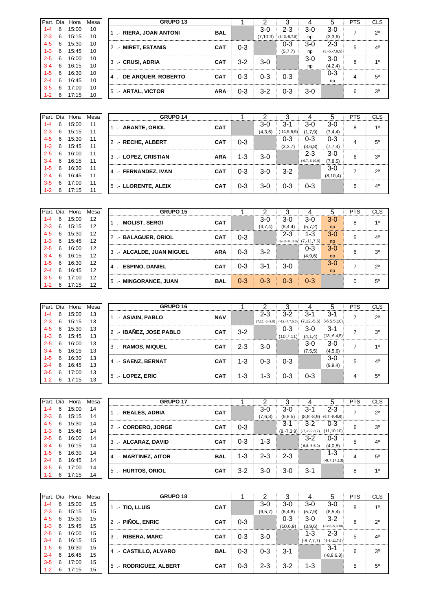| Part. Día |   | Hora  | Mesa |                | <b>GRUPO 13</b>           |            |         |            |                 |       |                 | <b>PTS</b> | <b>CLS</b>     |
|-----------|---|-------|------|----------------|---------------------------|------------|---------|------------|-----------------|-------|-----------------|------------|----------------|
| $1 - 4$   | 6 | 15:00 | 10   |                | .- RIERA, JOAN ANTONI     | <b>BAL</b> |         | $3-0$      | $2 - 3$         | $3-0$ | $3-0$           |            | $2^{\circ}$    |
| $2 - 3$   | 6 | 15:15 | 10   |                |                           |            |         | (7, 10, 3) | $(8,-3,-9,7,8)$ | np    | (3,3,6)         |            |                |
| $4 - 5$   | 6 | 15:30 | 10   | 2 <sub>1</sub> | - MIRET ESTANIS           | <b>CAT</b> | 0-3     |            | 0-3             | $3-0$ | $2 - 3$         | 5          | 4 <sup>0</sup> |
| $1 - 3$   | 6 | 15:45 | 10   |                |                           |            |         |            | (5,7,7)         | np    | $(3,-5,-7,9,5)$ |            |                |
| $2 - 5$   | 6 | 16:00 | 10   | 3              | .- CRUSI, ADRIA           | <b>CAT</b> | $3-2$   | $3-0$      |                 | $3-0$ | $3-0$           | 8          | 10             |
| $3 - 4$   | 6 | 16:15 | 10   |                |                           |            |         |            |                 | np    | (4,2,4)         |            |                |
| $1-5$     | 6 | 16:30 | 10   |                | 4   .- DE ARQUER, ROBERTO | <b>CAT</b> | $0 - 3$ | $0 - 3$    | $0 - 3$         |       | $0 - 3$         | 4          | $5^{\circ}$    |
| $2 - 4$   | 6 | 16:45 | 10   |                |                           |            |         |            |                 |       | np              |            |                |
| $3-5$     | 6 | 17:00 | 10   | 5 <sub>1</sub> | .- ARTAL, VICTOR          | <b>ARA</b> | $0 - 3$ | $3-2$      | $0 - 3$         | $3-0$ |                 | 6          | $30^{\circ}$   |
| $1 - 2$   | 6 | 17:15 | 10   |                |                           |            |         |            |                 |       |                 |            |                |

|         |    | Part. Día Hora | Mesa | <b>GRUPO 14</b>        |            |         |         |                  |                  | 5          | <b>PTS</b> | <b>CLS</b>     |
|---------|----|----------------|------|------------------------|------------|---------|---------|------------------|------------------|------------|------------|----------------|
| $1 - 4$ | 6  | 15:00          | 11   | - ABANTE, ORIOL        | <b>CAT</b> |         | $3-0$   | $3 - 1$          | 3-0              | $3-0$      | 8          | 10             |
| $2 - 3$ | 6  | 15:15          | 11   |                        |            |         | (4,3,6) | $(-11, 5, 5, 9)$ | (1,7,9)          | (7,4,4)    |            |                |
| $4 - 5$ | 6  | 15:30          | 11   | 2. RECHE, ALBERT       | <b>CAT</b> | $0 - 3$ |         | $0 - 3$          | $0 - 3$          | $0 - 3$    | 4          | $5^{\circ}$    |
| $1 - 3$ | 6  | 15:45          | 11   |                        |            |         |         | (3,3,7)          | (3,6,8)          | (7, 7, 4)  |            |                |
| $2 - 5$ | 6  | 16:00          | 11   | 3. LOPEZ, CRISTIAN     | <b>ARA</b> | $1 - 3$ | $3-0$   |                  | $2 - 3$          | 3-0        | 6          | 30             |
| $3 - 4$ | 6  | 16:15          | 11   |                        |            |         |         |                  | $(-9,7,-6,10,9)$ | (7, 8, 5)  |            |                |
| $1 - 5$ | 6  | 16:30          | 11   |                        | <b>CAT</b> | $0 - 3$ | $3-0$   | $3 - 2$          |                  | $3-0$      | ⇁          | $2^{\circ}$    |
| $2 - 4$ | 6  | 16:45          | 11   | 4   .- FERNANDEZ, IVAN |            |         |         |                  |                  | (8, 10, 4) |            |                |
| $3 - 5$ | 6  | 17:00          | 11   | 5. LLORENTE, ALEIX     | <b>CAT</b> | $0 - 3$ | $3-0$   | 0-3              | $0 - 3$          |            | 5          | 4 <sup>0</sup> |
| $1 - 2$ | -6 | 17:15          | 11   |                        |            |         |         |                  |                  |            |            |                |

| Part. Día |   | Hora  | Mesa |                | <b>GRUPO 15</b>             |            |         |         |         |                                         | 5     | <b>PTS</b> | <b>CLS</b>     |
|-----------|---|-------|------|----------------|-----------------------------|------------|---------|---------|---------|-----------------------------------------|-------|------------|----------------|
| $1 - 4$   | 6 | 15:00 | 12   |                | I - MOLIST, SERGI           | <b>CAT</b> |         | $3-0$   | $3-0$   | $3-0$                                   | $3-0$ | 8          | 10             |
| $2 - 3$   | 6 | 15:15 | 12   |                |                             |            |         | (4,7,4) | (8,4,4) | (5,7,2)                                 | np    |            |                |
| $4 - 5$   | 6 | 15:30 | 12   | 2 <sub>1</sub> | .- BALAGUER, ORIOL          | CAT        | $0 - 3$ |         | $2 - 3$ | 1-3                                     | $3-0$ | 5          | 4 <sup>0</sup> |
| 1-3       | 6 | 15:45 | 12   |                |                             |            |         |         |         | $(14, 10, -5, -10, 5)$ $(7, -11, 7, 6)$ | np    |            |                |
| $2 - 5$   | 6 | 16:00 | 12   |                | 3   .- ALCALDE, JUAN MIGUEL | <b>ARA</b> | $0 - 3$ | $3-2$   |         | $0 - 3$                                 | $3-0$ | 6          | 3 <sup>0</sup> |
| $3 - 4$   | 6 | 16:15 | 12   |                |                             |            |         |         |         | (4,9,6)                                 | np    |            |                |
| $1 - 5$   | 6 | 16:30 | 12   | $4 \mid$       | .- ESPINO, DANIEL           | <b>CAT</b> | $0 - 3$ | $3-1$   | $3-0$   |                                         | $3-0$ |            | $2^{\circ}$    |
| $2 - 4$   | 6 | 16:45 | 12   |                |                             |            |         |         |         |                                         | np    |            |                |
| $3 - 5$   | 6 | 17:00 | 12   |                |                             |            |         |         |         |                                         |       |            | $5^{\circ}$    |
| $1 - 2$   | 6 | 17:15 | 12   | 5 <sup>1</sup> | .- MINGORANCE, JUAN         | <b>BAL</b> | $0 - 3$ | $0 - 3$ | $0-3$   | $0 - 3$                                 |       | $\Omega$   |                |

| Part. Día |   | Hora  | Mesa |                | GRUPO 16             |            |         |         | າ           |         | 5                                                         | <b>PTS</b>     | <b>CLS</b>     |
|-----------|---|-------|------|----------------|----------------------|------------|---------|---------|-------------|---------|-----------------------------------------------------------|----------------|----------------|
| $1 - 4$   | 6 | 15:00 | 13   |                | .- ASIAIN, PABLO     | <b>NAV</b> |         | $2 - 3$ | $3 - 2$     | $3 - 1$ | $3 - 1$                                                   | $\overline{ }$ | $2^{\circ}$    |
| $2 - 3$   | 6 | 15:15 | 13   |                |                      |            |         |         |             |         | $(7.11.5.9.8)$ $(-12.7.7.5.6)$ $(7.12.5.6)$ $(-6.5.5.10)$ |                |                |
| $4 - 5$   | 6 | 15:30 | 13   | $\overline{2}$ | - IBAÑEZ, JOSE PABLO | <b>CAT</b> | $3-2$   |         | $0 - 3$     | 3-0     | $3 - 1$                                                   | $\overline{ }$ | 30             |
| $1 - 3$   | 6 | 15:45 | 13   |                |                      |            |         |         | (10, 7, 11) | (4,1,4) | $(13,-6,4,5)$                                             |                |                |
| $2 - 5$   | 6 | 16:00 | 13   | $\mathbf{3}$   | .- RAMOS, MIQUEL     | <b>CAT</b> | $2 - 3$ | $3-0$   |             | $3-0$   | $3-0$                                                     | $\overline{ }$ | 10             |
| $3 - 4$   | 6 | 16:15 | 13   |                |                      |            |         |         |             | (7,5,5) | (4,5,6)                                                   |                |                |
| $1 - 5$   | 6 | 16:30 | 13   |                |                      |            | 1-3     | $0 - 3$ | $0 - 3$     |         | $3-0$                                                     | 5              | 4 <sup>0</sup> |
| $2 - 4$   | 6 | 16:45 | 13   | $\overline{4}$ | .- SAENZ, BERNAT     | <b>CAT</b> |         |         |             |         | (9, 9, 4)                                                 |                |                |
| $3 - 5$   | 6 | 17:00 | 13   |                |                      |            |         |         |             |         |                                                           |                |                |
| $1 - 2$   | 6 | 17:15 | 13   | 5              | .- LOPEZ. ERIC       | <b>CAT</b> | 1-3     | $1 - 3$ | 0-3         | $0 - 3$ |                                                           | 4              | $5^{\circ}$    |

| Part. Día |   | Hora  | Mesa |                | <b>GRUPO 17</b>    |            |         |         |         |                              | 5               | <b>PTS</b> | <b>CLS</b>     |
|-----------|---|-------|------|----------------|--------------------|------------|---------|---------|---------|------------------------------|-----------------|------------|----------------|
| $1 - 4$   | 6 | 15:00 | 14   |                | .- REALES, ADRIA   | <b>CAT</b> |         | $3-0$   | 3-0     | 3-1                          | $2 - 3$         | ⇁          | $2^{\circ}$    |
| $2 - 3$   | 6 | 15:15 | 14   |                |                    |            |         | (7,6,8) | (6.8.5) | $(8, 8, -8, 9)$              | $(6,7,-9,-9,6)$ |            |                |
| $4 - 5$   | 6 | 15:30 | 14   | $\overline{2}$ | - CORDERO, JORGE   | <b>CAT</b> | $0 - 3$ |         | 3-1     | $3-2$                        | $0 - 3$         | 6          | 3 <sup>o</sup> |
| $1 - 3$   | 6 | 15:45 | 14   |                |                    |            |         |         |         | $(8,-7,3,9)$ $(-7,-6,9,8,7)$ | (11, 10, 10)    |            |                |
| $2 - 5$   | 6 | 16:00 | 14   | 3 <sup>1</sup> | .- ALCARAZ, DAVID  | <b>CAT</b> | $0 - 3$ | $1 - 3$ |         | $3-2$                        | 0-3             | 5          | 4 <sup>0</sup> |
| $3 - 4$   | 6 | 16:15 | 14   |                |                    |            |         |         |         | $(-6, 8, -6, 6, 9)$          | (4,0,8)         |            |                |
| $1 - 5$   | 6 | 16:30 | 14   | 4 <sup>1</sup> | .- MARTINEZ, AITOR | <b>BAL</b> | 1-3     | $2 - 3$ | $2 - 3$ |                              | $1 - 3$         | 4          | $5^{\circ}$    |
| $2 - 4$   | 6 | 16:45 | 14   |                |                    |            |         |         |         |                              | $(-9,7,14,13)$  |            |                |
| $3 - 5$   | 6 | 17:00 | 14   | 5 <sub>1</sub> | .- HURTOS, ORIOL   | <b>CAT</b> | $3-2$   | $3-0$   | $3-0$   | $3 - 1$                      |                 | 8          | 10             |
| $1 - 2$   | 6 | 17:15 | 14   |                |                    |            |         |         |         |                              |                 |            |                |

| Part. Día |   | Hora  | Mesa |                | <b>GRUPO 18</b>                      |            |         |         |            |              |                       | <b>PTS</b> | <b>CLS</b>     |
|-----------|---|-------|------|----------------|--------------------------------------|------------|---------|---------|------------|--------------|-----------------------|------------|----------------|
| $1 - 4$   | 6 | 15:00 | 15   |                | <b>TIO, LLUIS</b><br>$\cdot$ $\cdot$ | <b>CAT</b> |         | 3-0     | $3-0$      | 3-0          | $3-0$                 | 8          | 10             |
| $2 - 3$   | 6 | 15:15 | 15   |                |                                      |            |         | (9.5.7) | (6, 4, 8)  | (5,7,9)      | (8,5,4)               |            |                |
| $4 - 5$   | 6 | 15:30 | 15   | 2 <sub>l</sub> | .- PIÑOL, ENRIC                      | <b>CAT</b> | $0 - 3$ |         | $0 - 3$    | $3-0$        | $3-2$                 | 6          | $2^{\circ}$    |
| $1 - 3$   | 6 | 15:45 | 15   |                |                                      |            |         |         | (10, 6, 9) | (3,9,6)      | $(-12, 8, -5, 9, 10)$ |            |                |
| $2 - 5$   | 6 | 16:00 | 15   | 3 <sup>1</sup> | .- RIBERA, MARC                      | <b>CAT</b> | $0 - 3$ | $3-0$   |            | 1-3          | $2 - 3$               | 5          | 4 <sup>0</sup> |
| 3-4       | 6 | 16:15 | 15   |                |                                      |            |         |         |            | $(-8,7,7,7)$ | $(-8, 4, -11, 7, 5)$  |            |                |
| $1 - 5$   | 6 | 16:30 | 15   | $\overline{4}$ | .- CASTILLO, ALVARO                  | <b>BAL</b> | $0 - 3$ | $0 - 3$ | $3 - 1$    |              | $3 - 1$               | 6          | 3 <sup>0</sup> |
| 2-4       | 6 | 16:45 | 15   |                |                                      |            |         |         |            |              | $(-8, 8, 6, 8)$       |            |                |
| $3-5$     | 6 | 17:00 | 15   | 5 <sup>1</sup> | .- RODRIGUEZ, ALBERT                 | <b>CAT</b> | 0-3     | $2 - 3$ | $3 - 2$    | 1-3          |                       | 5          | $5^\circ$      |
| $1 - 2$   | 6 | 17:15 | 15   |                |                                      |            |         |         |            |              |                       |            |                |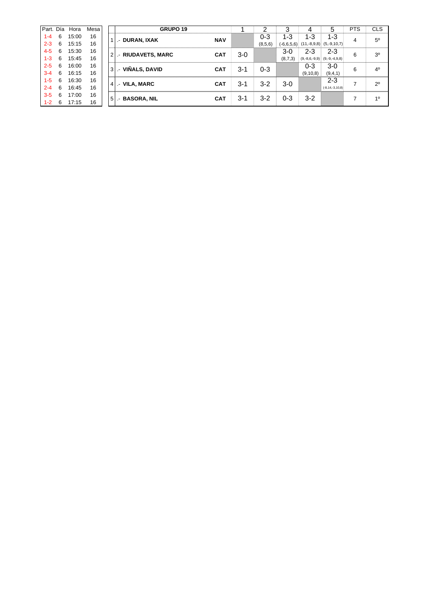| Part. Día |   | Hora  | Mesa |                | GRUPO 19           |            |         |         |         |                 |                                          | <b>PTS</b> | <b>CLS</b>     |
|-----------|---|-------|------|----------------|--------------------|------------|---------|---------|---------|-----------------|------------------------------------------|------------|----------------|
| $1 - 4$   | 6 | 15:00 | 16   |                | .- DURAN, IXAK     | <b>NAV</b> |         | 0-3     | $1 - 3$ | $1 - 3$         | $1 - 3$                                  | 4          | $5^{\circ}$    |
| $2 - 3$   | 6 | 15:15 | 16   |                |                    |            |         | (8,5,6) |         |                 | $(-6,6,5,6)$ $(11,-8,9,8)$ $(5,-9,10,7)$ |            |                |
| $4 - 5$   | 6 | 15:30 | 16   | $\overline{2}$ | .- RIUDAVETS, MARC | <b>CAT</b> | $3-0$   |         | 3-0     | 2-3             | $2 - 3$                                  | 6          | 3 <sup>0</sup> |
| $1 - 3$   | 6 | 15:45 | 16   |                |                    |            |         |         | (8,7,3) | $(9,-8,6,-9,9)$ | $(9,-9,-4,9,8)$                          |            |                |
| $2 - 5$   | 6 | 16:00 | 16   | 3 <sup>1</sup> | .- VIÑALS, DAVID   | <b>CAT</b> | $3 - 1$ | $0 - 3$ |         | $0 - 3$         | $3-0$                                    | 6          | 4 <sup>0</sup> |
| $3 - 4$   | 6 | 16:15 | 16   |                |                    |            |         |         |         | (9, 10, 8)      | (9,4,1)                                  |            |                |
| $1 - 5$   | 6 | 16:30 | 16   | 4              | .- VILA, MARC      | <b>CAT</b> | 3-1     | $3-2$   | $3-0$   |                 | $2 - 3$                                  | ⇁          | $2^{\circ}$    |
| $2 - 4$   | 6 | 16:45 | 16   |                |                    |            |         |         |         |                 | $(-8, 14, -3, 10, 8)$                    |            |                |
| $3 - 5$   | 6 | 17:00 | 16   | 5              | .- BASORA, NIL     | <b>CAT</b> | $3 - 1$ | $3-2$   | $0 - 3$ | $3-2$           |                                          |            | 10             |
| $1 - 2$   | 6 | 17:15 | 16   |                |                    |            |         |         |         |                 |                                          |            |                |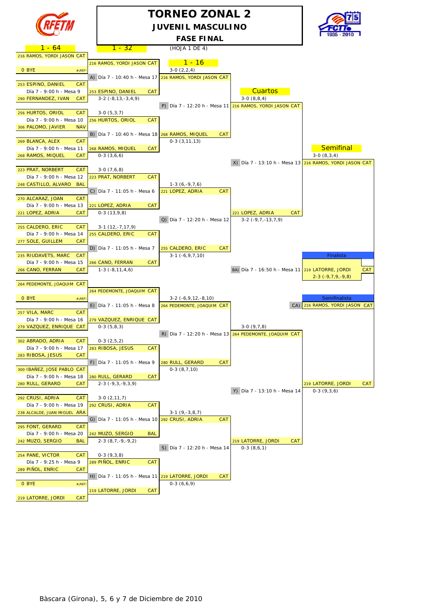

### **TORNEO ZONAL 2 JUVENIL MASCULINO FASE FINAL**



 $1 - 32$  (HOJA 1 DE 4) 216 RAMOS, YORDI JASON CAT  $\overline{216}$  Ramos, yordi jason cat $\overline{1}$   $\overline{1}$  -  $\overline{16}$  $O$  BYE  $#_{i}$ REF!  $(2,2,4)$ A) Día 7 - 10:40 h - Mesa 17 216 RAMOS, YORDI JASON CAT 253 ESPINO, DANIEL CAT Día 7 - 9:00 h - Mesa 9 253 ESPINO, DANIEL CAT CAT CUARTOS 290 FERNANDEZ, IVAN CAT 3-2 (-8,13,-3,4,9) 3-0 (8,8,4) P) Día 7 - 12:20 h - Mesa 11 216 RAMOS, YORDI JASON CAT 256 HURTOS, ORIOL CAT 3-0 (5,3,7) Día 7 - 9:00 h - Mesa 10 256 HURTOS, ORIOL CAT 306 PALOMO, JAVIER NAV B) Día 7 - 10:40 h - Mesa 18 268 RAMOS, MIQUEL CAT 269 BLANCA, ALEX CAT 0-3 (3.11,13) Día 7 - 9:00 h - Mesa 11 268 RAMOS, MIQUEL CAT SEMIFINAL SEMIFINAL SEMIFINAL SEMIFINAL SEMIFINAL 268 RAMOS, MIQUEL CAT 0-3 (3,6,6) 3-0 (8,3,4) X) Día 7 - 13:10 h - Mesa 13 216 RAMOS, YORDI JASON CAT 223 PRAT, NORBERT CAT 3-0 (7,6,8) Día 7 - 9:00 h - Mesa 12 223 PRAT, NORBERT CAT 248 CASTILLO, ALVARO BAL | 1-3 (6,-9,7,6) C) Día 7 - 11:05 h - Mesa 6  $\sqrt{221}$  LOPEZ, ADRIA CAT 270 ALCARAZ, JOAN CAT Día 7 - 9:00 h - Mesa 13 221 LOPEZ, ADRIA CAT 221 LOPEZ, ADRIA CAT 0-3 (13,9,8) 221 LOPEZ, ADRIA CAT Q) Día 7 - 12:20 h - Mesa 12  $3-2$  (-9, 7, -13, 7, 9) 255 CALDERO, ERIC CAT 3-1 (12,-7,17,9) Día 7 - 9:00 h - Mesa 14 255 CALDERO, ERIC CAT 277 SOLE, GUILLEM CAT D) Día 7 - 11:05 h - Mesa 7 255 CALDERO, ERIC CAT  $235$  RIUDAVETS, MARC CAT  $\begin{array}{|c|c|c|c|c|c|c|c|c|} \hline 3-1 & (-6.9.7,10) \hline \end{array}$ Día 7 - 9:00 h - Mesa 15 266 CANO, FERRAN CAT 266 CANO, FERRAN CAT 1-3 (-8,11,4,6) BA) Día 7 - 16:50 h - Mesa 11 219 LATORRE, JORDI CAT 2-3 (-9,7,9,-9,8) 264 PEDEMONTE, JOAQUIM CAT 264 PEDEMONTE, JOAQUIM CAT 0 BYE #<sub>#REF!</sub> #<sub>REF!</sub> 4 and 3-2 (-6,9,12,-8,10) 3-2 (-6,9,12,-8,10) Semifinalista E) Día 7 - 11:05 h - Mesa 8 264 PEDEMONTE, JOAQUIM CAT CA) 216 RAMOS, YORDI JASON CAT 257 VILA, MARC CAT Día 7 - 9:00 h - Mesa 16 279 VAZQUEZ, ENRIQUE CAT 279 VAZQUEZ, ENRIQUE CAT 0-3 (5,8,3) 3-0 (9,7,8) R) Día 7 - 12:20 h - Mesa 13 264 PEDEMONTE, JOAQUIM CAT 302 ABRADO, ADRIA CAT 0-3 (2,5,2) Día 7 - 9:00 h - Mesa 17 283 RIBOSA, JESUS CAT 283 RIBOSA, JESUS CAT F) Día 7 - 11:05 h - Mesa 9 280 RULL, GERARD CAT 300 IBAÑEZ, JOSE PABLO CAT | 0-3 (8,7,10) Día 7 - 9:00 h - Mesa 18 280 RULL, GERARD CAT 280 RULL, GERARD CAT 2-3 (-9,3,-9,3,9) 219 LATORRE, JORDI CAT Y) Día 7 - 13:10 h - Mesa 14 0-3  $(9,3,6)$ 292 CRUSI, ADRIA CAT 3-0 (2,11,7) Día 7 - 9:00 h - Mesa 19 292 CRUSI, ADRIA CAT 238 ALCALDE, JUAN MIGUEL ARA **1988 1999 12:30 13 12:30 13 12:30 13 12:30 13:41 13:42 13:43 14:43 14:44** G) Día 7 - 11:05 h - Mesa 10 292 CRUSI, ADRIA CAT 295 FONT, GERARD CAT Día 7 - 9:00 h - Mesa 20 242 MUZO, SERGIO BAL 242 MUZO, SERGIO BAL 2-3 (8,7,-9,-9,2) 219 LATORRE, JORDI CAT S) Día 7 - 12:20 h - Mesa 14 0-3 (8,6,1) 254 PANE, VICTOR CAT 0-3 (9,3,8) Día 7 - 9:25 h - Mesa 9 289 PIÑOL, ENRIC CAT 289 PIÑOL, ENRIC CAT H) Día 7 - 11:05 h - Mesa 11 219 LATORRE, JORDI CAT **0 BYE**  $*_{i}$ REF! 0-3 (6,6,9) 219 LATORRE, JORDI CAT

219 LATORRE, JORDI CAT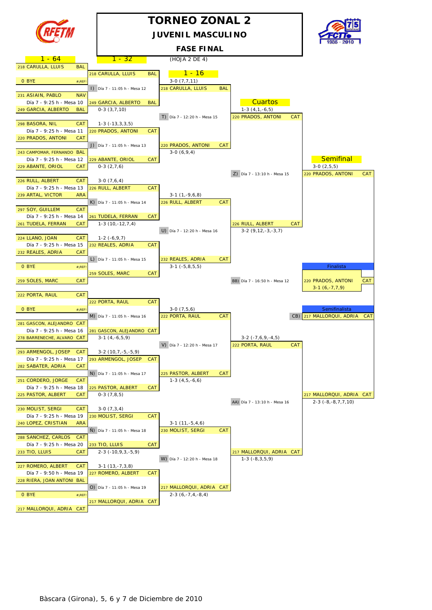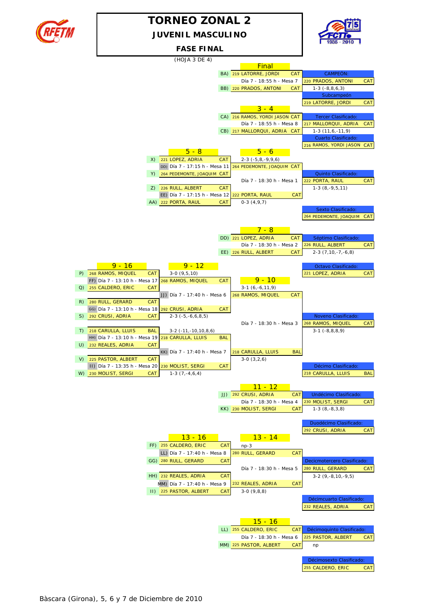

### **TORNEO ZONAL 2 JUVENIL MASCULINO**



**FASE FINAL**

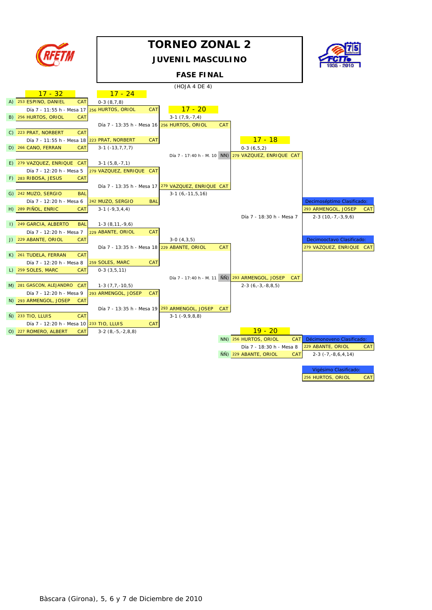

## **TORNEO ZONAL 2**

#### **JUVENIL MASCULINO**

#### **FASE FINAL**



|                                             |                                                    | (HOJA 4 DE 4)      |            |                                                               |                              |            |
|---------------------------------------------|----------------------------------------------------|--------------------|------------|---------------------------------------------------------------|------------------------------|------------|
| $17 - 32$                                   | $17 - 24$                                          |                    |            |                                                               |                              |            |
| A) 253 ESPINO, DANIEL<br><b>CAT</b>         | $0-3(8,7,8)$                                       |                    |            |                                                               |                              |            |
| Día 7 - 11:55 h - Mesa 17 256 HURTOS, ORIOL | <b>CAT</b>                                         | $17 - 20$          |            |                                                               |                              |            |
| B) 256 HURTOS, ORIOL<br><b>CAT</b>          |                                                    | $3-1(7,9,-7,4)$    |            |                                                               |                              |            |
|                                             | Día 7 - 13:35 h - Mesa 16 256 HURTOS, ORIOL        |                    | <b>CAT</b> |                                                               |                              |            |
| C) 223 PRAT, NORBERT<br>CAT                 |                                                    |                    |            |                                                               |                              |            |
| Día 7 - 11:55 h - Mesa 18 223 PRAT, NORBERT | <b>CAT</b>                                         |                    |            | <u> 17 - 18</u>                                               |                              |            |
| D) 266 CANO, FERRAN<br><b>CAT</b>           | $3-1$ $(-13,7,7,7)$                                |                    |            | $0-3(6,5,2)$                                                  |                              |            |
|                                             |                                                    |                    |            | Día 7 - 17:40 h - M. 10 NN) 279 VAZQUEZ, ENRIQUE CAT          |                              |            |
| E) 279 VAZQUEZ, ENRIQUE CAT                 | $3-1(5,8,-7,1)$                                    |                    |            |                                                               |                              |            |
| Día 7 - 12:20 h - Mesa 5                    | 279 VAZQUEZ, ENRIQUE CAT                           |                    |            |                                                               |                              |            |
| F) 283 RIBOSA, JESUS<br><b>CAT</b>          |                                                    |                    |            |                                                               |                              |            |
|                                             | Día 7 - 13:35 h - Mesa 17 279 VAZQUEZ, ENRIQUE CAT |                    |            |                                                               |                              |            |
| G) 242 MUZO, SERGIO<br><b>BAL</b>           |                                                    | $3-1(6,-11,5,16)$  |            |                                                               |                              |            |
| Día 7 - 12:20 h - Mesa 6                    | 242 MUZO, SERGIO<br>BAL                            |                    |            |                                                               | Decimoséptimo Clasificado:   |            |
| H) 289 PINOL, ENRIC<br><b>CAT</b>           | $3-1$ $(-9,3,4,4)$                                 |                    |            |                                                               | 293 ARMENGOL, JOSEP          | <b>CAT</b> |
|                                             |                                                    |                    |            | Día 7 - 18:30 h - Mesa 7                                      | $2-3(10,-7,-3,9,6)$          |            |
| I) 249 GARCIA, ALBERTO<br><b>BAL</b>        | $1-3(8,11,-9,6)$                                   |                    |            |                                                               |                              |            |
| Día 7 - 12:20 h - Mesa 7                    | 229 ABANTE, ORIOL<br><b>CAT</b>                    |                    |            |                                                               |                              |            |
| J) 229 ABANTE, ORIOL<br><b>CAT</b>          |                                                    | $3-0(4,3,5)$       |            |                                                               | Decimooctavo Clasificado:    |            |
|                                             | Día 7 - 13:35 h - Mesa 18 229 ABANTE, ORIOL        |                    | <b>CAT</b> |                                                               | 279 VAZQUEZ, ENRIQUE CAT     |            |
| K) 261 TUDELA, FERRAN<br><b>CAT</b>         |                                                    |                    |            |                                                               |                              |            |
| Día 7 - 12:20 h - Mesa 8                    | 259 SOLES, MARC<br><b>CAT</b>                      |                    |            |                                                               |                              |            |
| L) 259 SOLES, MARC<br><b>CAT</b>            | $0-3(3,5,11)$                                      |                    |            |                                                               |                              |            |
|                                             |                                                    |                    |            | Día 7 - 17:40 h - M. 11 NÑ) 293 ARMENGOL, JOSEP<br><b>CAT</b> |                              |            |
| M) 281 GASCON, ALEJANDRO<br><b>CAT</b>      | $1-3(7,7,-10,5)$                                   |                    |            | $2-3(6,-3,-8,8,5)$                                            |                              |            |
| Día 7 - 12:20 h - Mesa 9                    | 293 ARMENGOL, JOSEP<br><b>CAT</b>                  |                    |            |                                                               |                              |            |
| N) 293 ARMENGOL, JOSEP<br><b>CAT</b>        |                                                    |                    |            |                                                               |                              |            |
|                                             | Día 7 - 13:35 h - Mesa 19 293 ARMENGOL, JOSEP      |                    | <b>CAT</b> |                                                               |                              |            |
| $\tilde{N}$ ) 233 TIO, LLUIS<br><b>CAT</b>  |                                                    | $3-1$ $(-9,9,8,8)$ |            |                                                               |                              |            |
| Día 7 - 12:20 h - Mesa 10 233 TIO, LLUIS    | <b>CAT</b>                                         |                    |            |                                                               |                              |            |
| O) 227 ROMERO, ALBERT<br><b>CAT</b>         | $3-2(8,-5,-2,8,8)$                                 |                    |            | $19 - 20$                                                     |                              |            |
|                                             |                                                    |                    |            | NN) 256 HURTOS, ORIOL<br><b>CAT</b>                           | Décimonoveno Clasificado:    |            |
|                                             |                                                    |                    |            | Día 7 - 18:30 h - Mesa 8                                      | 229 ABANTE, ORIOL            | <b>CAT</b> |
|                                             |                                                    |                    |            | ÑÑ) 229 ABANTE, ORIOL<br><b>CAT</b>                           | $2-3$ ( $-7, -8, 6, 4, 14$ ) |            |
|                                             |                                                    |                    |            |                                                               |                              |            |

Vigésimo Clasificado: 256 HURTOS, ORIOL CAT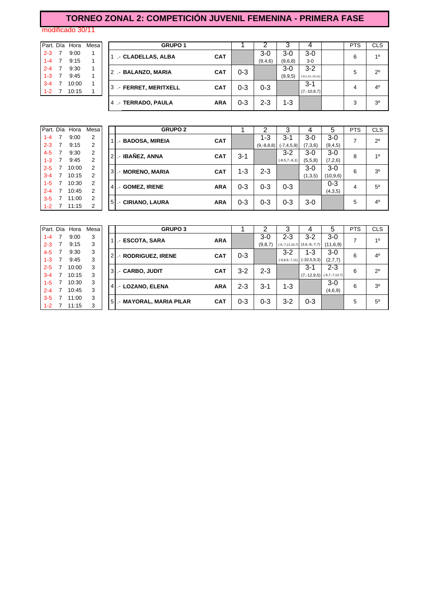## **TORNEO ZONAL 2: COMPETICIÓN JUVENIL FEMENINA - PRIMERA FASE**

modificado 30/11

|         |         |   | Part. Día Hora | Mesa |
|---------|---------|---|----------------|------|
| $2 - 3$ |         | 7 | 9:00           | 1    |
|         | $1 - 4$ | 7 | 9:15           | 1    |
|         | $2 - 4$ | 7 | 9:30           | 1    |
|         | $1 - 3$ | 7 | 9:45           | 1    |
|         | $3 - 4$ | 7 | 10:00          | 1    |
|         | $1 - 2$ |   | 10:15          |      |

|           |       | Mesa I         |  | <b>GRUPO 1</b> |                                                                                          |                                        |                    |         |                        | <b>PTS</b>    | <b>CLS</b>     |
|-----------|-------|----------------|--|----------------|------------------------------------------------------------------------------------------|----------------------------------------|--------------------|---------|------------------------|---------------|----------------|
|           | 9:00  |                |  |                |                                                                                          |                                        | $3-0$              | $3-0$   | 3-0                    |               | 10             |
| $1 - 4$ 7 | 9:15  |                |  |                |                                                                                          |                                        | (9,4,6)            | (9,6,8) | $3-0$                  |               |                |
|           | 9:30  |                |  |                |                                                                                          |                                        |                    | $3-0$   | $3 - 2$                |               | $2^{\circ}$    |
|           | 9:45  |                |  |                |                                                                                          |                                        |                    | (9,9,5) | $(-9, 1, 12, -10, 11)$ |               |                |
|           | 10:00 |                |  |                |                                                                                          |                                        |                    |         | $3 - 1$                |               | 4 <sup>0</sup> |
|           | 10:15 |                |  |                |                                                                                          |                                        |                    |         |                        |               |                |
|           |       |                |  |                | <b>ARA</b>                                                                               | 0-3                                    | 2-3                | $1 - 3$ |                        | 3             | 3 <sup>0</sup> |
|           |       | Part. Día Hora |  |                | - CLADELLAS, ALBA<br>2 .- BALANZO, MARIA<br>3 .- FERRET, MERITXELL<br>4 - TERRADO, PAULA | <b>CAT</b><br><b>CAT</b><br><b>CAT</b> | $0 - 3$<br>$0 - 3$ | $0 - 3$ |                        | $(7,-10,8,7)$ | 6<br>5<br>4    |

|         | Part. Día Hora | Mesa |   |                | <b>GRUPO 2</b>                                                  |         |              |                 | 4       | 5          | <b>PTS</b> | <b>CLS</b>     |
|---------|----------------|------|---|----------------|-----------------------------------------------------------------|---------|--------------|-----------------|---------|------------|------------|----------------|
| $1 - 4$ | 9:00           | 2    |   |                | <b>BADOSA, MIREIA</b><br><b>CAT</b><br>г.                       |         | 1-3          | $3 - 1$         | 3-0     | $3-0$      |            | $2^{\circ}$    |
| $2 - 3$ | 9:15           | 2    |   |                |                                                                 |         | $(9,-8,8,8)$ | $(-7, 4, 5, 9)$ | (7,3,6) | (9,4,5)    |            |                |
| $4 - 5$ | 9:30           | 2    |   |                | <b>IBAÑEZ, ANNA</b><br><b>CAT</b><br>$\overline{\phantom{a}}$   | $3 - 1$ |              | $3-2$           | $3-0$   | $3-0$      | 8          | 1 <sup>0</sup> |
| $1 - 3$ | 9:45           | 2    |   |                |                                                                 |         |              | $(-9,5,7,-6,1)$ | (5,5,8) | (7,2,6)    |            |                |
| $2 - 5$ | 10:00          | 2    |   | 3I             | <b>MORENO, MARIA</b><br><b>CAT</b>                              | 1-3     | $2 - 3$      |                 | $3-0$   | $3-0$      | 6          | 3 <sup>0</sup> |
| $3 - 4$ | 10:15          | 2    |   |                |                                                                 |         |              |                 | (1,3,5) | (10, 9, 6) |            |                |
| $1-5$   | 10:30          | 2    | 4 |                | <b>GOMEZ, IRENE</b><br><b>ARA</b>                               | $0 - 3$ | $0 - 3$      | $0 - 3$         |         | $0 - 3$    | 4          | $5^{\circ}$    |
| $2 - 4$ | 10:45          | 2    |   |                | .-                                                              |         |              |                 |         | (4,3,5)    |            |                |
| $3 - 5$ | 11:00          | 2    |   | 5 <sub>l</sub> | <b>CIRIANO, LAURA</b><br><b>ARA</b><br>$\overline{\phantom{a}}$ | $0 - 3$ | $0 - 3$      | $0 - 3$         | $3-0$   |            | 5          | 4 <sup>0</sup> |
| $1 - 2$ | 11:15          | າ    |   |                |                                                                 |         |              |                 |         |            |            |                |

| Part. Día | Hora  | Mesa |    | <b>GRUPO 3</b>          |            |         |           |                  | 4                                 | 5                              | <b>PTS</b> | <b>CLS</b>     |
|-----------|-------|------|----|-------------------------|------------|---------|-----------|------------------|-----------------------------------|--------------------------------|------------|----------------|
| $1 - 4$   | 9:00  | 3    |    | - ESCOTA, SARA          | <b>ARA</b> |         | $3-0$     | $2 - 3$          | $3-2$                             | $3-0$                          | 7          | 1 <sup>0</sup> |
| $2 - 3$   | 9:15  | 3    |    |                         |            |         | (9, 8, 7) |                  | $(-6,-7,11,10,7)$ $(3,6,-8,-7,7)$ | (11, 6, 9)                     |            |                |
| $4 - 5$   | 9:30  | 3    | 2. | .- RODRIGUEZ, IRENE     | <b>CAT</b> | $0 - 3$ |           | $3-2$            | 1-3                               | $3-0$                          | 6          | 4 <sup>0</sup> |
| $1 - 3$   | 9:45  | 3    |    |                         |            |         |           | $(-9,8,9,-7,11)$ | $(-10.5.9.3)$                     | (2,7,7)                        |            |                |
| $2 - 5$   | 10:00 | 3    | 3  | - CARBO, JUDIT          | <b>CAT</b> | $3 - 2$ | $2 - 3$   |                  | $3 - 1$                           | 2-3                            | 6          | $2^{\circ}$    |
| $3 - 4$   | 10:15 | 3    |    |                         |            |         |           |                  |                                   | $(7,-12,9,5)$ $(-6,7,-7,12,7)$ |            |                |
| $1 - 5$   | 10:30 | 3    | 4  | - LOZANO, ELENA         | <b>ARA</b> | 2-3     | 3-1       | 1-3              |                                   | $3-0$                          | 6          | 30             |
| $2 - 4$   | 10:45 | 3    |    |                         |            |         |           |                  |                                   | (4,6,9)                        |            |                |
| $3 - 5$   | 11:00 | 3    | -5 | .- MAYORAL, MARIA PILAR | <b>CAT</b> | 0-3     | $0 - 3$   | $3-2$            | $0 - 3$                           |                                | 5          | 50             |
| $1 - 2$   | 11:15 | 3    |    |                         |            |         |           |                  |                                   |                                |            |                |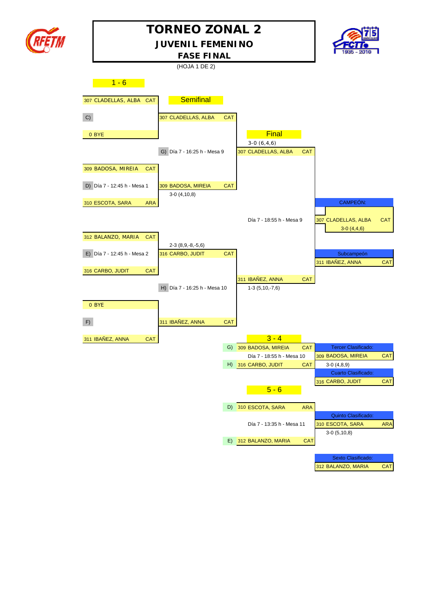

## **TORNEO ZONAL 2**

**JUVENIL FEMENINO**



**FASE FINAL**

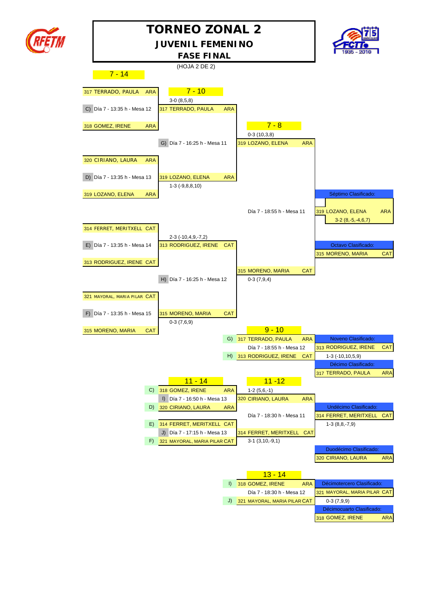

## **JUVENIL FEMENINO TORNEO ZONAL 2**



(HOJA 2 DE 2)  $-7 - 14$ 317 TERRADO, PAULA ARA **7 - 10** 3-0 (8,5,8) C) Día 7 - 13:35 h - Mesa 12 317 TERRADO, PAULA ARA 318 GOMEZ, IRENE ARA **7 - 8** 0-3 (10,3,8) G) Día 7 - 16:25 h - Mesa 11 319 LOZANO, ELENA ARA 320 CIRIANO, LAURA ARA D) Día 7 - 13:35 h - Mesa 13 319 LOZANO, ELENA ARA 1-3 (-9,8,8,10) 319 LOZANO, ELENA ARA **Septimo Clasificado:** Día 7 - 18:55 h - Mesa 11 319 LOZANO, ELENA ARA 3-2 (8,-5,-4,6,7) 314 FERRET, MERITXELL CAT 2-3 (-10,4,9,-7,2) E) Día 7 - 13:35 h - Mesa 14 313 RODRIGUEZ, IRENE CAT **CALCE AND A COLLECTE Octavo Clasificado:** 315 MORENO, MARIA CAT 313 RODRIGUEZ, IRENE CAT 315 MORENO, MARIA CAT H) Día 7 - 16:25 h - Mesa 12 0-3 (7,9,4) 321 MAYORAL, MARIA PILAR CAT F) Día 7 - 13:35 h - Mesa 15 315 MORENO, MARIA CAT 0-3 (7,6,9) 315 MORENO, MARIA CAT **9 - 10** G) 317 TERRADO, PAULA ARA Noveno Clasificado: Día 7 - 18:55 h - Mesa 12 313 RODRIGUEZ, IRENE CAT H) 313 RODRIGUEZ, IRENE CAT 1-3 (-10,10,5,9) Décimo Clasificado: 317 TERRADO, PAULA ARA 11 - 14 11 - 12 C) 318 GOMEZ, IRENE ARA 1-2 (5,6,-1) I) Día 7 - 16:50 h - Mesa 13 320 CIRIANO, LAURA ARA D) 320 CIRIANO, LAURA ARA **INSTERNATIVA E EL ENTREGADO DE Undécimo Clasificado:** Día 7 - 18:30 h - Mesa 11 314 FERRET, MERITXELL CAT E)  $314$  FERRET, MERITXELL CAT J) Día 7 - 17:15 h - Mesa 13 314 FERRET, MERITXELL CAT F)  $321$  MAYORAL, MARIA PILAR CAT 3-1 (3,10,-9,1) Duodécimo Clasificado: 320 CIRIANO, LAURA ARA 13 - 14 I) 318 GOMEZ, IRENE ARA Décimotercero Clasificado Día 7 - 18:30 h - Mesa 12 321 MAYORAL, MARIA PILAR CAT J)  $321$  MAYORAL, MARIA PILAR CAT  $0-3$  (7,9,9) **FASE FINAL**

Décimocuarto Clasificado: 318 GOMEZ, IRENE ARA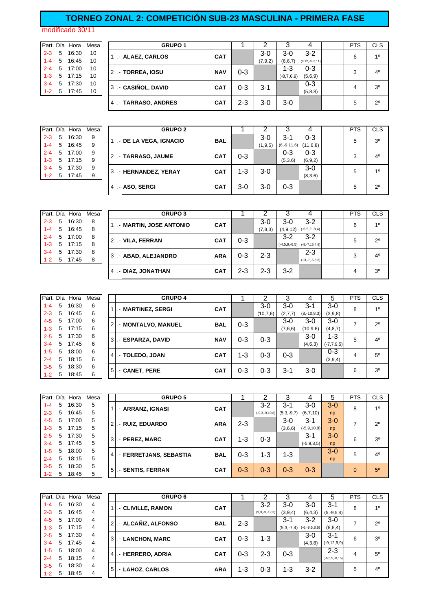## **TORNEO ZONAL 2: COMPETICIÓN SUB-23 MASCULINA - PRIMERA FASE**

modificado 30/11

|         |   | Part. Día Hora | Mes |
|---------|---|----------------|-----|
| $2 - 3$ | 5 | 16:30          | 10  |
| $1 - 4$ | 5 | 16:45          | 10  |
| $2 - 4$ | 5 | 17:00          | 10  |
| $1 - 3$ | 5 | 17:15          | 10  |
| $3 - 4$ | 5 | 17:30          | 10  |
| 1-2     | 5 | 17:45          | 10  |

|         |   | Part. Día Hora | Mesal |  | <b>GRUPO 1</b>      |            |         |           |              |                       | <b>PTS</b> | <b>CLS</b>     |
|---------|---|----------------|-------|--|---------------------|------------|---------|-----------|--------------|-----------------------|------------|----------------|
| $2 - 3$ | 5 | 16:30          | 10    |  | - ALAEZ, CARLOS     | <b>CAT</b> |         | $3-0$     | $3-0$        | $3-2$                 | 6          | 10             |
| $1 - 4$ | 5 | 16:45          | 10    |  |                     |            |         | (7, 9, 2) | (6,6,7)      | $(8, 12, -6, -5, 11)$ |            |                |
| $2 - 4$ |   | 5 17:00        | 10    |  | 2 .- TORREA, IOSU   | <b>NAV</b> | $0 - 3$ |           | 1-3          | 0-3                   | 3          | $4^{\circ}$    |
| $1 - 3$ |   | 5 17:15        | 10    |  |                     |            |         |           | $(-8,7,6,9)$ | (5,6,9)               |            |                |
| $3 - 4$ | 5 | 17:30          | 10    |  |                     | <b>CAT</b> | 0-3     | 3-1       |              | $0 - 3$               | 4          | 3 <sup>0</sup> |
| $1 - 2$ | 5 | 17:45          | 10    |  | 3 .- CASIÑOL, DAVID |            |         |           |              | (5,8,8)               |            |                |
|         |   |                |       |  | 4 - TARRASO, ANDRES | <b>CAT</b> | $2 - 3$ | 3-0       | $3-0$        |                       | 5          | $2^{\circ}$    |

|         |   | Part. Día Hora | Mesa |
|---------|---|----------------|------|
| $2 - 3$ | 5 | 16:30          | 9    |
| $1 - 4$ | 5 | 16:45          | 9    |
| $2 - 4$ | 5 | 17:00          | 9    |
| $1 - 3$ | 5 | 17:15          | 9    |
| $3 - 4$ | 5 | 17:30          | 9    |
| 1-2     | 5 | 17:45          | q    |

|         |   | Part. Día Hora | Mesa | <b>GRUPO 2</b>        |            |         | າ         |               | 4         | <b>PTS</b> | <b>CLS</b>     |
|---------|---|----------------|------|-----------------------|------------|---------|-----------|---------------|-----------|------------|----------------|
| $2 - 3$ | 5 | 16:30          | 9    | - DE LA VEGA, IGNACIO | <b>BAL</b> |         | $3-0$     | $3-1$         | $0 - 3$   | 5          | 3 <sup>0</sup> |
| $1 - 4$ | 5 | 16:45          | 9    |                       |            |         | (1, 9, 5) | $(6,-9,11,6)$ | (11,6,8)  |            |                |
| $2 - 4$ | 5 | 17:00          | 9    | 2 - TARRASO, JAUME    | <b>CAT</b> | $0 - 3$ |           | $0 - 3$       | $0 - 3$   | 3          | $4^{\circ}$    |
| $1 - 3$ |   | 5 17:15        | 9    |                       |            |         |           | (5,3,6)       | (6, 9, 2) |            |                |
| $3 - 4$ | 5 | 17:30          | 9    | 3 - HERNANDEZ, YERAY  | <b>CAT</b> | 1-3     | $3-0$     |               | $3-0$     | 5          | 10             |
| $1 - 2$ | 5 | 17:45          | 9    |                       |            |         |           |               | (8,3,6)   |            |                |
|         |   |                |      | 4 - ASO, SERGI        | <b>CAT</b> | 3-0     | $3-0$     | $0 - 3$       |           | 5          | $2^{\circ}$    |

|         |   | Part. Día Hora | Mesa | <b>GRUPO 3</b>         |            |         |         |            |                                  | <b>PTS</b> | <b>CLS</b>     |
|---------|---|----------------|------|------------------------|------------|---------|---------|------------|----------------------------------|------------|----------------|
| $2 - 3$ | 5 | 16:30          | 8    | - MARTIN, JOSE ANTONIO | <b>CAT</b> |         | $3-0$   | $3-0$      | $3-2$                            | 6          | 10             |
| $1 - 4$ | 5 | 16:45          | 8    |                        |            |         | (7,8,3) | (4, 9, 12) | $(-5,5,2,-8,4)$                  |            |                |
| $2 - 4$ |   | 5 17:00        | 8    |                        | <b>CAT</b> | $0 - 3$ |         | $3-2$      | $3-2$                            | 5          | $2^{\circ}$    |
| $1 - 3$ | 5 | 17:15          | 8    | 2 .- VILA, FERRAN      |            |         |         |            | $(-4,5,9,-6,5)$ $(-8,-7,13,4,9)$ |            |                |
| $3 - 4$ | 5 | 17:30          | 8    |                        | <b>ARA</b> | $0 - 3$ | $2 - 3$ |            | $2 - 3$                          | 3          | 4 <sup>0</sup> |
| $1 - 2$ | 5 | 17:45          | 8    | 3 - ABAD, ALEJANDRO    |            |         |         |            | $(13,-7,-5,8,8)$                 |            |                |
|         |   |                |      | -- DIAZ, JONATHAN      | <b>CAT</b> | $2 - 3$ | $2 - 3$ | $3-2$      |                                  | 4          | 3 <sup>o</sup> |

| Part. Día |   | Hora  | Mesa |   | <b>GRUPO 4</b>     |            |     | ◠        | З       |               | 5               | <b>PTS</b> | <b>CLS</b>     |
|-----------|---|-------|------|---|--------------------|------------|-----|----------|---------|---------------|-----------------|------------|----------------|
| $1 - 4$   | 5 | 16:30 | 6    |   | - MARTINEZ, SERGI  | <b>CAT</b> |     | 3-0      | 3-0     | $3 - 1$       | $3-0$           | 8          | 1 <sup>0</sup> |
| $2 - 3$   | 5 | 16:45 | 6    |   |                    |            |     | (10,7,6) | (2,7,7) | $(8,-10,8,3)$ | (3,9,8)         |            |                |
| 4-5       | 5 | 17:00 | 6    |   | - MONTALVO, MANUEL | <b>BAL</b> | 0-3 |          | 3-0     | $3-0$         | $3-0$           | 7          | $2^{\circ}$    |
| $1 - 3$   | 5 | 17:15 | 6    |   |                    |            |     |          | (7,6,6) | (10, 9, 6)    | (4, 8, 7)       |            |                |
| $2 - 5$   | 5 | 17:30 | 6    | 3 | .- ESPARZA, DAVID  | <b>NAV</b> | 0-3 | $0 - 3$  |         | $3-0$         | $1 - 3$         | 5          | 4 <sup>0</sup> |
| $3 - 4$   | 5 | 17:45 | 6    |   |                    |            |     |          |         | (4,6,3)       | $(-7, 7, 9, 5)$ |            |                |
| $1 - 5$   | 5 | 18:00 | 6    |   |                    | <b>CAT</b> | 1-3 | 0-3      | $0 - 3$ |               | $0 - 3$         | 4          | 50             |
| $2 - 4$   | 5 | 18:15 | 6    | 4 | - TOLEDO, JOAN     |            |     |          |         |               | (3,9,4)         |            |                |
| $3 - 5$   | 5 | 18:30 | 6    | 5 |                    | <b>CAT</b> | 0-3 | $0 - 3$  | $3 - 1$ | $3-0$         |                 | 6          | 30             |
| $1 - 2$   | 5 | 18:45 | 6    |   | - CANET, PERE      |            |     |          |         |               |                 |            |                |

|         |   | Part. Día Hora | Mesa |    | <b>GRUPO 5</b>         |            |         | っ                | 3            |                  | 5       | <b>PTS</b>  | <b>CLS</b>     |
|---------|---|----------------|------|----|------------------------|------------|---------|------------------|--------------|------------------|---------|-------------|----------------|
|         |   |                |      |    |                        |            |         |                  |              |                  |         |             |                |
| $1 - 4$ | 5 | 16:30          | 5    |    | - ARRANZ, IGNASI       | <b>CAT</b> |         | $3-2$            | $3-1$        | $3-0$            | $3-0$   | 8           | 10             |
| $2 - 3$ | 5 | 16:45          | 5    |    |                        |            |         | $(-9,3,-9,10,8)$ | $(5,3,-9,7)$ | (6,7,10)         | np      |             |                |
| $4 - 5$ | 5 | 17:00          | 5    | 2  | - RUIZ, EDUARDO        | <b>ARA</b> | $2 - 3$ |                  | $3-0$        | 3-1              | $3-0$   | 7           | $2^{\circ}$    |
| $1 - 3$ | 5 | 17:15          | 5    |    |                        |            |         |                  | (3,6,6)      | $(-5, 9, 10, 9)$ | np      |             |                |
| $2 - 5$ | 5 | 17:30          | 5    | 3  | .- PEREZ, MARC         | <b>CAT</b> | 1-3     | $0 - 3$          |              | $3 - 1$          | $3 - 0$ | 6           | 3 <sup>0</sup> |
| $3 - 4$ | 5 | 17:45          | 5    |    |                        |            |         |                  |              | $(-5, 9, 8, 5)$  | np      |             |                |
| $1 - 5$ | 5 | 18:00          | 5    | 41 | - FERRETJANS, SEBASTIA | <b>BAL</b> | $0 - 3$ | $1 - 3$          | 1-3          |                  | $3 - 0$ | 5           | 4 <sup>0</sup> |
| $2 - 4$ | 5 | 18:15          | 5    |    |                        |            |         |                  |              |                  | np      |             |                |
| $3 - 5$ | 5 | 18:30          | 5    |    |                        | <b>CAT</b> | $0 - 3$ | $0 - 3$          | $0 - 3$      | $0 - 3$          |         | $\mathbf 0$ | 5 <sup>0</sup> |
| $1 - 2$ | 5 | 18:45          | 5    |    | 5<br>- SENTIS, FERRAN  |            |         |                  |              |                  |         |             |                |

| Part. Día |   | Hora  | Mesa |                | <b>GRUPO 6</b>                  |            |         | າ                | 3            | 4               | 5                    | <b>PTS</b> | <b>CLS</b>     |
|-----------|---|-------|------|----------------|---------------------------------|------------|---------|------------------|--------------|-----------------|----------------------|------------|----------------|
| $1 - 4$   | 5 | 16:30 | 4    |                | .- CLIVILLE, RAMON              | <b>CAT</b> |         | $3-2$            | $3-0$        | 3-0             | $3 - 1$              | 8          | 1 <sup>0</sup> |
| $2 - 3$   | 5 | 16:45 | 4    |                |                                 |            |         | $(9,3,-9,-12,3)$ | (3,9,4)      | (6, 4, 3)       | $(5,-9,5,4)$         |            |                |
| $4 - 5$   | 5 | 17:00 | 4    | $\overline{2}$ | .- ALCAÑIZ, ALFONSO             | <b>BAL</b> | $2 - 3$ |                  | $3 - 1$      | 3-2             | $3-0$                |            | $2^{\circ}$    |
| $1 - 3$   | 5 | 17:15 | 4    |                |                                 |            |         |                  | $(5,3,-7,4)$ | $(-6,-9,5,8,6)$ | (8, 8, 4)            |            |                |
| $2 - 5$   | 5 | 17:30 | 4    | 3              | - LANCHON, MARC                 | <b>CAT</b> | $0 - 3$ | 1-3              |              | 3-0             | $3 - 1$              | 6          | 3 <sup>o</sup> |
| $3 - 4$   | 5 | 17:45 | 4    |                |                                 |            |         |                  |              | (4,3,8)         | $(-9, 12, 9, 9)$     |            |                |
| $1 - 5$   | 5 | 18:00 | 4    | 41             | .- HERRERO, ADRIA               | <b>CAT</b> | $0 - 3$ | $2 - 3$          | $0 - 3$      |                 | $2 - 3$              | 4          | $5^{\circ}$    |
| $2 - 4$   | 5 | 18:15 | 4    |                |                                 |            |         |                  |              |                 | $(-6, 5, 9, -8, 15)$ |            |                |
| $3 - 5$   | 5 | 18:30 | 4    |                |                                 | <b>ARA</b> | $1 - 3$ | $0 - 3$          | $1 - 3$      | $3 - 2$         |                      | 5          | $4^{\circ}$    |
| $1 - 2$   | 5 | 18:45 | 4    |                | .- LAHOZ, CARLOS<br>$5 \square$ |            |         |                  |              |                 |                      |            |                |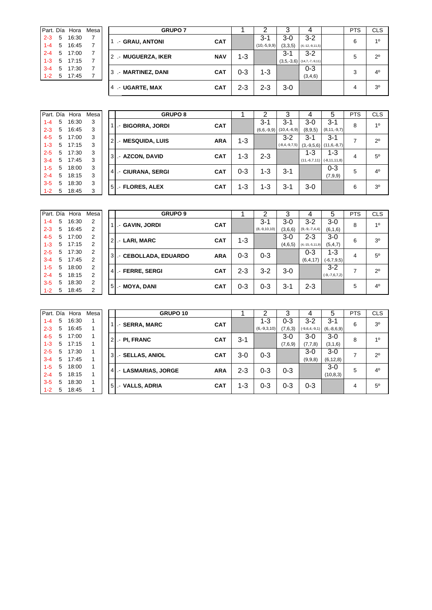|         |   | Part. Día Hora | Mesa | <b>GRUPO 7</b>      |            |         |               |         |                              | PTS | <b>CLS</b>     |
|---------|---|----------------|------|---------------------|------------|---------|---------------|---------|------------------------------|-----|----------------|
| $2 - 3$ | 5 | 16:30          |      | - GRAU, ANTONI      | <b>CAT</b> |         | $3-1$         | $3-0$   | $3-2$                        | 6   | 10             |
| $1 - 4$ | 5 | 16:45          |      |                     |            |         | $(10,-5,9,9)$ | (3,3,5) | $(4,-12,-9,11,5)$            |     |                |
| $2 - 4$ | 5 | 17:00          |      | 2 .- MUGUERZA, IKER | <b>NAV</b> | $1 - 3$ |               | $3 - 1$ | $3-2$                        | 5   | $2^{\circ}$    |
| $1 - 3$ | 5 | 17:15          |      |                     |            |         |               |         | $(3,5,-3,6)$ (14,7,-7,-9,11) |     |                |
| $3 - 4$ | 5 | 17:30          |      | 3 .- MARTINEZ, DANI | <b>CAT</b> | 0-3     | 1-3           |         | $0 - 3$                      | 3   | 4 <sup>0</sup> |
| $1 - 2$ | 5 | 17:45          |      |                     |            |         |               |         | (3,4,6)                      |     |                |
|         |   |                |      | -- UGARTE, MAX<br>4 | <b>CAT</b> | 2-3     | $2 - 3$       | $3-0$   |                              | 4   | 30             |
|         |   |                |      |                     |            |         |               |         |                              |     |                |

| Part. Día |   | Hora  | Mesa |      | <b>GRUPO 8</b>          |            |         |              |                     |                |                   | <b>PTS</b> | <b>CLS</b>     |
|-----------|---|-------|------|------|-------------------------|------------|---------|--------------|---------------------|----------------|-------------------|------------|----------------|
|           |   |       |      |      |                         |            |         |              | 3                   | 4              | 5                 |            |                |
| $1 - 4$   | 5 | 16:30 | 3    |      | - BIGORRA, JORDI        | <b>CAT</b> |         | $3 - 1$      | $3-1$               | $3-0$          | $3-1$             | 8          | 1 <sup>0</sup> |
| $2 - 3$   | 5 | 16:45 | 3    |      |                         |            |         | $(6,6,-9,9)$ | $(10, 4, -6, 9)$    | (8,9,5)        | $(8, 11, -9, 7)$  |            |                |
| $4 - 5$   | 5 | 17:00 | 3    | 2    | .- MESQUIDA, LUIS       | <b>ARA</b> | $1 - 3$ |              | $3-2$               | $3 - 1$        | $3 - 1$           | ⇁          | $2^{\circ}$    |
| $1 - 3$   | 5 | 17:15 | 3    |      |                         |            |         |              | $(-8, 4, -9, 7, 5)$ | $(3,-9,5,6)$   | $(11, 6, -8, 7)$  |            |                |
| $2 - 5$   | 5 | 17:30 | 3    | 3    | .- AZCON, DAVID         | <b>CAT</b> | 1-3     | $2 - 3$      |                     | 1-3            | $1 - 3$           | 4          | $5^{\circ}$    |
| $3 - 4$   | 5 | 17:45 | 3    |      |                         |            |         |              |                     | $(11,-6,7,11)$ | $(-8, 11, 11, 8)$ |            |                |
| $1 - 5$   | 5 | 18:00 | 3    | 41   |                         | <b>CAT</b> | $0 - 3$ | $1 - 3$      | $3 - 1$             |                | $0 - 3$           | 5          | 4 <sup>0</sup> |
| $2 - 4$   | 5 | 18:15 | 3    |      | <b>- CIURANA, SERGI</b> |            |         |              |                     |                | (7,9,9)           |            |                |
| $3 - 5$   | 5 | 18:30 | 3    | -5 I | - FLORES, ALEX          | <b>CAT</b> | $1 - 3$ | $1 - 3$      | $3 - 1$             | $3-0$          |                   | 6          | 3 <sup>o</sup> |
| $1 - 2$   | 5 | 18:45 | 3    |      |                         |            |         |              |                     |                |                   |            |                |

| Part. Día |   | Hora  | Mesa           |                | <b>GRUPO 9</b>        |            |         | ⌒              | 3       | 4                 | 5               | <b>PTS</b> | <b>CLS</b>     |
|-----------|---|-------|----------------|----------------|-----------------------|------------|---------|----------------|---------|-------------------|-----------------|------------|----------------|
| $1 - 4$   | 5 | 16:30 | 2              |                | - GAVIN, JORDI        | <b>CAT</b> |         | $3 - 1$        | $3-0$   | $3-2$             | $3-0$           | 8          | 1 <sup>0</sup> |
| $2 - 3$   | 5 | 16:45 | 2              |                |                       |            |         | $(8,-9,10,10)$ | (3,6,6) | $(9,-9,-7,4,4)$   | (6, 1, 6)       |            |                |
| $4 - 5$   | 5 | 17:00 | $\overline{2}$ | $\overline{2}$ | .- LARI, MARC         | <b>CAT</b> | $1 - 3$ |                | $3-0$   | $2 - 3$           | $3-0$           | 6          | 30             |
| $1 - 3$   | 5 | 17:15 | $\overline{2}$ |                |                       |            |         |                | (4,6,5) | $(4,-15,-5,11,9)$ | (5, 4, 7)       |            |                |
| $2 - 5$   | 5 | 17:30 | $\overline{2}$ | 3I             | .- CEBOLLADA, EDUARDO | <b>ARA</b> | $0 - 3$ | $0 - 3$        |         | $0 - 3$           | $1 - 3$         | 4          | 5 <sup>0</sup> |
| $3 - 4$   | 5 | 17:45 | $\overline{2}$ |                |                       |            |         |                |         | (6,4,17)          | $(-6, 7, 9, 5)$ |            |                |
| $1 - 5$   | 5 | 18:00 | $\overline{2}$ | 41             | - FERRE, SERGI        | <b>CAT</b> | $2 - 3$ | 3-2            | $3-0$   |                   | $3 - 2$         | 7          | $2^{\circ}$    |
| $2 - 4$   | 5 | 18:15 | 2              |                |                       |            |         |                |         |                   | $(-9,-7,6,7,2)$ |            |                |
| $3 - 5$   | 5 | 18:30 | $\overline{2}$ | 5 <sub>l</sub> |                       | <b>CAT</b> | $0 - 3$ | 0-3            | $3 - 1$ | $2 - 3$           |                 | 5          | 4 <sup>0</sup> |
| $1 - 2$   | 5 | 18:45 | າ              |                | .- MOYA, DANI         |            |         |                |         |                   |                 |            |                |

| Part. Día |   | Hora  | Mesa |                | GRUPO 10            |            |         |               | 3       |                 | 5            | <b>PTS</b> | <b>CLS</b>     |
|-----------|---|-------|------|----------------|---------------------|------------|---------|---------------|---------|-----------------|--------------|------------|----------------|
| $1 - 4$   | 5 | 16:30 |      |                | - SERRA, MARC       | <b>CAT</b> |         | 1-3           | $0 - 3$ | $3-2$           | $3-1$        | 6          | 3 <sup>o</sup> |
| $2 - 3$   | 5 | 16:45 |      |                |                     |            |         | $(6,-9,3,10)$ | (7,6,3) | $(-9,6,4,-9,1)$ | $(6,-8,6,9)$ |            |                |
| $4 - 5$   | 5 | 17:00 |      | $\overline{2}$ | .- PI, FRANC        | <b>CAT</b> | $3 - 1$ |               | $3-0$   | $3-0$           | $3-0$        | 8          | 10             |
| $1 - 3$   | 5 | 17:15 |      |                |                     |            |         |               | (7,6,9) | (7,7,8)         | (3,1,6)      |            |                |
| $2 - 5$   | 5 | 17:30 |      | 3              | .- SELLAS, ANIOL    | <b>CAT</b> | $3-0$   | $0 - 3$       |         | $3-0$           | $3-0$        | ⇁          | $2^{\circ}$    |
| $3 - 4$   | 5 | 17:45 |      |                |                     |            |         |               |         | (9,9,8)         | (6, 12, 8)   |            |                |
| $1 - 5$   | 5 | 18:00 |      |                | .- LASMARIAS, JORGE | <b>ARA</b> | $2 - 3$ | $0 - 3$       | $0 - 3$ |                 | $3-0$        | 5          | 4 <sup>0</sup> |
| $2 - 4$   | 5 | 18:15 |      |                |                     |            |         |               |         |                 | (10, 8, 3)   |            |                |
| $3 - 5$   | 5 | 18:30 |      | 5              | .- VALLS, ADRIA     | <b>CAT</b> | 1-3     | $0 - 3$       | $0 - 3$ | $0 - 3$         |              | 4          | $5^{\circ}$    |
| $1 - 2$   | 5 | 18:45 |      |                |                     |            |         |               |         |                 |              |            |                |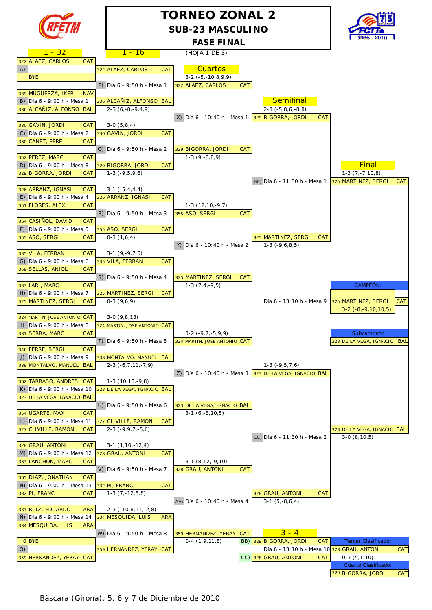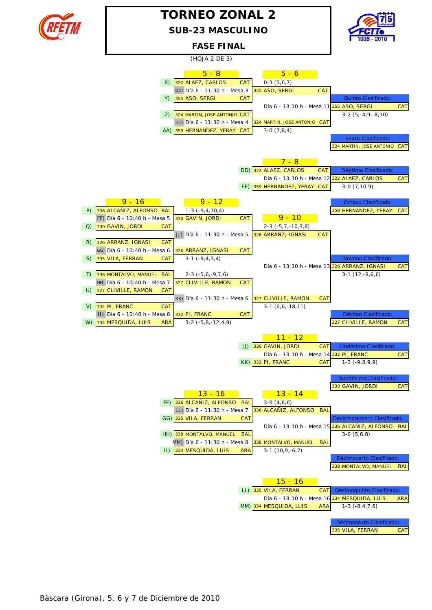

## **TORNEO ZONAL 2**

**SUB-23 MASCULINO**



**FASE FINAL**

(HOJA 2 DE 3)

|                                        | $5 - 8$                      |            | $5 - 6$                                             |            |                                                |            |
|----------------------------------------|------------------------------|------------|-----------------------------------------------------|------------|------------------------------------------------|------------|
| X)                                     | 322 ALAEZ, CARLOS            | <b>CAT</b> | $0-3(5,6,7)$                                        |            |                                                |            |
|                                        | DD) Día 6 - 11:30 h - Mesa 3 |            | 355 ASO, SERGI                                      | <b>CAT</b> |                                                |            |
|                                        | Y) 355 ASO, SERGI            | <b>CAT</b> |                                                     |            | Quinto Clasificado:                            |            |
|                                        |                              |            | Día 6 - 13:10 h - Mesa 11 355 ASO, SERGI            |            |                                                | <b>CAT</b> |
| Z)                                     | 324 MARTIN, JOSE ANTONIO CAT |            |                                                     |            | $3-2$ $(5,-4,9,-8,10)$                         |            |
|                                        | EE) Día 6 - 11:30 h - Mesa 4 |            | 324 MARTIN, JOSE ANTONIO CAT                        |            |                                                |            |
|                                        | AA) 359 HERNANDEZ, YERAY CAT |            | $3-0(7,8,4)$                                        |            |                                                |            |
|                                        |                              |            |                                                     |            | Sexto Clasificado:                             |            |
|                                        |                              |            |                                                     |            | 324 MARTIN, JOSE ANTONIO CAT                   |            |
|                                        |                              |            |                                                     |            |                                                |            |
|                                        |                              |            | $7 - 8$                                             |            |                                                |            |
|                                        |                              |            | DD) 322 ALAEZ, CARLOS                               | <b>CAT</b> | Séptimo Clasificado:                           |            |
|                                        |                              |            |                                                     |            | Día 6 - 13:10 h - Mesa 12 322 ALAEZ, CARLOS    | CAT        |
|                                        |                              |            | EE) 359 HERNANDEZ, YERAY CAT                        |            | $3-0(7,10,9)$                                  |            |
| $9 - 16$                               | <u>9 - 12</u>                |            |                                                     |            | Octavo Clasificado:                            |            |
| P) 336 ALCAÑIZ, ALFONSO BAL            | $1-3$ ( $-9, 4, 10, 4$ )     |            |                                                     |            | 359 HERNANDEZ, YERAY                           | <b>CAT</b> |
| FF) Día 6 - 10:40 h - Mesa 5           | 330 GAVIN, JORDI             | <b>CAT</b> | $9 - 10$                                            |            |                                                |            |
| 330 GAVIN, JORDI<br><b>CAT</b><br>Q)   |                              |            | $2-3$ ( $-5,7,-10,3,8$ )                            |            |                                                |            |
|                                        | JJ) Día 6 - 11:30 h - Mesa 5 |            | 326 ARRANZ, IGNASI                                  | <b>CAT</b> |                                                |            |
| 326 ARRANZ, IGNASI<br><b>CAT</b><br>R) |                              |            |                                                     |            |                                                |            |
| GG) Día 6 - 10:40 h - Mesa 6           | 326 ARRANZ, IGNASI           | <b>CAT</b> |                                                     |            |                                                |            |
| 335 VILA, FERRAN<br>S)<br>CAT          | $3-1$ $(-9, 4, 3, 4)$        |            |                                                     |            | Noveno Clasificado:                            |            |
|                                        |                              |            |                                                     |            | Día 6 - 13:10 h - Mesa 13 326 ARRANZ, IGNASI   | CAT        |
| 338 MONTALVO, MANUEL BAL<br>T)         | $2-3$ ( $-5,6,-9,7,6$ )      |            |                                                     |            | $3-1(12,-8,6,6)$                               |            |
| HH) Día 6 - 10:40 h - Mesa 7           | 327 CLIVILLE, RAMON          | CAT        |                                                     |            |                                                |            |
| U) 327 CLIVILLE, RAMON<br><b>CAT</b>   |                              |            |                                                     |            |                                                |            |
| $V)$ 332 PI, FRANC<br><b>CAT</b>       | KK) Día 6 - 11:30 h - Mesa 6 |            | 327 CLIVILLE, RAMON<br>$3-1(6,6,-18,11)$            | <b>CAT</b> |                                                |            |
| II) Día 6 - 10:40 h - Mesa 8           | 332 PI, FRANC                | <b>CAT</b> |                                                     |            | Décimo Clasificado:                            |            |
| 334 MESQUIDA, LUIS<br>W)<br><b>ARA</b> | $3-2$ ( $-5,8,-12,4,9$ )     |            |                                                     |            | 327 CLIVILLE, RAMON                            | CAT        |
|                                        |                              |            |                                                     |            |                                                |            |
|                                        |                              |            | <u> 11 - 12</u>                                     |            |                                                |            |
|                                        |                              |            | JJ) 330 GAVIN, JORDI                                | <b>CAT</b> | Undécimo Clasificado:                          |            |
|                                        |                              |            | Día 6 - 13:10 h - Mesa 14 332 PI, FRANC             |            |                                                | <b>CAT</b> |
|                                        |                              |            | KK) 332 PI, FRANC                                   | <b>CAT</b> | $1-3$ ( $-9,8,9,9$ )                           |            |
|                                        |                              |            |                                                     |            |                                                |            |
|                                        |                              |            |                                                     |            | Duodécimo Clasificado:                         |            |
|                                        | $13 - 16$                    |            | <u> 13 - 14</u>                                     |            | 330 GAVIN, JORDI                               | <b>CAT</b> |
|                                        | FF) 336 ALCAÑIZ, ALFONSO BAL |            | $3-0(4,6,6)$                                        |            |                                                |            |
|                                        | LL) Día 6 - 11:30 h - Mesa 7 |            | 336 ALCAÑIZ, ALFONSO BAL                            |            |                                                |            |
|                                        | GG) 335 VILA, FERRAN         | CAT        |                                                     |            | Decicmotercero Clasificado:                    |            |
|                                        |                              |            |                                                     |            | Día 6 - 13:10 h - Mesa 15 336 ALCAÑIZ, ALFONSO | <b>BAL</b> |
|                                        | HH) 338 MONTALVO, MANUEL     | <b>BAL</b> |                                                     |            | $3-0(5,6,8)$                                   |            |
|                                        | MM) Día 6 - 11:30 h - Mesa 8 |            | 338 MONTALVO, MANUEL                                | <b>BAL</b> |                                                |            |
|                                        | II) 334 MESQUIDA, LUIS       | <b>ARA</b> | $3-1(10,9,-6,7)$                                    |            |                                                |            |
|                                        |                              |            |                                                     |            | Décimcuarto Clasificado:                       |            |
|                                        |                              |            |                                                     |            | 338 MONTALVO, MANUEL                           | <b>BAL</b> |
|                                        |                              |            |                                                     |            |                                                |            |
|                                        |                              |            | $15 - 16$                                           |            |                                                |            |
|                                        |                              |            | LL) 335 VILA, FERRAN                                | CAT        | Décimoquinto Clasificado:                      |            |
|                                        |                              |            | Día 6 - 13:10 h - Mesa 16<br>MM) 334 MESQUIDA, LUIS | <b>ARA</b> | 334 MESQUIDA, LUIS<br>$1-3$ ( $-8, 4, 7, 6$ )  | <b>ARA</b> |
|                                        |                              |            |                                                     |            |                                                |            |
|                                        |                              |            |                                                     |            | Décimosexto Clasificado:                       |            |
|                                        |                              |            |                                                     |            | 335 VILA, FERRAN                               | CAT        |
|                                        |                              |            |                                                     |            |                                                |            |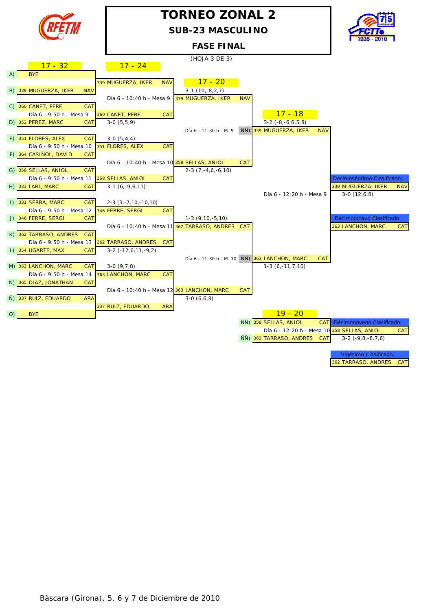

# **TORNEO ZONAL 2**

**SUB-23 MASCULINO**



**FASE FINAL**

|     |                                      |                              |            | (HOJA 3 DE 3)                                     |            |                                                            |                            |            |
|-----|--------------------------------------|------------------------------|------------|---------------------------------------------------|------------|------------------------------------------------------------|----------------------------|------------|
|     | $17 - 32$                            | $17 - 24$                    |            |                                                   |            |                                                            |                            |            |
| (A) | <b>BYE</b>                           |                              |            |                                                   |            |                                                            |                            |            |
|     |                                      | 339 MUGUERZA, IKER           | <b>NAV</b> | $17 - 20$                                         |            |                                                            |                            |            |
|     | B) 339 MUGUERZA, IKER<br><b>NAV</b>  |                              |            | $3-1(10,-8,2,7)$                                  |            |                                                            |                            |            |
|     |                                      | Día 6 - 10:40 h - Mesa 9     |            | 339 MUGUERZA, IKER                                | <b>NAV</b> |                                                            |                            |            |
|     | C) 360 CANET, PERE<br><b>CAT</b>     |                              |            |                                                   |            |                                                            |                            |            |
|     | Día 6 - 9:50 h - Mesa 9              | 360 CANET, PERE              | CAT        |                                                   |            | $17 - 18$                                                  |                            |            |
|     | D) 352 PEREZ, MARC<br>CAT            | $3-0(5,5,9)$                 |            |                                                   |            | $3-2$ $(-8,-6,6,5,8)$                                      |                            |            |
|     |                                      |                              |            | Día 6 - 11:30 h - M. 9                            |            | NN) 339 MUGUERZA, IKER<br><b>NAV</b>                       |                            |            |
|     | E) 351 FLORES, ALEX<br><b>CAT</b>    | $3-0(5,4,4)$                 |            |                                                   |            |                                                            |                            |            |
|     | Día 6 - 9:50 h - Mesa 10             | 351 FLORES, ALEX             | CAT        |                                                   |            |                                                            |                            |            |
|     | F) 364 CASIÑOL, DAVID<br>CAT         |                              |            |                                                   |            |                                                            |                            |            |
|     |                                      |                              |            | Día 6 - 10:40 h - Mesa 10 358 SELLAS, ANIOL       | <b>CAT</b> |                                                            |                            |            |
|     | G) 358 SELLAS, ANIOL<br><b>CAT</b>   |                              |            | $2-3(7,-4,6,-6,10)$                               |            |                                                            |                            |            |
|     | Día 6 - 9:50 h - Mesa 11             | 358 SELLAS, ANIOL            | CAT        |                                                   |            |                                                            | Decimoséptimo Clasificado: |            |
|     | H) 333 LARI, MARC<br>CAT             | $3-1(6,-9,6,11)$             |            |                                                   |            |                                                            | 339 MUGUERZA, IKER         | <b>NAV</b> |
|     |                                      |                              |            |                                                   |            | Día 6 - 12:20 h - Mesa 9                                   | $3-0(12,6,8)$              |            |
|     | I) 331 SERRA, MARC<br>CAT            | $2-3$ $(3, -7, 10, -10, 10)$ |            |                                                   |            |                                                            |                            |            |
|     | Día 6 - 9:50 h - Mesa 12             | 346 FERRE, SERGI             | <b>CAT</b> |                                                   |            |                                                            |                            |            |
|     | J) 346 FERRE, SERGI<br>CAT           |                              |            | $1-3(9, 10, -5, 10)$                              |            |                                                            | Decimooctavo Clasificado:  |            |
|     |                                      |                              |            | Día 6 - 10:40 h - Mesa 11 362 TARRASO, ANDRES CAT |            |                                                            | 363 LANCHON, MARC          | <b>CAT</b> |
|     | K) 362 TARRASO, ANDRES<br><b>CAT</b> |                              |            |                                                   |            |                                                            |                            |            |
|     | Día 6 - 9:50 h - Mesa 13             | 362 TARRASO, ANDRES          | <b>CAT</b> |                                                   |            |                                                            |                            |            |
|     | L) 354 UGARTE, MAX<br>CAT            | $3-2$ ( $-12,6,11,-9,2$ )    |            |                                                   |            |                                                            |                            |            |
|     |                                      |                              |            |                                                   |            | Día 6 - 11:30 h - M. 10 NN 363 LANCHON, MARC<br><b>CAT</b> |                            |            |
|     | M) 363 LANCHON, MARC<br><b>CAT</b>   | $3-0(9,7,8)$                 |            |                                                   |            | $1-3(6,-11,7,10)$                                          |                            |            |
|     | Día 6 - 9:50 h - Mesa 14             | 363 LANCHON, MARC            | CAT        |                                                   |            |                                                            |                            |            |
|     | N) 365 DIAZ, JONATHAN<br>CAT         |                              |            |                                                   |            |                                                            |                            |            |
|     |                                      |                              |            | Día 6 - 10:40 h - Mesa 12 363 LANCHON, MARC       | <b>CAT</b> |                                                            |                            |            |
|     | Ñ) 337 RUIZ, EDUARDO<br><b>ARA</b>   |                              |            | $3-0(6,6,8)$                                      |            |                                                            |                            |            |
|     |                                      | 337 RUIZ, EDUARDO            | <b>ARA</b> |                                                   |            |                                                            |                            |            |
| O)  | <b>BYE</b>                           |                              |            |                                                   |            | $19 - 20$                                                  |                            |            |
|     |                                      |                              |            |                                                   |            | NN) 358 SELLAS, ANIOL<br><b>CAT</b>                        | Décimonoveno Clasificado:  |            |
|     |                                      |                              |            |                                                   |            | Día 6 - 12:20 h - Mesa 10 358 SELLAS, ANIOL                |                            | CAT        |
|     |                                      |                              |            |                                                   |            | ÑÑ) 362 TARRASO, ANDRES<br><b>CAT</b>                      | $3-2$ $(-9,8,-8,7,6)$      |            |
|     |                                      |                              |            |                                                   |            |                                                            |                            |            |

Vigésimo Clasificado: 362 TARRASO, ANDRES CAT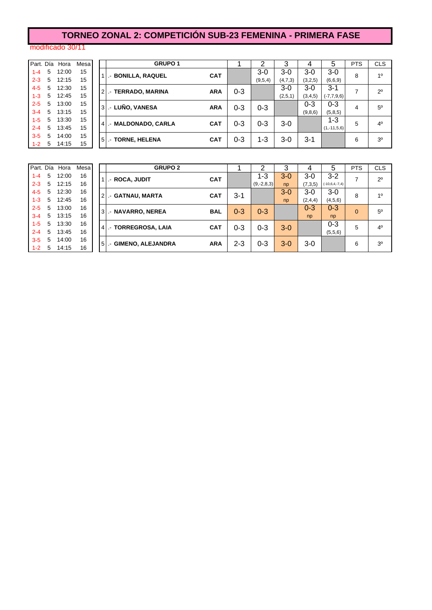## **TORNEO ZONAL 2: COMPETICIÓN SUB-23 FEMENINA - PRIMERA FASE**

#### modificado 30/11

| Part. Día |   | Hora  | Mesa |
|-----------|---|-------|------|
| $1 - 4$   | 5 | 12:00 | 15   |
| $2 - 3$   | 5 | 12:15 | 15   |
| 4-5       | 5 | 12:30 | 15   |
| $1 - 3$   | 5 | 12:45 | 15   |
| $2 - 5$   | 5 | 13:00 | 15   |
| $3 - 4$   | 5 | 13:15 | 15   |
| $1 - 5$   | 5 | 13:30 | 15   |
| $2 - 4$   | 5 | 13:45 | 15   |
| $3 - 5$   | 5 | 14:00 | 15   |
| 1-2       | 5 | 14:15 | 15   |
|           |   |       |      |

|         |   | Part. Día Hora | Mesa |     | <b>GRUPO 1</b>         |            |         | າ       | 3         |         | 5               | <b>PTS</b> | <b>CLS</b>     |
|---------|---|----------------|------|-----|------------------------|------------|---------|---------|-----------|---------|-----------------|------------|----------------|
| $1 - 4$ | 5 | 12:00          | 15   |     | <b>BONILLA, RAQUEL</b> | <b>CAT</b> |         | 3-0     | $3-0$     | $3-0$   | $3-0$           | 8          | 10             |
| $2 - 3$ | 5 | 12:15          | 15   |     |                        |            |         | (9,5,4) | (4, 7, 3) | (3,2,5) | (6,6,9)         |            |                |
| $4 - 5$ | 5 | 12:30          | 15   |     | <b>TERRADO, MARINA</b> | <b>ARA</b> | $0 - 3$ |         | $3-0$     | $3-0$   | $3 - 1$         | 7          | $2^{\circ}$    |
| $1 - 3$ | 5 | 12:45          | 15   |     | $\mathcal{L}$          |            |         |         | (2,5,1)   | (3,4,5) | $(-7, 7, 9, 6)$ |            |                |
| $2 - 5$ | 5 | 13:00          | 15   | l 3 | .- LUÑO, VANESA        | <b>ARA</b> | $0 - 3$ | $0 - 3$ |           | 0-3     | $0 - 3$         | 4          | $5^{\circ}$    |
| $3 - 4$ | 5 | 13:15          | 15   |     |                        |            |         |         |           | (9,8,6) | (5,8,5)         |            |                |
| $1-5$   | 5 | 13:30          | 15   |     | . MALDONADO, CARLA     | <b>CAT</b> | $0 - 3$ | $0 - 3$ | $3-0$     |         | 1-3             | 5          | $4^{\circ}$    |
| $2 - 4$ | 5 | 13:45          | 15   |     |                        |            |         |         |           |         | $(1,-11,5,6)$   |            |                |
| $3 - 5$ | 5 | 14:00          | 15   | -5  |                        | <b>CAT</b> | $0 - 3$ | 1-3     | $3-0$     |         |                 | 6          | 3 <sup>0</sup> |
| $1 - 2$ | 5 | 14:15          | 15   |     | .- TORNE, HELENA       |            |         |         |           | $3 - 1$ |                 |            |                |
|         |   |                |      |     |                        |            |         |         |           |         |                 |            |                |

|         |   | Part. Día Hora | Mesa |
|---------|---|----------------|------|
| $1 - 4$ | 5 | 12:00          | 16   |
| $2 - 3$ | 5 | 12:15          | 16   |
| 4-5     | 5 | 12:30          | 16   |
| $1 - 3$ | 5 | 12:45          | 16   |
| $2 - 5$ | 5 | 13:00          | 16   |
| $3 - 4$ | 5 | 13:15          | 16   |
| $1 - 5$ | 5 | 13:30          | 16   |
| $2 - 4$ | 5 | 13:45          | 16   |
| $3 - 5$ | 5 | 14:00          | 16   |
| 1-2     | 5 | 14:15          | 16   |

|         |   | Part. Día Hora | Mesa | <b>GRUPO 2</b>                                   |         |              |         | 4       | 5                | <b>PTS</b> | <b>CLS</b>     |
|---------|---|----------------|------|--------------------------------------------------|---------|--------------|---------|---------|------------------|------------|----------------|
| $1 - 4$ | 5 | 12:00          | 16   | <b>CAT</b><br>1 I.- ROCA, JUDIT                  |         | 1-3          | $3-0$   | 3-0     | $3 - 2$          |            | $2^{\circ}$    |
| $2 - 3$ | 5 | 12:15          | 16   |                                                  |         | $(9,-2,8,3)$ | np      | (7,3,5) | $(-10,6,4,-7,4)$ |            |                |
| $4 - 5$ | 5 | 12:30          | 16   | 2 .- GATNAU, MARTA<br><b>CAT</b>                 | $3 - 1$ |              | $3 - 0$ | 3-0     | $3-0$            | 8          | 10             |
| $1 - 3$ | 5 | 12:45          | 16   |                                                  |         |              | np      | (2,4,4) | (4,5,6)          |            |                |
| $2 - 5$ | 5 | 13:00          | 16   | 3. - NAVARRO, NEREA<br><b>BAL</b>                | $0 - 3$ | $0 - 3$      |         | $0 - 3$ | $0 - 3$          | $\Omega$   | 50             |
| $3 - 4$ | 5 | 13:15          | 16   |                                                  |         |              |         | np      | np               |            |                |
| $1 - 5$ | 5 | 13:30          | 16   | <b>CAT</b><br>4 - TORREGROSA, LAIA               | $0 - 3$ | $0 - 3$      | $3-0$   |         | $0 - 3$          | 5          | 4 <sup>0</sup> |
| $2 - 4$ | 5 | 13:45          | 16   |                                                  |         |              |         |         | (5,5,6)          |            |                |
| $3 - 5$ | 5 | 14:00          | 16   | <b>ARA</b><br><b>GIMENO, ALEJANDRA</b><br>$51 -$ | $2 - 3$ | $0 - 3$      | $3-0$   | 3-0     |                  | 6          | 3 <sup>o</sup> |
| $1 - 2$ | 5 | 14:15          | 16   |                                                  |         |              |         |         |                  |            |                |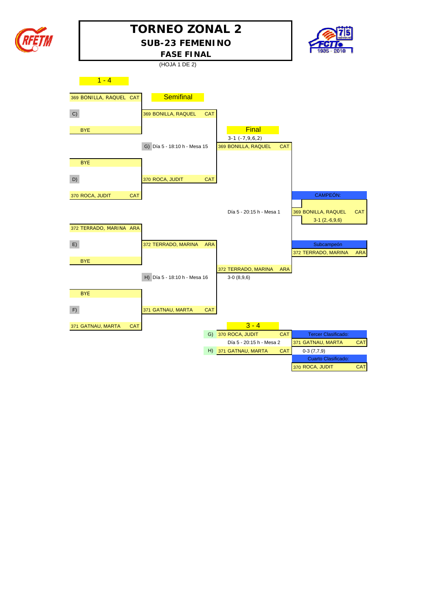



|    |                         |            | (HOJA 1 DE 2)                |            |                                           |            |                                            |            |
|----|-------------------------|------------|------------------------------|------------|-------------------------------------------|------------|--------------------------------------------|------------|
|    | $1 - 4$                 |            |                              |            |                                           |            |                                            |            |
|    | 369 BONILLA, RAQUEL CAT |            | <b>Semifinal</b>             |            |                                           |            |                                            |            |
| C) |                         |            | 369 BONILLA, RAQUEL          | <b>CAT</b> |                                           |            |                                            |            |
|    | <b>BYE</b>              |            |                              |            | Final                                     |            |                                            |            |
|    |                         |            | G) Día 5 - 18:10 h - Mesa 15 |            | $3-1$ $(-7,9,6,2)$<br>369 BONILLA, RAQUEL | CAT        |                                            |            |
|    | <b>BYE</b>              |            |                              |            |                                           |            |                                            |            |
| D) |                         |            | 370 ROCA, JUDIT              | <b>CAT</b> |                                           |            |                                            |            |
|    | 370 ROCA, JUDIT         | <b>CAT</b> |                              |            |                                           |            | CAMPEÓN:                                   |            |
|    |                         |            |                              |            | Día 5 - 20:15 h - Mesa 1                  |            | 369 BONILLA, RAQUEL<br>$3-1(2,-6,9,6)$     | <b>CAT</b> |
|    | 372 TERRADO, MARINA ARA |            |                              |            |                                           |            |                                            |            |
| E) |                         |            | 372 TERRADO, MARINA          | <b>ARA</b> |                                           |            | Subcampeón<br>372 TERRADO, MARINA          | <b>ARA</b> |
|    | <b>BYE</b>              |            |                              |            |                                           |            |                                            |            |
|    |                         |            | H) Día 5 - 18:10 h - Mesa 16 |            | 372 TERRADO, MARINA<br>$3-0(8,9,6)$       | <b>ARA</b> |                                            |            |
|    | <b>BYE</b>              |            |                              |            |                                           |            |                                            |            |
| F) |                         |            | 371 GATNAU, MARTA            | <b>CAT</b> |                                           |            |                                            |            |
|    | 371 GATNAU, MARTA       | <b>CAT</b> |                              |            | $3 - 4$                                   |            |                                            |            |
|    |                         |            |                              |            | G) 370 ROCA, JUDIT                        | CAT        | <b>Tercer Clasificado:</b>                 |            |
|    |                         |            |                              |            | Día 5 - 20:15 h - Mesa 2                  |            | 371 GATNAU, MARTA                          | <b>CAT</b> |
|    |                         |            |                              |            | H) 371 GATNAU, MARTA                      | <b>CAT</b> | $0-3(7,7,9)$<br><b>Cuarto Clasificado:</b> |            |
|    |                         |            |                              |            |                                           |            | 370 ROCA, JUDIT                            | <b>CAT</b> |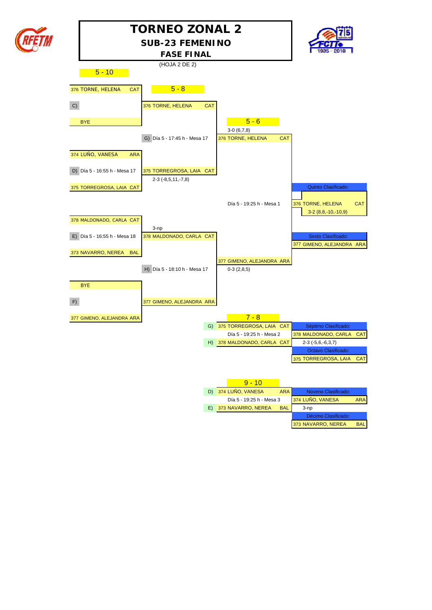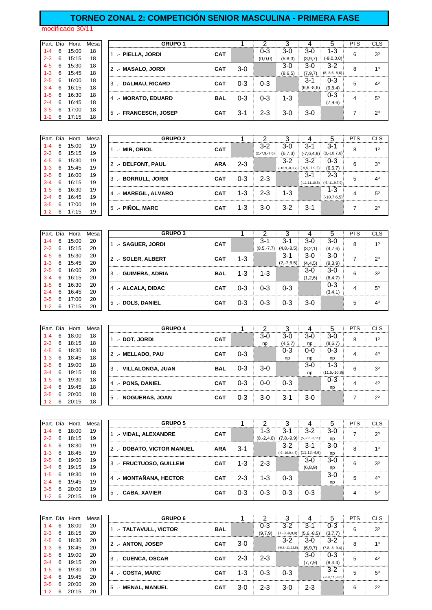#### **TORNEO ZONAL 2: COMPETICIÓN SENIOR MASCULINA - PRIMERA FASE**

modificado 30/11

| Part. Día |   | Hora  | Mesa | <b>GRUPO 1</b>                  |            |         |         |         |                 |                 | <b>PTS</b> | <b>CLS</b>     |
|-----------|---|-------|------|---------------------------------|------------|---------|---------|---------|-----------------|-----------------|------------|----------------|
| $1 - 4$   | 6 | 15:00 | 18   | - PIELLA. JORDI                 | <b>CAT</b> |         | $0 - 3$ | $3-0$   | $3-0$           | $1 - 3$         | 6          | 3 <sup>0</sup> |
| $2 - 3$   | 6 | 15:15 | 18   |                                 |            |         | (0,0,0) | (5,8,3) | (3,9,7)         | $(-9,0,0,0)$    |            |                |
| $4 - 5$   | 6 | 15:30 | 18   | .- MASALO, JORDI                | <b>CAT</b> | $3-0$   |         | $3-0$   | $3-0$           | $3-2$           | 8          | 1 <sup>0</sup> |
| $1 - 3$   | 6 | 15:45 | 18   |                                 |            |         |         | (8,6,5) | (7, 9, 7)       | $(8,-8,6,-8,6)$ |            |                |
| $2 - 5$   | 6 | 16:00 | 18   | 3 .- DALMAU, RICARD             | <b>CAT</b> | $0 - 3$ | $0 - 3$ |         | $3 - 1$         | $0 - 3$         | 5          | 4 <sup>0</sup> |
| $3 - 4$   | 6 | 16:15 | 18   |                                 |            |         |         |         | $(6, 8, -8, 6)$ | (9,8,4)         |            |                |
| $1-5$     | 6 | 16:30 | 18   | <b>MORATO, EDUARD</b><br>$41 -$ | <b>BAL</b> | $0 - 3$ | $0 - 3$ | 1-3     |                 | $0 - 3$         | 4          | $5^{\circ}$    |
| $2 - 4$   | 6 | 16:45 | 18   |                                 |            |         |         |         |                 | (7,9,6)         |            |                |
| $3-5$     | 6 | 17:00 | 18   | 5 .- FRANCESCH, JOSEP           | <b>CAT</b> | 3-1     | $2 - 3$ | $3-0$   | $3-0$           |                 |            | $2^{\circ}$    |
| $1 - 2$   | 6 | 17:15 | 18   |                                 |            |         |         |         |                 |                 |            |                |

| Part. Día |   | Hora  | Mesa |                | <b>GRUPO 2</b>         |            |         |                 |         |                                          |                          | <b>PTS</b> | <b>CLS</b>     |
|-----------|---|-------|------|----------------|------------------------|------------|---------|-----------------|---------|------------------------------------------|--------------------------|------------|----------------|
| 1-4       | 6 | 15:00 | 19   |                | 1   .- MIR, ORIOL      | <b>CAT</b> |         | $3 - 2$         | 3-0     | $3 - 1$                                  | 3-1                      | 8          | 10             |
| $2 - 3$   | 6 | 15:15 | 19   |                |                        |            |         | $(2,-7,9,-7,6)$ | (6,7,3) |                                          | $(-7,6,4,8)$ (8,-10,7,6) |            |                |
| $4 - 5$   | 6 | 15:30 | 19   |                | 2. DELFONT, PAUL       | <b>ARA</b> | $2 - 3$ |                 | 3-2     | $3-2$                                    | $0 - 3$                  | 6          | 3 <sup>0</sup> |
| 1-3       | 6 | 15:45 | 19   |                |                        |            |         |                 |         | $(-10, 9, -8, 9, 7)$ $(-9, 5, -7, 9, 2)$ | (6, 6, 7)                |            |                |
| $2 - 5$   | 6 | 16:00 | 19   |                | 3   .- BORRULL, JORDI  | <b>CAT</b> | 0-3     | $2 - 3$         |         | $3 - 1$                                  | $2 - 3$                  | 5          | $4^{\circ}$    |
| 3-4       | 6 | 16:15 | 19   |                |                        |            |         |                 |         | $(-11, 11, 10, 8)$                       | $(-5,-11,9,7,9)$         |            |                |
| 1-5       | 6 | 16:30 | 19   | 4 <sup>1</sup> | <b>MAREGIL, ALVARO</b> | <b>CAT</b> | $1 - 3$ | $2 - 3$         | $1 - 3$ |                                          | $1 - 3$                  |            | $5^{\circ}$    |
| $2 - 4$   | 6 | 16:45 | 19   |                |                        |            |         |                 |         |                                          | $(-10, 7, 6, 5)$         | 4          |                |
| 3-5       | 6 | 17:00 | 19   | $5$ .          | .- PIÑOL, MARC         | <b>CAT</b> | 1-3     | $3-0$           | 3-2     | $3-1$                                    |                          |            | 20             |
| 1-2       | 6 | 17:15 | 19   |                |                        |            |         |                 |         |                                          |                          |            |                |

| Part. Día |   | Hora  | Mesa |                | <b>GRUPO 3</b>    |            |         |              |                 |         |           | <b>PTS</b> | <b>CLS</b>     |
|-----------|---|-------|------|----------------|-------------------|------------|---------|--------------|-----------------|---------|-----------|------------|----------------|
| $1 - 4$   | 6 | 15:00 | 20   |                | .- SAGUER, JORDI  | <b>CAT</b> |         | 3-1          | $3 - 1$         | $3-0$   | $3-0$     | 8          | 10             |
| $2 - 3$   | 6 | 15:15 | 20   |                |                   |            |         | $(8,5,-7,7)$ | $(4, 8, -8, 5)$ | (3,2,1) | (4,7,6)   |            |                |
| $4 - 5$   | 6 | 15:30 | 20   | 2              | .- SOLER, ALBERT  | <b>CAT</b> | $1 - 3$ |              | 3-1             | $3-0$   | $3-0$     | –          | $2^{\circ}$    |
| $1 - 3$   | 6 | 15:45 | 20   |                |                   |            |         |              | $(2,-7,6,5)$    | (4,4,5) | (9,3,9)   |            |                |
| $2 - 5$   | 6 | 16:00 | 20   | 3              | .- GUIMERA, ADRIA | <b>BAL</b> | 1-3     | $1 - 3$      |                 | $3-0$   | $3-0$     | 6          | 3 <sup>o</sup> |
| $3 - 4$   | 6 | 16:15 | 20   |                |                   |            |         |              |                 | (1,2,6) | (6, 4, 7) |            |                |
| $1 - 5$   | 6 | 16:30 | 20   | $\overline{4}$ | .- ALCALA, DIDAC  | <b>CAT</b> | $0 - 3$ | 0-3          | $0 - 3$         |         | $0 - 3$   | 4          | $5^{\circ}$    |
| $2 - 4$   | 6 | 16:45 | 20   |                |                   |            |         |              |                 |         | (3,4,1)   |            |                |
| $3-5$     | 6 | 17:00 | 20   | 5              | .- DOLS, DANIEL   | <b>CAT</b> | 0-3     | $0 - 3$      | $0 - 3$         | $3-0$   |           | 5          | 40             |
| $1 - 2$   | 6 | 17:15 | 20   |                |                   |            |         |              |                 |         |           |            |                |

| Part. Día |   | Hora  | Mesa |                | <b>GRUPO 4</b>     |            |         |         |         |       | 5                 | <b>PTS</b> | <b>CLS</b>     |
|-----------|---|-------|------|----------------|--------------------|------------|---------|---------|---------|-------|-------------------|------------|----------------|
| $1 - 4$   | 6 | 18:00 | 18   |                | - DOT, JORDI       | <b>CAT</b> |         | $3-0$   | $3-0$   | $3-0$ | $3-0$             | 8          | 1 <sup>0</sup> |
| $2 - 3$   | 6 | 18:15 | 18   |                |                    |            |         | np      | (4,5,7) | np    | (8,6,7)           |            |                |
| $4 - 5$   | 6 | 18:30 | 18   | $\overline{2}$ | .- MELLADO, PAU    | <b>CAT</b> | $0 - 3$ |         | 0-3     | $0-0$ | $0 - 3$           | 4          | 4 <sup>0</sup> |
| $1 - 3$   | 6 | 18:45 | 18   |                |                    |            |         |         | np      | np    | np                |            |                |
| $2 - 5$   | 6 | 19:00 | 18   | 3 <sup>1</sup> | - VILLALONGA, JUAN | <b>BAL</b> | $0 - 3$ | $3-0$   |         | $3-0$ | $1 - 3$           | 6          | 3 <sup>o</sup> |
| $3 - 4$   | 6 | 19:15 | 18   |                |                    |            |         |         |         | np    | $(11, 5, -10, 8)$ |            |                |
| $1 - 5$   | 6 | 19:30 | 18   | $\overline{4}$ | .- PONS, DANIEL    | <b>CAT</b> | $0 - 3$ | $0 - 0$ | $0 - 3$ |       | $0 - 3$           | 4          | 4 <sup>0</sup> |
| $2 - 4$   | 6 | 19:45 | 18   |                |                    |            |         |         |         |       | np                |            |                |
| $3-5$     | 6 | 20:00 | 18   | 5 <sup>1</sup> | .- NOGUERAS, JOAN  | <b>CAT</b> | $0 - 3$ | $3-0$   | $3 - 1$ | $3-0$ |                   |            | $2^{\circ}$    |
| $1 - 2$   | 6 | 20:15 | 18   |                |                    |            |         |         |         |       |                   |            |                |

|         | Part. Día | Hora  | Mesa |                | <b>GRUPO 5</b>           |            |         |         |                                            |                                 |       | <b>PTS</b> | <b>CLS</b>     |
|---------|-----------|-------|------|----------------|--------------------------|------------|---------|---------|--------------------------------------------|---------------------------------|-------|------------|----------------|
| 1-4     | 6         | 18:00 | 19   |                | .- VIDAL, ALEXANDRE      | <b>CAT</b> |         | $1-3$   | 3-1                                        | $3-2$                           | 3-0   | ⇁          | $2^{\circ}$    |
| $2 - 3$ | 6         | 18:15 | 19   |                |                          |            |         |         | $(8,-2,4,8)$ $(7,8,-9,9)$ $(5,-7,6,-6,11)$ |                                 | np    |            |                |
| $4 - 5$ | 6         | 18:30 | 19   |                | 2. DOBATO, VICTOR MANUEL | <b>ARA</b> | 3-1     |         | $3-2$                                      | $3-1$                           | $3-0$ | 8          | 10             |
| $1 - 3$ | 6         | 18:45 | 19   |                |                          |            |         |         |                                            | $(-9,-10,9,4,5)$ $(11,12,-4,6)$ | np    |            |                |
| $2 - 5$ | 6         | 19:00 | 19   |                | 3   FRUCTUOSO, GUILLEM   | <b>CAT</b> | 1-3     | $2 - 3$ |                                            | $3-0$                           | 3-0   | 6          | 3 <sup>0</sup> |
| $3 - 4$ | 6         | 19:15 | 19   |                |                          |            |         |         |                                            | (6, 8, 9)                       | np    |            |                |
| $1-5$   | 6         | 19:30 | 19   | 4 <sup>1</sup> | - MONTAÑANA, HECTOR      | <b>CAT</b> | $2 - 3$ | $1 - 3$ | $0 - 3$                                    |                                 | $3-0$ | 5          | 4 <sup>0</sup> |
| $2 - 4$ | 6         | 19:45 | 19   |                |                          |            |         |         |                                            |                                 | np    |            |                |
| $3 - 5$ | 6         | 20:00 | 19   | 5 <sup>1</sup> | - CABA, XAVIER           | <b>CAT</b> | $0 - 3$ | $0 - 3$ | $0 - 3$                                    | $0 - 3$                         |       | 4          | $5^{\circ}$    |
| $1 - 2$ | -6        | 20:15 | 19   |                |                          |            |         |         |                                            |                                 |       |            |                |

| Part. Día |   | Hora  | Mesa |                | <b>GRUPO 6</b>               |            |         |         |                       |              |                    | PTS | <b>CLS</b>     |
|-----------|---|-------|------|----------------|------------------------------|------------|---------|---------|-----------------------|--------------|--------------------|-----|----------------|
| $1 - 4$   | 6 | 18:00 | 20   |                | <b>I.- TALTAVULL, VICTOR</b> | <b>BAL</b> |         | $0 - 3$ | 3-2                   | 3-1          | $0 - 3$            | 6   | 3 <sup>o</sup> |
| $2 - 3$   | 6 | 18:15 | 20   |                |                              |            |         | (9,7,9) | $(7,-8,-9,9,9)$       | $(5,6,-8,5)$ | (3,7,7)            |     |                |
| $4 - 5$   | 6 | 18:30 | 20   | $\overline{2}$ | - ANTON, JOSEP               | <b>CAT</b> | 3-0     |         | $3 - 2$               | $3-0$        | $3-2$              | 8   | 10             |
| $1 - 3$   | 6 | 18:45 | 20   |                |                              |            |         |         | $(-6, 8, -11, 12, 8)$ | (6, 9, 7)    | $(7,8,-8,-9,4)$    |     |                |
| $2 - 5$   | 6 | 19:00 | 20   | 3 I            | .- CUENCA, OSCAR             | <b>CAT</b> | 2-3     | $2 - 3$ |                       | $3-0$        | $0 - 3$            | 5   | 4 <sup>0</sup> |
| $3 - 4$   | 6 | 19:15 | 20   |                |                              |            |         |         |                       | (7,7,9)      | (8,4,4)            |     |                |
| $1-5$     | 6 | 19:30 | 20   | $\sim$         | .- COSTA, MARC               | <b>CAT</b> | $1 - 3$ | $0 - 3$ | $0 - 3$               |              | $3 - 2$            | 5   | $5^{\circ}$    |
| $2 - 4$   | 6 | 19:45 | 20   |                |                              |            |         |         |                       |              | $(-6.6, 11, -9.6)$ |     |                |
| $3-5$     | 6 | 20:00 | 20   | 5 <sup>1</sup> | <b>MENAL. MANUEL</b>         | <b>CAT</b> | 3-0     | $2 - 3$ | $3-0$                 | $2 - 3$      |                    | 6   | $2^{\circ}$    |
| $1-2$     | 6 | 20:15 | 20   |                |                              |            |         |         |                       |              |                    |     |                |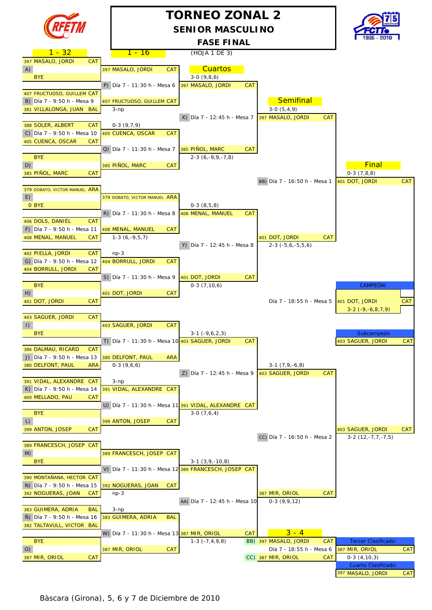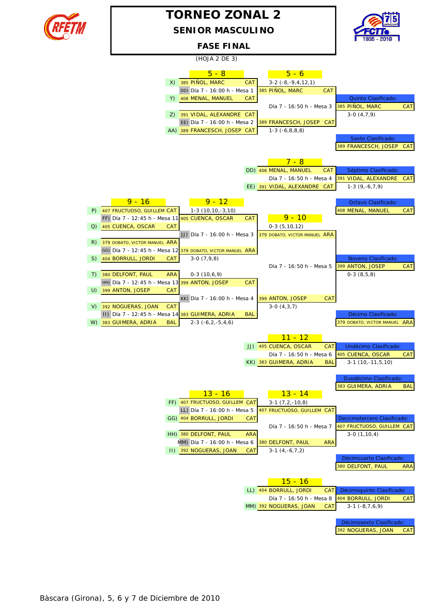

## **SENIOR MASCULINO TORNEO ZONAL 2**



#### **FASE FINAL**

(HOJA 2 DE 3)

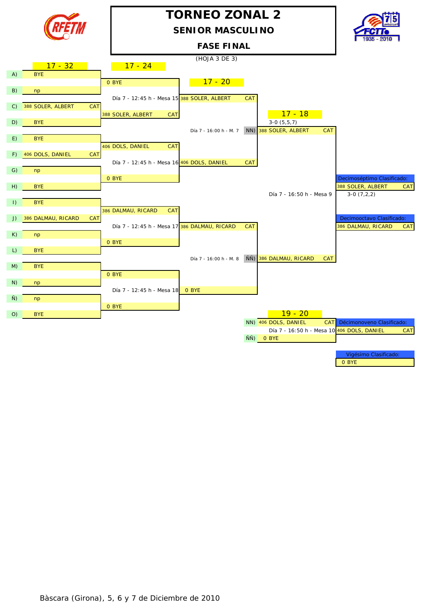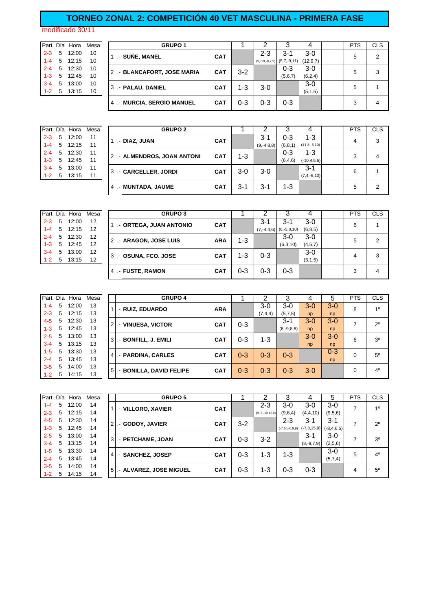### **TORNEO ZONAL 2: COMPETICIÓN 40 VET MASCULINA - PRIMERA FASE**

modificado 30/11

|         |   | Part. Día Hora | Mes |
|---------|---|----------------|-----|
| $2 - 3$ | 5 | 12:00          | 10  |
| $1 - 4$ | 5 | 12:15          | 10  |
| $2 - 4$ | 5 | 12:30          | 10  |
| 1-3     | 5 | 12:45          | 10  |
| $3 - 4$ | 5 | 13:00          | 10  |
| 1-2     | 5 | 13:15          | 10  |

|         |   | Part. Día Hora | Mesal | <b>GRUPO 1</b>              |            |         |         |                                |            | <b>PTS</b> | <b>CLS</b> |
|---------|---|----------------|-------|-----------------------------|------------|---------|---------|--------------------------------|------------|------------|------------|
| $2 - 3$ | 5 | 12:00          | 10    | .- SUÑE, MANEL              | <b>CAT</b> |         | $2 - 3$ | $3 - 1$                        | $3-0$      | 5          | 2          |
| $1 - 4$ | 5 | 12:15          | 10    |                             |            |         |         | $(9,-10,-8,7,9)$ $(5,7,-9,11)$ | (12, 9, 7) |            |            |
| $2 - 4$ | 5 | 12:30          | 10    | 2 .- BLANCAFORT, JOSE MARIA | <b>CAT</b> | $3 - 2$ |         | $0 - 3$                        | $3-0$      | 5          | 3          |
| $1 - 3$ |   | 5 12:45        | 10    |                             |            |         |         | (5,6,7)                        | (6,2,4)    |            |            |
| $3 - 4$ |   | 5 13:00        | 10    | 3 .- PALAU, DANIEL          | <b>CAT</b> | 1-3     | $3-0$   |                                | 3-0        | 5          |            |
| $1 - 2$ | 5 | 13:15          | 10    |                             |            |         |         |                                | (5,1,5)    |            |            |
|         |   |                |       | 4 - MURCIA, SERGIO MANUEL   | <b>CAT</b> | $0 - 3$ | 0-3     | $0 - 3$                        |            | 3          | 4          |

|         |   | Part. Día Hora | Mesa I | <b>GRUPO 2</b>              |            |       |              |           |                   | <b>PTS</b> | <b>CLS</b> |
|---------|---|----------------|--------|-----------------------------|------------|-------|--------------|-----------|-------------------|------------|------------|
| $2 - 3$ | 5 | 12:00          | 11     | .- DIAZ, JUAN               | <b>CAT</b> |       | $3-1$        | 0-3       | $1 - 3$           | 4          | 3          |
| 1-4     | 5 | 12:15          | 11     |                             |            |       | $(9,-4,8,8)$ | (6, 8, 1) | $(11, 8, -6, 10)$ |            |            |
| $2 - 4$ | 5 | 12:30          | 11     | 2 .- ALMENDROS, JOAN ANTONI | <b>CAT</b> | 1-3   |              | 0-3       | 1-3               | ີ          |            |
| $1 - 3$ | 5 | 12:45          | 11     |                             |            |       |              | (6, 4, 6) | $(-10, 4, 5, 5)$  |            | 4          |
| $3 - 4$ | 5 | 13:00          | 11     | 3 - CARCELLER, JORDI        |            | $3-0$ | $3-0$        |           | $3 - 1$           | 6          |            |
| $1 - 2$ | 5 | 13:15          | 11     |                             | <b>CAT</b> |       |              |           | $(7, 4, -6, 10)$  |            |            |
|         |   |                |        | 4 - MUNTADA, JAUME          | <b>CAT</b> | 3-1   | $3 - 1$      | 1-3       |                   | 5          | 2          |
|         |   |                |        |                             |            |       |              |           |                   |            |            |

|         |   | Part. Día Hora | Mesa | <b>GRUPO 3</b>          |            |         |         |                            |           | <b>PTS</b> | <b>CLS</b> |
|---------|---|----------------|------|-------------------------|------------|---------|---------|----------------------------|-----------|------------|------------|
| $2 - 3$ | 5 | 12:00          | 12   | .- ORTEGA, JUAN ANTONIO | <b>CAT</b> |         | $3 - 1$ | $3 - 1$                    | 3-0       | 6          |            |
| $1 - 4$ | 5 | 12:15          | 12   |                         |            |         |         | $(7,-4,4,6)$ $(6,-5,8,10)$ | (6, 8, 5) |            |            |
| $2 - 4$ | 5 | 12:30          | 12   | 2 .- ARAGON, JOSE LUIS  | <b>ARA</b> | $1 - 3$ |         | $3-0$                      | $3-0$     | 5          | 2          |
| $1 - 3$ | 5 | 12:45          | 12   |                         |            |         |         | (6,3,10)                   | (4,5,7)   |            |            |
| $3 - 4$ | 5 | 13:00          | 12   | 3 - OSUNA, FCO. JOSE    | <b>CAT</b> | $1 - 3$ | $0 - 3$ |                            | $3-0$     | 4          | 3          |
| $1 - 2$ | 5 | 13:15          | 12   |                         |            |         |         |                            | (3,1,5)   |            |            |
|         |   |                |      | - FUSTE, RAMON<br>4     | <b>CAT</b> | 0-3     | 0-3     | $0 - 3$                    |           | 3          | 4          |

| Part. Día |   | Hora  | Mesa |                | <b>GRUPO 4</b>           |            |         | ◠       | 3            |         | 5       | <b>PTS</b> | <b>CLS</b>     |
|-----------|---|-------|------|----------------|--------------------------|------------|---------|---------|--------------|---------|---------|------------|----------------|
| $1 - 4$   | 5 | 12:00 | 13   |                |                          |            |         | $3-0$   | $3-0$        | $3-0$   | $3 - 0$ | 8          | 10             |
| $2 - 3$   | 5 | 12:15 | 13   |                | - RUIZ, EDUARDO          | <b>ARA</b> |         | (7,4,4) | (5,7,5)      | np      | np      |            |                |
| 4-5       | 5 | 12:30 | 13   | $\overline{2}$ | - VINUESA, VICTOR        | <b>CAT</b> | $0 - 3$ |         | $3-1$        | $3 - 0$ | $3 - 0$ | 7          | $2^{\circ}$    |
| $1 - 3$   | 5 | 12:45 | 13   |                |                          |            |         |         | $(6,-9,8,8)$ | np      | np      |            |                |
| $2 - 5$   | 5 | 13:00 | 13   | 3              | .- BONFILL, J. EMILI     | <b>CAT</b> | 0-3     | $1 - 3$ |              | $3-0$   | $3-0$   | 6          | 3 <sup>0</sup> |
| $3 - 4$   | 5 | 13:15 | 13   |                |                          |            |         |         |              | np      | np      |            |                |
| $1 - 5$   | 5 | 13:30 | 13   |                | - PARDINA, CARLES        | <b>CAT</b> | $0 - 3$ | $0 - 3$ | $0 - 3$      |         | $0 - 3$ | 0          | $5^{\circ}$    |
| $2 - 4$   | 5 | 13:45 | 13   |                |                          |            |         |         |              |         | np      |            |                |
| $3 - 5$   | 5 | 14:00 | 13   | 5              | .- BONILLA, DAVID FELIPE | <b>CAT</b> | $0 - 3$ | $0 - 3$ | $0 - 3$      | $3-0$   |         | $\Omega$   | 4 <sup>0</sup> |
| $1 - 2$   | 5 | 14:15 | 13   |                |                          |            |         |         |              |         |         |            |                |

|         |   | Part. Día Hora | Mesa |                | <b>GRUPO 5</b>         |            |         | 2                 | 3       |                                       | 5               | <b>PTS</b> | <b>CLS</b>     |
|---------|---|----------------|------|----------------|------------------------|------------|---------|-------------------|---------|---------------------------------------|-----------------|------------|----------------|
| $1 - 4$ | 5 | 12:00          | 14   |                |                        |            |         | $2 - 3$           | 3-0     | $3-0$                                 | $3-0$           | 7          | 10             |
| $2 - 3$ | 5 | 12:15          | 14   |                | .- VILLORO, XAVIER     | <b>CAT</b> |         | $(8,-7,-10,12,8)$ | (9,6,4) | (4,4,10)                              | (9,5,6)         |            |                |
| $4 - 5$ | 5 | 12:30          | 14   | $\overline{2}$ | - GODOY, JAVIER        | <b>CAT</b> | $3-2$   |                   | 2-3     | $3 - 1$                               | $3 - 1$         | ⇁          | $2^{\circ}$    |
| $1 - 3$ | 5 | 12:45          | 14   |                |                        |            |         |                   |         | $(-7, 10, -6, 9, 9)$ $(-7, 8, 15, 9)$ | $(-8, 4, 6, 5)$ |            |                |
| $2 - 5$ | 5 | 13:00          | 14   | 3              | .- PETCHAME, JOAN      | <b>CAT</b> | $0 - 3$ | 3-2               |         | $3 - 1$                               | $3-0$           | 7          | 30             |
| $3 - 4$ | 5 | 13:15          | 14   |                |                        |            |         |                   |         | $(8,-8,7,9)$                          | (2,5,6)         |            |                |
| $1 - 5$ | 5 | 13:30          | 14   | 4              | - SANCHEZ, JOSEP       | <b>CAT</b> | $0 - 3$ | 1-3               | $1 - 3$ |                                       | $3-0$           | 5          | 4 <sup>0</sup> |
| $2 - 4$ | 5 | 13:45          | 14   |                |                        |            |         |                   |         |                                       | (5,7,4)         |            |                |
| $3 - 5$ | 5 | 14:00          | 14   | 5              | - ALVAREZ, JOSE MIGUEL | <b>CAT</b> | $0 - 3$ | $1 - 3$           | $0 - 3$ | $0 - 3$                               |                 | 4          | 5 <sup>0</sup> |
| $1 - 2$ | 5 | 14:15          | 14   |                |                        |            |         |                   |         |                                       |                 |            |                |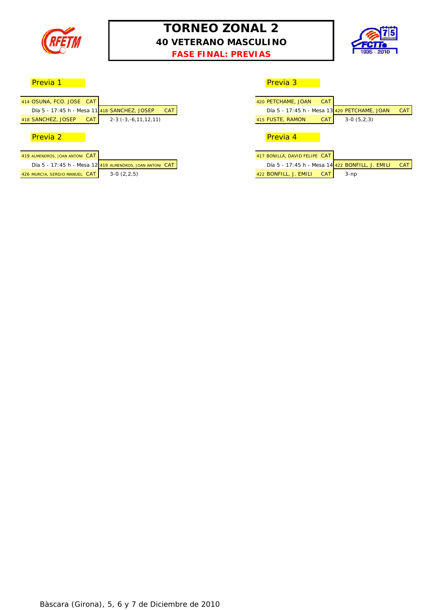

## **TORNEO ZONAL 2 40 VETERANO MASCULINO FASE FINAL: PREVIAS**



esta de la previa 1 de la provia de la previa 3 de la previa 3 de la previa 3 de la previa 3 de la previa 3 de

## Previa 2 Previa 4

| 419 ALMENDROS, JOAN ANTONI CAT |                                                          | 417 BONILLA, DAVID FELIPE CAT       |      |
|--------------------------------|----------------------------------------------------------|-------------------------------------|------|
|                                | Día 5 - 17:45 h - Mesa 12 419 ALMENDROS, JOAN ANTONI CAT | Día 5 - 17:45 h - Mesa 14 422 BON   |      |
| 426 MURCIA, SERGIO MANUEL CAT  | $3-0(2.2.5)$                                             | <b>CAT</b><br>422 BONFILL, J. EMILI | 3-np |

| OSUNA, FCO, JOSE CAT                         |                                                          |            | 420 PETCHAME, JOAN            | <b>CAT</b> |                                                 |            |
|----------------------------------------------|----------------------------------------------------------|------------|-------------------------------|------------|-------------------------------------------------|------------|
| Día 5 - 17:45 h - Mesa 11 418 SANCHEZ, JOSEP |                                                          | <b>CAT</b> |                               |            | Día 5 - 17:45 h - Mesa 13 420 PETCHAME, JOAN    |            |
| SANCHEZ, JOSEP<br><b>CAT</b>                 | $2-3$ ( $-3, -6, 11, 12, 11$ )                           |            | 415 FUSTE, RAMON              | <b>CAT</b> | $3-0(5,2,3)$                                    |            |
|                                              |                                                          |            |                               |            |                                                 |            |
| Previa 2                                     |                                                          |            | Previa 4                      |            |                                                 |            |
|                                              |                                                          |            |                               |            |                                                 |            |
| almendros, joan antoni CAT-                  |                                                          |            | 417 BONILLA, DAVID FELIPE CAT |            |                                                 |            |
|                                              | Día 5 - 17:45 h - Mesa 12 419 ALMENDROS, JOAN ANTONI CAT |            |                               |            | Día 5 - 17:45 h - Mesa 14 422 BONFILL, J. EMILI | <b>CAT</b> |
| MURCIA, SERGIO MANUEL CAT                    | $3-0(2,2,5)$                                             |            | 422 BONFILL, J. EMILI         | <b>CAT</b> | $3-np$                                          |            |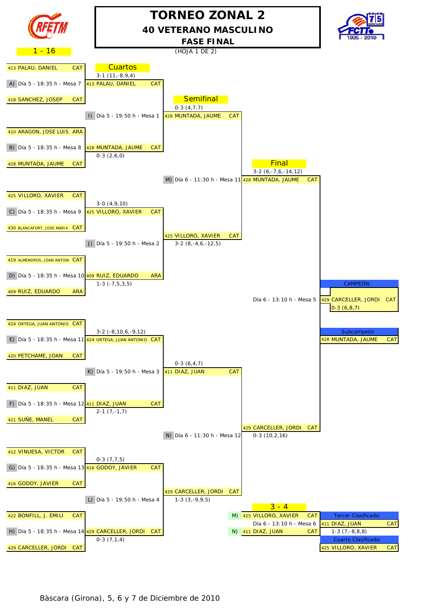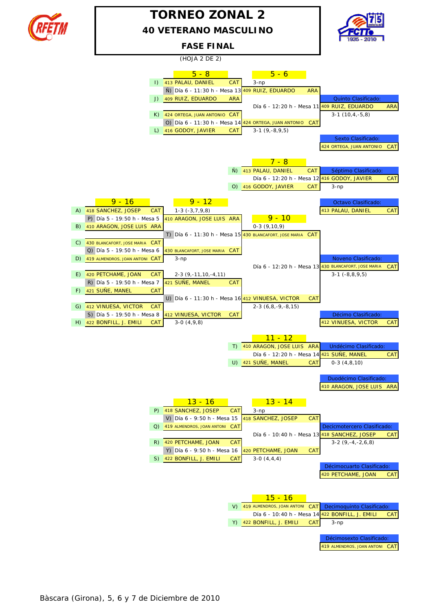

## **TORNEO ZONAL 2 40 VETERANO MASCULINO**





Bàscara (Girona), 5, 6 y 7 de Diciembre de 2010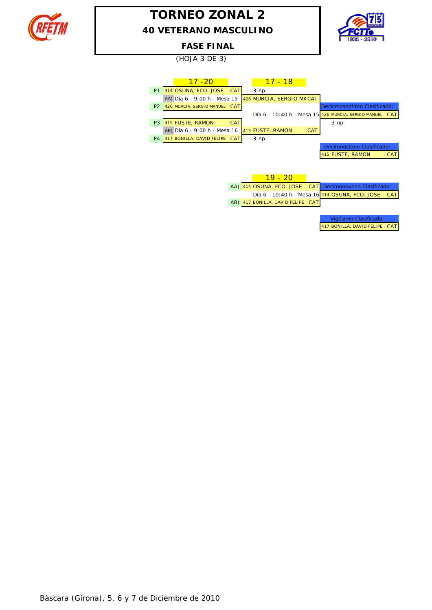

## **TORNEO ZONAL 2 40 VETERANO MASCULINO**



#### **FASE FINAL**

(HOJA 3 DE 3)

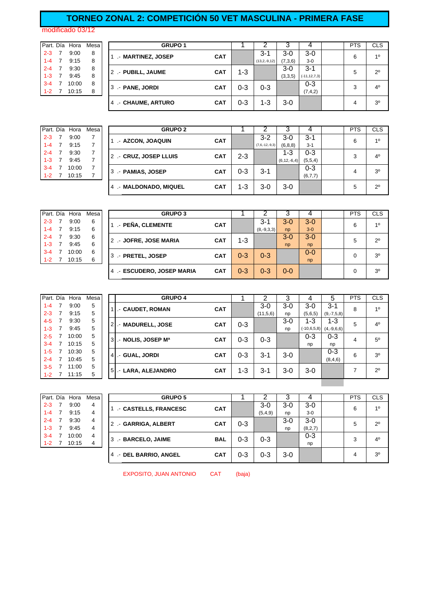## **TORNEO ZONAL 2: COMPETICIÓN 50 VET MASCULINA - PRIMERA FASE**

modificado 03/12

| Part. Día |   | Hora  | Mes |
|-----------|---|-------|-----|
| $2 - 3$   | 7 | 9:00  | 8   |
| $1 - 4$   | 7 | 9:15  | 8   |
| $2 - 4$   | 7 | 9:30  | 8   |
| $1 - 3$   | 7 | 9:45  | 8   |
| $3 - 4$   | 7 | 10:00 | 8   |
| 1-2       | 7 | 10:15 | 8   |

|           |                | Part. Día Hora | Mesa I |  | <b>GRUPO 1</b>     |            |     |                   |         |                   | <b>PTS</b> | <b>CLS</b>     |
|-----------|----------------|----------------|--------|--|--------------------|------------|-----|-------------------|---------|-------------------|------------|----------------|
| $2 - 3$   |                | 9:00           | 8      |  | - MARTINEZ, JOSEP  | <b>CAT</b> |     | $3 - 1$           | $3-0$   | 3-0               | 6          | 10             |
| $1 - 4$ 7 |                | 9:15           | 8      |  |                    |            |     | $(13, 2, -9, 12)$ | (7,3,6) | $3-0$             |            |                |
| $2 - 4$ 7 |                | 9:30           | 8      |  | 2 .- PUBILL, JAUME | <b>CAT</b> | 1-3 |                   | $3-0$   | $3 - 1$           | 5          | $2^{\circ}$    |
| $1 - 3$   | $\overline{7}$ | 9:45           | 8      |  |                    |            |     |                   | (3,3,5) | $(-11, 12, 7, 3)$ |            |                |
| $3 - 4$   |                | 10:00          | 8      |  | 3 - PANE, JORDI    | <b>CAT</b> | 0-3 | $0 - 3$           |         | $0 - 3$           | 3          | $4^{\circ}$    |
| $1 - 2$   |                | 10:15          | 8      |  |                    |            |     |                   |         | (7, 4, 2)         |            |                |
|           |                |                |        |  | 4 - CHAUME, ARTURO | <b>CAT</b> | 0-3 | 1-3               | $3-0$   |                   | 4          | 3 <sup>0</sup> |

|         |   | Part. Día Hora | Mesa |
|---------|---|----------------|------|
| $2 - 3$ | 7 | 9:00           | 7    |
| $1 - 4$ | 7 | 9:15           | 7    |
| $2 - 4$ | 7 | 9:30           | 7    |
| $1 - 3$ | 7 | 9.45           | 7    |
| $3 - 4$ | 7 | 10:00          | 7    |
| 1-2     |   | 10:15          | 7    |
|         |   |                |      |

|         | Part. Día Hora | Mesa | <b>GRUPO 2</b>         |            |         |                  |                  |         | <b>PTS</b> | <b>CLS</b>     |
|---------|----------------|------|------------------------|------------|---------|------------------|------------------|---------|------------|----------------|
| $2 - 3$ | 9:00           |      | - AZCON, JOAQUIN       | <b>CAT</b> |         | $3-2$            | $3-0$            | $3 - 1$ | 6          | 10             |
| $1 - 4$ | 9:15           |      |                        |            |         | $(7,6,-12,-9,3)$ | (6, 8, 8)        | $3 - 1$ |            |                |
| $2 - 4$ | 9:30           |      | 2 - CRUZ, JOSEP LLUIS  | <b>CAT</b> | $2 - 3$ |                  | 1-3              | $0 - 3$ | 3          | 4 <sup>0</sup> |
| $1 - 3$ | 9:45           |      |                        |            |         |                  | $(6, 12, -6, 4)$ | (5,5,4) |            |                |
| $3 - 4$ | 10:00          |      | 3 .- PAMIAS, JOSEP     | <b>CAT</b> | $0 - 3$ | $3 - 1$          |                  | $0 - 3$ | 4          | 3 <sup>0</sup> |
| $1 - 2$ | 10:15          |      |                        |            |         |                  |                  | (6,7,7) |            |                |
|         |                |      | 4 .- MALDONADO, MIQUEL | <b>CAT</b> | 1-3     | 3-0              | $3-0$            |         | 5          | $2^{\circ}$    |

|           | Part. Día Hora | Mesa I | <b>GRUPO 3</b>            |            |         |              |                |         | <b>PTS</b> | <b>CLS</b>     |
|-----------|----------------|--------|---------------------------|------------|---------|--------------|----------------|---------|------------|----------------|
| $2 - 3$ 7 | 9:00           | 6      |                           |            |         | $3 - 1$      | $3 - 0$        | $3-0$   |            | 10             |
| $1 - 4$ 7 | 9:15           | 6      | - PEÑA, CLEMENTE          | <b>CAT</b> |         | $(8,-9,3,3)$ | n <sub>D</sub> | $3-0$   | 6          |                |
| $2 - 4$ 7 | 9:30           | 6      | 2 - JOFRE, JOSE MARIA     | <b>CAT</b> | 1-3     |              | $3 - 0$        | $3-0$   | 5          | $2^{\circ}$    |
| $1 - 3$   | 9:45           | 6      |                           |            |         |              | np             | np      |            |                |
| $3 - 4$   | 10:00          | 6      | 3 .- PRETEL, JOSEP        | <b>CAT</b> | $0 - 3$ | $0 - 3$      |                | $0 - 0$ | 0          | 3 <sup>o</sup> |
| $1 - 2$   | 10:15          | 6      |                           |            |         |              |                | np      |            |                |
|           |                |        | 4 - ESCUDERO, JOSEP MARIA | <b>CAT</b> | $0 - 3$ | $0 - 3$      | $0 - 0$        |         | 0          | $3^{\circ}$    |

| Part. Día | Hora  | Mesa |                | <b>GRUPO 4</b>     |            |         | ⌒        | 3     | 4             | 5               | <b>PTS</b> | <b>CLS</b>     |
|-----------|-------|------|----------------|--------------------|------------|---------|----------|-------|---------------|-----------------|------------|----------------|
| $1 - 4$   | 9:00  | 5    |                | .- CAUDET, ROMAN   | <b>CAT</b> |         | $3-0$    | $3-0$ | $3-0$         | $3 - 1$         | 8          | 1 <sup>0</sup> |
| $2 - 3$   | 9:15  | 5    |                |                    |            |         | (11,5,6) | np    | (5,6,5)       | $(9,-7,5,8)$    |            |                |
| $4 - 5$   | 9:30  | 5    | 2 <sub>1</sub> | .- MADURELL, JOSE  | <b>CAT</b> | 0-3     |          | $3-0$ | 1-3           | 1-3             | 5          | 4 <sup>0</sup> |
| $1 - 3$   | 9:45  | 5    |                |                    |            |         |          | np    | $(-10,6,5,8)$ | $(4, -9, 6, 6)$ |            |                |
| $2 - 5$   | 10:00 | 5    | 3              | .- NOLIS, JOSEP Ma | <b>CAT</b> | 0-3     | $0 - 3$  |       | $0 - 3$       | $0 - 3$         | 4          | $5^{\circ}$    |
| $3 - 4$   | 10:15 | 5    |                |                    |            |         |          |       | np            | np              |            |                |
| $1 - 5$   | 10:30 | 5    | 4              | - GUAL, JORDI      | <b>CAT</b> | $0 - 3$ | $3 - 1$  | $3-0$ |               | $0 - 3$         | 6          | 3 <sup>0</sup> |
| $2 - 4$   | 10:45 | 5    |                |                    |            |         |          |       |               | (8, 4, 6)       |            |                |
| $3 - 5$   | 11:00 | 5    | 5              |                    | <b>CAT</b> | 1-3     | $3 - 1$  | $3-0$ | $3-0$         |                 |            | $2^{\circ}$    |
| $1 - 2$   | 11:15 | 5    |                | - LARA, ALEJANDRO  |            |         |          |       |               |                 |            |                |

|         |   | Part. Día Hora | Mesa |
|---------|---|----------------|------|
| $2 - 3$ | 7 | 9:00           | 4    |
| $1 - 4$ | 7 | 9:15           | 4    |
| $2 - 4$ | 7 | 9:30           | 4    |
| $1 - 3$ | 7 | 9:45           | 4    |
| $3 - 4$ | 7 | 10:00          | 4    |
| 1-2     |   | 10:15          |      |
|         |   |                |      |

|         | Part. Día Hora | Mesa | <b>GRUPO 5</b>        |            |         |         |       |           | <b>PTS</b> | <b>CLS</b>     |
|---------|----------------|------|-----------------------|------------|---------|---------|-------|-----------|------------|----------------|
| $2 - 3$ | 9:00           | 4    | - CASTELLS, FRANCESC  | <b>CAT</b> |         | 3-0     | $3-0$ | 3-0       | 6          | 10             |
| $1 - 4$ | 9:15           | 4    |                       |            |         | (5,4,9) | np    | $3-0$     |            |                |
| $2 - 4$ | 9:30           | 4    | 2 - GARRIGA, ALBERT   | <b>CAT</b> | $0 - 3$ |         | $3-0$ | 3-0       | 5          | $2^{\circ}$    |
| $1 - 3$ | 9:45           | 4    |                       |            |         |         | np    | (8, 2, 7) |            |                |
| $3 - 4$ | 10:00          | 4    | 3 .- BARCELO, JAIME   | <b>BAL</b> | $0 - 3$ | $0 - 3$ |       | $0 - 3$   | 3          | 4 <sup>0</sup> |
| $1 - 2$ | 10:15          | 4    |                       |            |         |         |       | np        |            |                |
|         |                |      | 4 - DEL BARRIO, ANGEL | <b>CAT</b> | $0 - 3$ | 0-3     | $3-0$ |           | 4          | 3 <sup>o</sup> |

EXPOSITO, JUAN ANTONIO CAT (baja)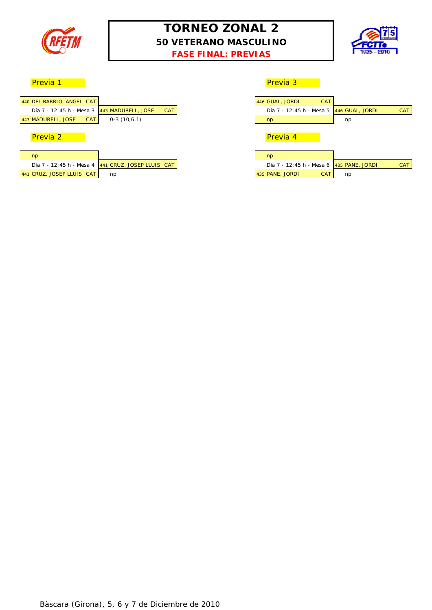

## **TORNEO ZONAL 2 50 VETERANO MASCULINO FASE FINAL: PREVIAS**



**Previa 1** Previa 3 Previa 3 Previa 3 Previa 3 Previa 3 Previa 3 Previa 3 Previa 3 Previa 3 Previa 3 Previa 3 Previa

| 440 DEL BARRIO, ANGEL CAT                   |               |            |
|---------------------------------------------|---------------|------------|
| Día 7 - 12:45 h - Mesa 3 443 MADURELL, JOSE |               | <b>CAT</b> |
| CAT<br>443 MADURELL, JOSE                   | $0-3(10,6,1)$ |            |
|                                             |               |            |
| <b>Pravia</b> 2                             |               |            |

#### Previa 2 Previa 4

| n <sub>D</sub>            |                                                    | np                              |     |
|---------------------------|----------------------------------------------------|---------------------------------|-----|
|                           | Día 7 - 12:45 h - Mesa 4 441 CRUZ, JOSEP LLUIS CAT | Día 7 - 12:45 h - Mesa 6 435 PA |     |
| 441 CRUZ, JOSEP LLUIS CAT | np                                                 | 435 PANE, JORDI                 | CAT |

|                                             |                                                    | --------        |                                                        |
|---------------------------------------------|----------------------------------------------------|-----------------|--------------------------------------------------------|
|                                             |                                                    |                 |                                                        |
| DEL BARRIO, ANGEL CAT                       |                                                    | 446 GUAL, JORDI | <b>CAT</b>                                             |
| Día 7 - 12:45 h - Mesa 3 443 MADURELL, JOSE | <b>CAT</b>                                         |                 | <b>CAT</b><br>Día 7 - 12:45 h - Mesa 5 446 GUAL, JORDI |
| <b>MADURELL, JOSE</b><br>CAT                | $0-3(10,6,1)$                                      | np              | np                                                     |
|                                             |                                                    |                 |                                                        |
| Previa 2                                    |                                                    | Previa 4        |                                                        |
|                                             |                                                    |                 |                                                        |
| np                                          |                                                    | np              |                                                        |
|                                             | Día 7 - 12:45 h - Mesa 4 441 CRUZ, JOSEP LLUIS CAT |                 | Día 7 - 12:45 h - Mesa 6 435 PANE, JORDI<br><b>CAT</b> |
| CRUZ, JOSEP LLUIS CAT                       | np                                                 | 435 PANE, JORDI | <b>CAT</b><br>np                                       |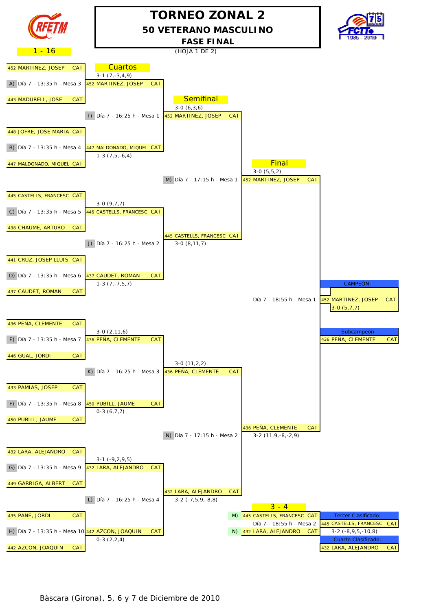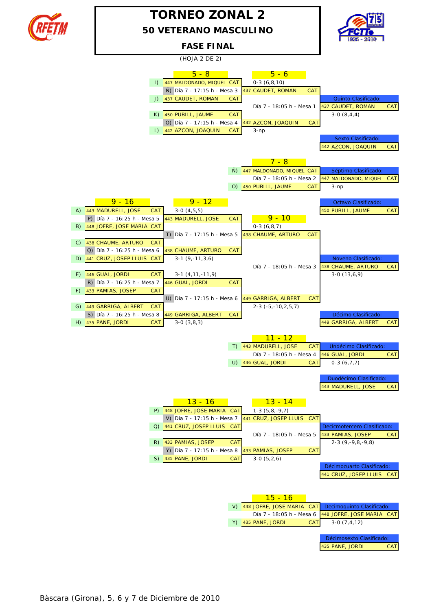

## **50 VETERANO MASCULINO TORNEO ZONAL 2**



## **FASE FINAL**